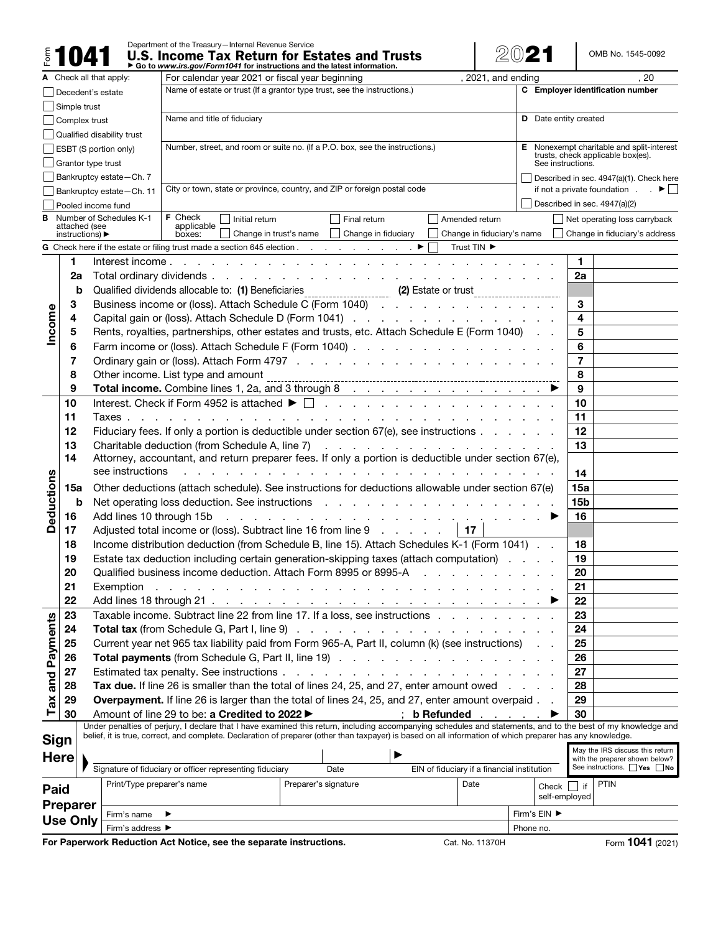|                                                                                                                                     |                                                                                                                                                                 | 1041            |                                                                                                                                                                                              | Department of the Treasury-Internal Revenue Service<br><b>U.S. Income Tax Return for Estates and Trusts</b><br>Go to www.irs.gov/Form1041 for instructions and the latest information.                                                                                                                                    |                      |              |                                                                                                                                                                                                                                |                                 |                                             | 2021         |                              |                 | OMB No. 1545-0092                       |
|-------------------------------------------------------------------------------------------------------------------------------------|-----------------------------------------------------------------------------------------------------------------------------------------------------------------|-----------------|----------------------------------------------------------------------------------------------------------------------------------------------------------------------------------------------|---------------------------------------------------------------------------------------------------------------------------------------------------------------------------------------------------------------------------------------------------------------------------------------------------------------------------|----------------------|--------------|--------------------------------------------------------------------------------------------------------------------------------------------------------------------------------------------------------------------------------|---------------------------------|---------------------------------------------|--------------|------------------------------|-----------------|-----------------------------------------|
| . 20<br>For calendar year 2021 or fiscal year beginning<br>, 2021, and ending<br>Check all that apply:                              |                                                                                                                                                                 |                 |                                                                                                                                                                                              |                                                                                                                                                                                                                                                                                                                           |                      |              |                                                                                                                                                                                                                                |                                 |                                             |              |                              |                 |                                         |
|                                                                                                                                     |                                                                                                                                                                 |                 | Decedent's estate                                                                                                                                                                            | Name of estate or trust (If a grantor type trust, see the instructions.)                                                                                                                                                                                                                                                  |                      |              |                                                                                                                                                                                                                                |                                 |                                             |              |                              |                 | C Employer identification number        |
|                                                                                                                                     |                                                                                                                                                                 | Simple trust    |                                                                                                                                                                                              |                                                                                                                                                                                                                                                                                                                           |                      |              |                                                                                                                                                                                                                                |                                 |                                             |              |                              |                 |                                         |
|                                                                                                                                     |                                                                                                                                                                 | Complex trust   |                                                                                                                                                                                              | Name and title of fiduciary                                                                                                                                                                                                                                                                                               |                      |              |                                                                                                                                                                                                                                |                                 |                                             |              | <b>D</b> Date entity created |                 |                                         |
|                                                                                                                                     |                                                                                                                                                                 |                 | Qualified disability trust                                                                                                                                                                   |                                                                                                                                                                                                                                                                                                                           |                      |              |                                                                                                                                                                                                                                |                                 |                                             |              |                              |                 |                                         |
|                                                                                                                                     |                                                                                                                                                                 |                 | ESBT (S portion only)                                                                                                                                                                        | Number, street, and room or suite no. (If a P.O. box, see the instructions.)                                                                                                                                                                                                                                              |                      |              |                                                                                                                                                                                                                                |                                 |                                             |              |                              |                 | Nonexempt charitable and split-interest |
| trusts, check applicable box(es).<br>Grantor type trust<br>See instructions.                                                        |                                                                                                                                                                 |                 |                                                                                                                                                                                              |                                                                                                                                                                                                                                                                                                                           |                      |              |                                                                                                                                                                                                                                |                                 |                                             |              |                              |                 |                                         |
|                                                                                                                                     | Bankruptcy estate-Ch. 7<br>Described in sec. 4947(a)(1). Check here                                                                                             |                 |                                                                                                                                                                                              |                                                                                                                                                                                                                                                                                                                           |                      |              |                                                                                                                                                                                                                                |                                 |                                             |              |                              |                 |                                         |
| City or town, state or province, country, and ZIP or foreign postal code<br>if not a private foundation<br>Bankruptcy estate-Ch. 11 |                                                                                                                                                                 |                 |                                                                                                                                                                                              |                                                                                                                                                                                                                                                                                                                           |                      |              | $\blacktriangleright$ $\mid$ $\mid$                                                                                                                                                                                            |                                 |                                             |              |                              |                 |                                         |
| Described in sec. 4947(a)(2)<br>Pooled income fund                                                                                  |                                                                                                                                                                 |                 |                                                                                                                                                                                              |                                                                                                                                                                                                                                                                                                                           |                      |              |                                                                                                                                                                                                                                |                                 |                                             |              |                              |                 |                                         |
| в                                                                                                                                   |                                                                                                                                                                 | attached (see   | Number of Schedules K-1                                                                                                                                                                      | <b>F</b> Check<br>Initial return<br>applicable                                                                                                                                                                                                                                                                            |                      | Final return |                                                                                                                                                                                                                                |                                 | Amended return                              |              |                              |                 | Net operating loss carryback            |
|                                                                                                                                     | Change in trust's name<br>  Change in fiduciary<br>Change in fiduciary's address<br>Change in fiduciary's name<br>instructions) $\blacktriangleright$<br>boxes: |                 |                                                                                                                                                                                              |                                                                                                                                                                                                                                                                                                                           |                      |              |                                                                                                                                                                                                                                |                                 |                                             |              |                              |                 |                                         |
|                                                                                                                                     |                                                                                                                                                                 |                 |                                                                                                                                                                                              | G Check here if the estate or filing trust made a section 645 election $\ldots$ $\ldots$ $\ldots$                                                                                                                                                                                                                         |                      |              |                                                                                                                                                                                                                                |                                 | Trust TIN ▶                                 |              |                              |                 |                                         |
|                                                                                                                                     | 1.                                                                                                                                                              |                 | Interest income.                                                                                                                                                                             | and the contract of the contract of the contract of the contract of                                                                                                                                                                                                                                                       |                      |              |                                                                                                                                                                                                                                | <b>Contract Contract Street</b> |                                             |              |                              | 1.              |                                         |
|                                                                                                                                     | 2a                                                                                                                                                              |                 |                                                                                                                                                                                              |                                                                                                                                                                                                                                                                                                                           |                      |              |                                                                                                                                                                                                                                |                                 |                                             |              |                              | 2a              |                                         |
|                                                                                                                                     |                                                                                                                                                                 | b               |                                                                                                                                                                                              | Qualified dividends allocable to: (1) Beneficiaries [1] [2] Estate or trust [1] [1] [1] Conservation Conservation Conservation Conservation Conservation Conservation Conservation Conservation Conservation Conservation Cons                                                                                            |                      |              |                                                                                                                                                                                                                                |                                 |                                             |              |                              |                 |                                         |
|                                                                                                                                     | 3                                                                                                                                                               |                 |                                                                                                                                                                                              | Business income or (loss). Attach Schedule C (Form 1040)                                                                                                                                                                                                                                                                  |                      |              |                                                                                                                                                                                                                                |                                 |                                             |              |                              | 3               |                                         |
| Income                                                                                                                              | 4                                                                                                                                                               |                 |                                                                                                                                                                                              | Capital gain or (loss). Attach Schedule D (Form 1041)                                                                                                                                                                                                                                                                     |                      |              |                                                                                                                                                                                                                                |                                 |                                             |              |                              | 4<br>5          |                                         |
|                                                                                                                                     | 5                                                                                                                                                               |                 |                                                                                                                                                                                              | Rents, royalties, partnerships, other estates and trusts, etc. Attach Schedule E (Form 1040)                                                                                                                                                                                                                              |                      |              |                                                                                                                                                                                                                                |                                 |                                             |              |                              | 6               |                                         |
|                                                                                                                                     | 6<br>7                                                                                                                                                          |                 |                                                                                                                                                                                              |                                                                                                                                                                                                                                                                                                                           |                      |              |                                                                                                                                                                                                                                |                                 |                                             |              |                              | $\overline{7}$  |                                         |
|                                                                                                                                     | 8                                                                                                                                                               |                 |                                                                                                                                                                                              | Other income. List type and amount                                                                                                                                                                                                                                                                                        |                      |              |                                                                                                                                                                                                                                |                                 |                                             |              |                              | 8               |                                         |
|                                                                                                                                     | 9                                                                                                                                                               |                 |                                                                                                                                                                                              | Total income. Combine lines 1, 2a, and 3 through 8                                                                                                                                                                                                                                                                        |                      |              |                                                                                                                                                                                                                                |                                 |                                             |              |                              | 9               |                                         |
|                                                                                                                                     | 10                                                                                                                                                              |                 |                                                                                                                                                                                              |                                                                                                                                                                                                                                                                                                                           |                      |              |                                                                                                                                                                                                                                |                                 |                                             |              |                              | 10              |                                         |
|                                                                                                                                     | 11                                                                                                                                                              |                 | Taxes                                                                                                                                                                                        |                                                                                                                                                                                                                                                                                                                           |                      |              |                                                                                                                                                                                                                                |                                 |                                             |              |                              | 11              |                                         |
|                                                                                                                                     | 12                                                                                                                                                              |                 | and the contract of the contract of the contract of the contract of the contract of the contract of<br>Fiduciary fees. If only a portion is deductible under section 67(e), see instructions |                                                                                                                                                                                                                                                                                                                           |                      |              |                                                                                                                                                                                                                                |                                 |                                             | 12           |                              |                 |                                         |
|                                                                                                                                     | 13                                                                                                                                                              |                 |                                                                                                                                                                                              | Charitable deduction (from Schedule A, line 7)<br>a construction of the contract of the construction of the construction of the contract of the construction of                                                                                                                                                           |                      |              |                                                                                                                                                                                                                                |                                 |                                             |              |                              | 13              |                                         |
|                                                                                                                                     | 14                                                                                                                                                              |                 | Attorney, accountant, and return preparer fees. If only a portion is deductible under section 67(e),                                                                                         |                                                                                                                                                                                                                                                                                                                           |                      |              |                                                                                                                                                                                                                                |                                 |                                             |              |                              |                 |                                         |
|                                                                                                                                     |                                                                                                                                                                 |                 | see instructions                                                                                                                                                                             | the contract of the contract of the contract of the contract of the contract of the contract of the contract of the contract of the contract of the contract of the contract of the contract of the contract of the contract o                                                                                            |                      |              |                                                                                                                                                                                                                                |                                 |                                             |              |                              | 14              |                                         |
| Deductions                                                                                                                          | 15a                                                                                                                                                             |                 |                                                                                                                                                                                              | Other deductions (attach schedule). See instructions for deductions allowable under section 67(e)                                                                                                                                                                                                                         |                      |              |                                                                                                                                                                                                                                |                                 |                                             |              |                              | 15a             |                                         |
|                                                                                                                                     |                                                                                                                                                                 | b               |                                                                                                                                                                                              | Net operating loss deduction. See instructions enter and and an analysis of the set of the set of the set of the set of the set of the set of the set of the set of the set of the set of the set of the set of the set of the                                                                                            |                      |              |                                                                                                                                                                                                                                |                                 |                                             |              |                              | 15 <sub>b</sub> |                                         |
|                                                                                                                                     | 16                                                                                                                                                              |                 | Add lines 10 through 15b                                                                                                                                                                     |                                                                                                                                                                                                                                                                                                                           |                      |              | and the contract of the contract of the contract of the contract of the contract of the contract of the contract of the contract of the contract of the contract of the contract of the contract of the contract of the contra |                                 |                                             |              |                              | 16              |                                         |
|                                                                                                                                     | 17                                                                                                                                                              |                 |                                                                                                                                                                                              | Adjusted total income or (loss). Subtract line 16 from line 9                                                                                                                                                                                                                                                             |                      |              |                                                                                                                                                                                                                                |                                 | -17                                         |              |                              |                 |                                         |
|                                                                                                                                     | 18                                                                                                                                                              |                 |                                                                                                                                                                                              | Income distribution deduction (from Schedule B, line 15). Attach Schedules K-1 (Form 1041)                                                                                                                                                                                                                                |                      |              |                                                                                                                                                                                                                                |                                 |                                             |              |                              | 18              |                                         |
|                                                                                                                                     | 19                                                                                                                                                              |                 |                                                                                                                                                                                              | Estate tax deduction including certain generation-skipping taxes (attach computation)                                                                                                                                                                                                                                     |                      |              |                                                                                                                                                                                                                                |                                 |                                             |              |                              | 19              |                                         |
|                                                                                                                                     | 20                                                                                                                                                              |                 |                                                                                                                                                                                              | Qualified business income deduction. Attach Form 8995 or 8995-A .                                                                                                                                                                                                                                                         |                      |              |                                                                                                                                                                                                                                |                                 |                                             |              |                              | 20              |                                         |
|                                                                                                                                     | 21<br>22                                                                                                                                                        |                 | Exemption                                                                                                                                                                                    | the contract of the contract of the contract of the contract of the                                                                                                                                                                                                                                                       |                      |              |                                                                                                                                                                                                                                |                                 |                                             |              |                              | 21              |                                         |
|                                                                                                                                     | 23                                                                                                                                                              |                 |                                                                                                                                                                                              | Taxable income. Subtract line 22 from line 17. If a loss, see instructions                                                                                                                                                                                                                                                |                      |              |                                                                                                                                                                                                                                |                                 |                                             |              |                              | 22<br>23        |                                         |
| Tax and Payments                                                                                                                    | 24                                                                                                                                                              |                 |                                                                                                                                                                                              |                                                                                                                                                                                                                                                                                                                           |                      |              |                                                                                                                                                                                                                                |                                 |                                             |              |                              | 24              |                                         |
|                                                                                                                                     | 25                                                                                                                                                              |                 |                                                                                                                                                                                              | Current year net 965 tax liability paid from Form 965-A, Part II, column (k) (see instructions)                                                                                                                                                                                                                           |                      |              |                                                                                                                                                                                                                                |                                 |                                             |              |                              | 25              |                                         |
|                                                                                                                                     | 26                                                                                                                                                              |                 |                                                                                                                                                                                              |                                                                                                                                                                                                                                                                                                                           |                      |              |                                                                                                                                                                                                                                |                                 |                                             |              |                              | 26              |                                         |
|                                                                                                                                     | 27                                                                                                                                                              |                 |                                                                                                                                                                                              |                                                                                                                                                                                                                                                                                                                           |                      |              |                                                                                                                                                                                                                                |                                 |                                             |              |                              | 27              |                                         |
|                                                                                                                                     | 28                                                                                                                                                              |                 |                                                                                                                                                                                              | Tax due. If line 26 is smaller than the total of lines 24, 25, and 27, enter amount owed                                                                                                                                                                                                                                  |                      |              |                                                                                                                                                                                                                                |                                 |                                             |              |                              | 28              |                                         |
|                                                                                                                                     | 29                                                                                                                                                              |                 |                                                                                                                                                                                              | <b>Overpayment.</b> If line 26 is larger than the total of lines 24, 25, and 27, enter amount overpaid                                                                                                                                                                                                                    |                      |              |                                                                                                                                                                                                                                |                                 |                                             |              |                              | 29              |                                         |
|                                                                                                                                     | 30                                                                                                                                                              |                 |                                                                                                                                                                                              | Amount of line 29 to be: a Credited to 2022 ▶                                                                                                                                                                                                                                                                             |                      |              |                                                                                                                                                                                                                                |                                 | $: b$ Refunded $.$                          |              |                              | 30              |                                         |
|                                                                                                                                     |                                                                                                                                                                 |                 |                                                                                                                                                                                              | Under penalties of perjury, I declare that I have examined this return, including accompanying schedules and statements, and to the best of my knowledge and<br>belief, it is true, correct, and complete. Declaration of preparer (other than taxpayer) is based on all information of which preparer has any knowledge. |                      |              |                                                                                                                                                                                                                                |                                 |                                             |              |                              |                 |                                         |
| Sign                                                                                                                                |                                                                                                                                                                 |                 |                                                                                                                                                                                              |                                                                                                                                                                                                                                                                                                                           |                      |              |                                                                                                                                                                                                                                |                                 |                                             |              |                              |                 | May the IRS discuss this return         |
| <b>Here</b>                                                                                                                         |                                                                                                                                                                 |                 |                                                                                                                                                                                              |                                                                                                                                                                                                                                                                                                                           |                      |              |                                                                                                                                                                                                                                |                                 |                                             |              |                              |                 | with the preparer shown below?          |
|                                                                                                                                     |                                                                                                                                                                 |                 |                                                                                                                                                                                              | Signature of fiduciary or officer representing fiduciary                                                                                                                                                                                                                                                                  |                      | Date         |                                                                                                                                                                                                                                |                                 | EIN of fiduciary if a financial institution |              |                              |                 | See instructions. $\Box$ Yes $\Box$ No  |
| Paid                                                                                                                                |                                                                                                                                                                 |                 | Print/Type preparer's name                                                                                                                                                                   |                                                                                                                                                                                                                                                                                                                           | Preparer's signature |              |                                                                                                                                                                                                                                |                                 | Date                                        |              | Check $\Box$ if              |                 | <b>PTIN</b>                             |
|                                                                                                                                     |                                                                                                                                                                 | <b>Preparer</b> |                                                                                                                                                                                              |                                                                                                                                                                                                                                                                                                                           |                      |              |                                                                                                                                                                                                                                |                                 |                                             |              | self-employed                |                 |                                         |
|                                                                                                                                     |                                                                                                                                                                 | <b>Use Only</b> | Firm's name                                                                                                                                                                                  | ▶                                                                                                                                                                                                                                                                                                                         |                      |              |                                                                                                                                                                                                                                |                                 |                                             | Firm's EIN ▶ |                              |                 |                                         |
|                                                                                                                                     |                                                                                                                                                                 |                 | Firm's address ▶                                                                                                                                                                             |                                                                                                                                                                                                                                                                                                                           |                      |              |                                                                                                                                                                                                                                |                                 |                                             | Phone no.    |                              |                 |                                         |
|                                                                                                                                     |                                                                                                                                                                 |                 |                                                                                                                                                                                              | For Paperwork Reduction Act Notice, see the separate instructions.                                                                                                                                                                                                                                                        |                      |              |                                                                                                                                                                                                                                |                                 | Cat. No. 11370H                             |              |                              |                 | Form 1041 (2021)                        |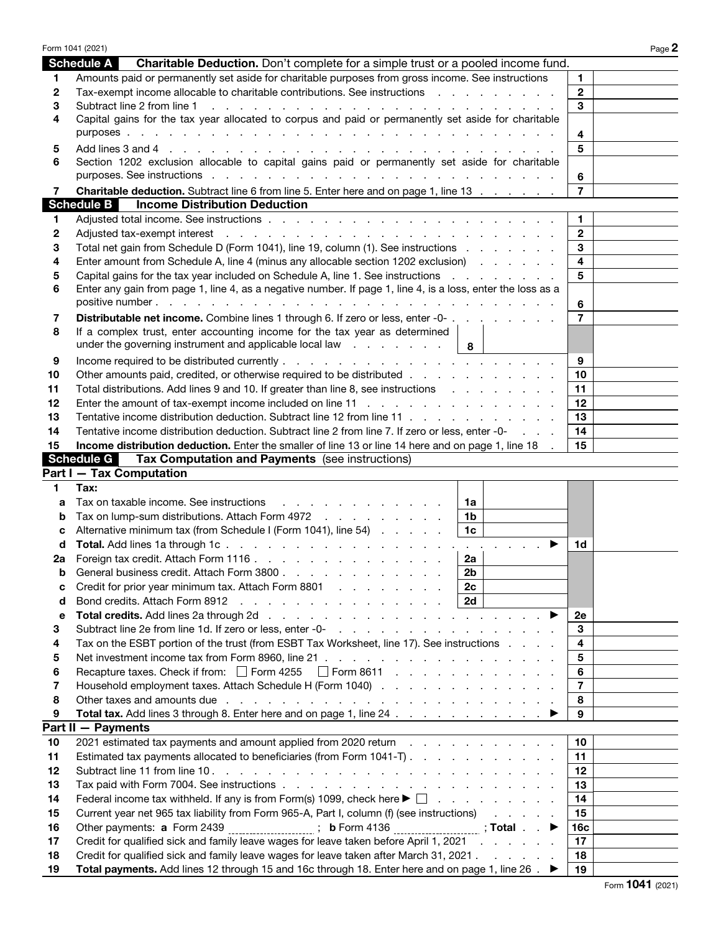|          | Form 1041 (2021)                                                                                                                                                                                                               | Page 2                       |
|----------|--------------------------------------------------------------------------------------------------------------------------------------------------------------------------------------------------------------------------------|------------------------------|
|          | <b>Schedule A</b><br><b>Charitable Deduction.</b> Don't complete for a simple trust or a pooled income fund.                                                                                                                   |                              |
| 1        | Amounts paid or permanently set aside for charitable purposes from gross income. See instructions                                                                                                                              | 1.                           |
| 2        | Tax-exempt income allocable to charitable contributions. See instructions                                                                                                                                                      | $\mathbf{2}$                 |
| 3        |                                                                                                                                                                                                                                | 3                            |
| 4        | Capital gains for the tax year allocated to corpus and paid or permanently set aside for charitable                                                                                                                            |                              |
|          |                                                                                                                                                                                                                                | 4                            |
| 5        |                                                                                                                                                                                                                                | 5                            |
| 6        | Section 1202 exclusion allocable to capital gains paid or permanently set aside for charitable                                                                                                                                 |                              |
|          | purposes. See instructions references and contact the contact of the contact of the contact of the contact of the contact of the contact of the contact of the contact of the contact of the contact of the contact of the con | 6                            |
| 7        | <b>Charitable deduction.</b> Subtract line 6 from line 5. Enter here and on page 1, line 13                                                                                                                                    | $\overline{7}$               |
|          | <b>Schedule B</b> Income Distribution Deduction                                                                                                                                                                                |                              |
| 1        |                                                                                                                                                                                                                                | 1.                           |
| 2        | Adjusted tax-exempt interest entersted as a series of the contract of the contract of the contract of the contract of the contract of the contract of the contract of the contract of the contract of the contract of the cont | $\mathbf{2}$                 |
| 3        | Total net gain from Schedule D (Form 1041), line 19, column (1). See instructions                                                                                                                                              | 3                            |
| 4        | Enter amount from Schedule A, line 4 (minus any allocable section 1202 exclusion)                                                                                                                                              | $\overline{\mathbf{4}}$      |
| 5        | Capital gains for the tax year included on Schedule A, line 1. See instructions                                                                                                                                                | 5                            |
| 6        | Enter any gain from page 1, line 4, as a negative number. If page 1, line 4, is a loss, enter the loss as a                                                                                                                    |                              |
|          |                                                                                                                                                                                                                                | 6                            |
| 7        | Distributable net income. Combine lines 1 through 6. If zero or less, enter -0-                                                                                                                                                | $\overline{7}$               |
| 8        | If a complex trust, enter accounting income for the tax year as determined                                                                                                                                                     |                              |
|          | under the governing instrument and applicable local law<br>8                                                                                                                                                                   |                              |
| 9        |                                                                                                                                                                                                                                | 9                            |
| 10       | Other amounts paid, credited, or otherwise required to be distributed                                                                                                                                                          | 10                           |
| 11       | Total distributions. Add lines 9 and 10. If greater than line 8, see instructions                                                                                                                                              | 11                           |
| 12       |                                                                                                                                                                                                                                | 12                           |
| 13       | Tentative income distribution deduction. Subtract line 12 from line 11                                                                                                                                                         | 13                           |
| 14       | Tentative income distribution deduction. Subtract line 2 from line 7. If zero or less, enter -0-                                                                                                                               | 14                           |
| 15       | Income distribution deduction. Enter the smaller of line 13 or line 14 here and on page 1, line 18 .                                                                                                                           | 15                           |
|          | <b>Schedule G</b> Tax Computation and Payments (see instructions)                                                                                                                                                              |                              |
|          | Part I - Tax Computation                                                                                                                                                                                                       |                              |
| 1        | Tax:                                                                                                                                                                                                                           |                              |
| a        | Tax on taxable income. See instructions<br>and a straightful and a straight and<br>1a                                                                                                                                          |                              |
| b        | Tax on lump-sum distributions. Attach Form 4972<br>1 <sub>b</sub>                                                                                                                                                              |                              |
| c        | 1 <sub>c</sub><br>Alternative minimum tax (from Schedule I (Form 1041), line 54)                                                                                                                                               |                              |
| d        | Total. Add lines 1a through 1c.                                                                                                                                                                                                | 1d                           |
| 2a       | Foreign tax credit. Attach Form 1116<br>2a                                                                                                                                                                                     |                              |
| b        | 2 <sub>b</sub><br>General business credit. Attach Form 3800                                                                                                                                                                    |                              |
| c        | Credit for prior year minimum tax. Attach Form 8801<br>2c                                                                                                                                                                      |                              |
| d        | 2d<br>Bond credits. Attach Form 8912                                                                                                                                                                                           |                              |
| е        | Total credits. Add lines 2a through 2d (end of end of end of end of end of end of end of end of end of end of the bottom of the bottom of the bottom of the bottom of the bottom of the bottom of the bottom of the bottom of  | 2e                           |
| 3        |                                                                                                                                                                                                                                | 3<br>$\overline{\mathbf{4}}$ |
| 4        | Tax on the ESBT portion of the trust (from ESBT Tax Worksheet, line 17). See instructions                                                                                                                                      | $\overline{5}$               |
| 5        |                                                                                                                                                                                                                                | 6                            |
| 6<br>7   | Recapture taxes. Check if from: $\Box$ Form 4255 $\Box$ Form 8611 $\ldots$ $\ldots$ $\ldots$ $\ldots$<br>Household employment taxes. Attach Schedule H (Form 1040)                                                             | $\overline{7}$               |
| 8        | Other taxes and amounts due education and an education of the contract of the contract of the contract of the contract of the contract of the contract of the contract of the contract of the contract of the contract of the  | 8                            |
| 9        | Total tax. Add lines 3 through 8. Enter here and on page 1, line 24 ▶                                                                                                                                                          | 9                            |
|          | Part II - Payments                                                                                                                                                                                                             |                              |
| 10       | 2021 estimated tax payments and amount applied from 2020 return                                                                                                                                                                | 10                           |
| 11       |                                                                                                                                                                                                                                |                              |
|          |                                                                                                                                                                                                                                |                              |
|          | Estimated tax payments allocated to beneficiaries (from Form 1041-T)                                                                                                                                                           | 11                           |
| 12       |                                                                                                                                                                                                                                | 12                           |
| 13       |                                                                                                                                                                                                                                | 13                           |
| 14       | Federal income tax withheld. If any is from Form(s) 1099, check here $\blacktriangleright \Box$                                                                                                                                | 14                           |
| 15       | Current year net 965 tax liability from Form 965-A, Part I, column (f) (see instructions)                                                                                                                                      | 15                           |
| 16       |                                                                                                                                                                                                                                | 16c                          |
| 17<br>18 | Credit for qualified sick and family leave wages for leave taken before April 1, 2021<br>Credit for qualified sick and family leave wages for leave taken after March 31, 2021                                                 | 17<br>18                     |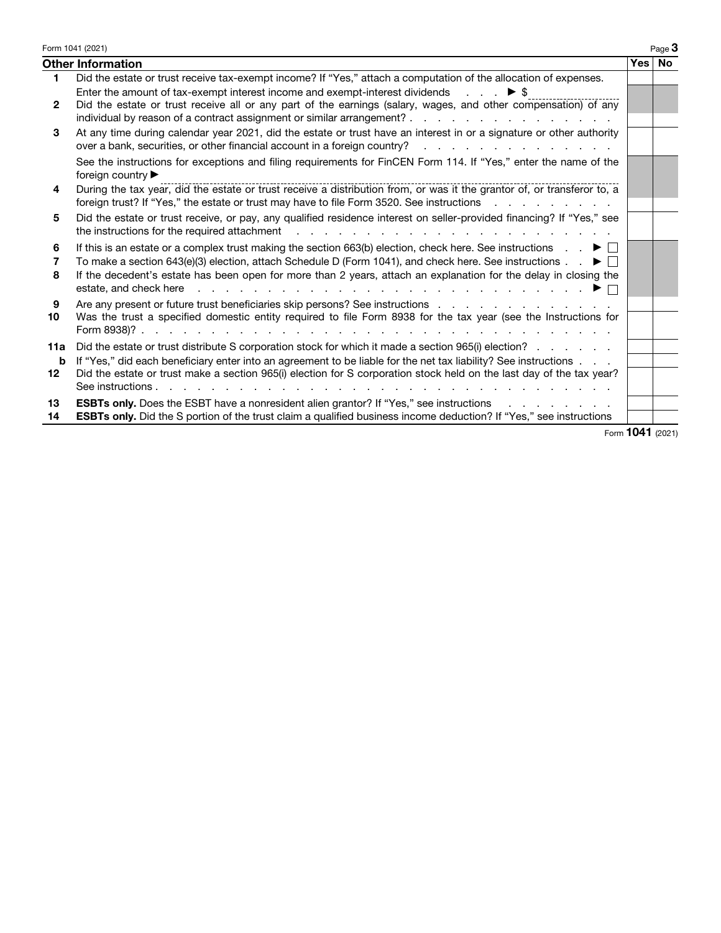| Form 1041 (2021)<br>Page 3 |                                                                                                                                                                                                                                                                                                                                                                                                          |     |           |  |  |
|----------------------------|----------------------------------------------------------------------------------------------------------------------------------------------------------------------------------------------------------------------------------------------------------------------------------------------------------------------------------------------------------------------------------------------------------|-----|-----------|--|--|
|                            | <b>Other Information</b>                                                                                                                                                                                                                                                                                                                                                                                 | Yes | <b>No</b> |  |  |
| 1.                         | Did the estate or trust receive tax-exempt income? If "Yes," attach a computation of the allocation of expenses.                                                                                                                                                                                                                                                                                         |     |           |  |  |
| $\mathbf{2}$               | Enter the amount of tax-exempt interest income and exempt-interest dividends $\ldots$ $\blacktriangleright$ \$<br>Did the estate or trust receive all or any part of the earnings (salary, wages, and other compensation) of any                                                                                                                                                                         |     |           |  |  |
| 3                          | At any time during calendar year 2021, did the estate or trust have an interest in or a signature or other authority<br>over a bank, securities, or other financial account in a foreign country?                                                                                                                                                                                                        |     |           |  |  |
|                            | See the instructions for exceptions and filing requirements for FinCEN Form 114. If "Yes," enter the name of the<br>foreign country $\blacktriangleright$                                                                                                                                                                                                                                                |     |           |  |  |
| 4                          | During the tax year, did the estate or trust receive a distribution from, or was it the grantor of, or transferor to, a<br>foreign trust? If "Yes," the estate or trust may have to file Form 3520. See instructions                                                                                                                                                                                     |     |           |  |  |
| 5                          | Did the estate or trust receive, or pay, any qualified residence interest on seller-provided financing? If "Yes," see<br>the instructions for the required attachment<br>the contract of the contract of the contract of the contract of the contract of the contract of the contract of the contract of the contract of the contract of the contract of the contract of the contract of the contract o  |     |           |  |  |
| 6<br>7<br>8                | If this is an estate or a complex trust making the section 663(b) election, check here. See instructions $\Box$<br>To make a section 643(e)(3) election, attach Schedule D (Form 1041), and check here. See instructions $\ldots \blacktriangleright \Box$<br>If the decedent's estate has been open for more than 2 years, attach an explanation for the delay in closing the<br>estate, and check here |     |           |  |  |
| 9<br>10                    | Are any present or future trust beneficiaries skip persons? See instructions<br>Was the trust a specified domestic entity required to file Form 8938 for the tax year (see the Instructions for                                                                                                                                                                                                          |     |           |  |  |
| 11a<br>b<br>12             | Did the estate or trust distribute S corporation stock for which it made a section 965(i) election?<br>If "Yes," did each beneficiary enter into an agreement to be liable for the net tax liability? See instructions<br>Did the estate or trust make a section 965(i) election for S corporation stock held on the last day of the tax year?<br>See instructions                                       |     |           |  |  |
| 13<br>14                   | <b>ESBTs only.</b> Does the ESBT have a nonresident alien grantor? If "Yes," see instructions<br><b>ESBTs only.</b> Did the S portion of the trust claim a qualified business income deduction? If "Yes," see instructions                                                                                                                                                                               |     |           |  |  |

Form 1041 (2021)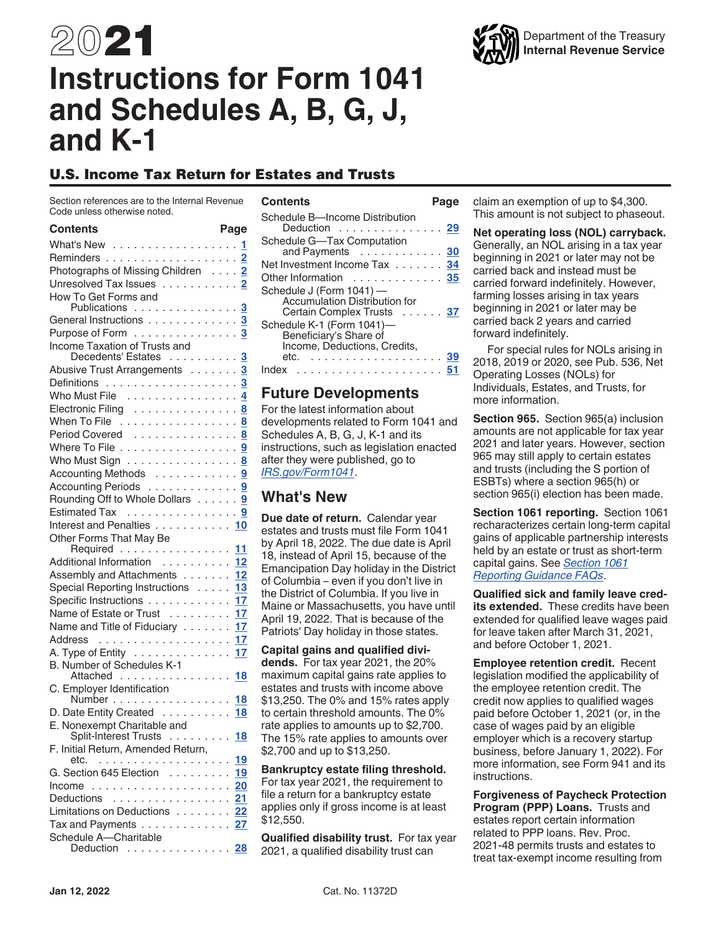# 2021 **Instructions for Form 1041 and Schedules A, B, G, J, and K-1**

## U.S. Income Tax Return for Estates and Trusts

Section references are to the Internal Revenue Code unless otherwise noted.

| What's New<br>1<br>$\overline{2}$<br>Photographs of Missing Children 2<br>Unresolved Tax Issues 2<br>How To Get Forms and<br>Publications<br>3<br>General Instructions 3<br>Purpose of Form 3<br>Income Taxation of Trusts and<br>Decedents' Estates 3<br>Abusive Trust Arrangements 3<br>Who Must File 4<br>Electronic Filing 8<br>When To File 8<br>Period Covered 8<br>Where To File 9<br>Who Must Sign 8<br>Accounting Methods 9<br>Accounting Periods 9<br>Rounding Off to Whole Dollars 9<br>Estimated Tax 9<br>Interest and Penalties 10<br>Other Forms That May Be<br>Other Forms That May Be<br>Required<br>Additional Information<br>11<br>12<br>Assembly and Attachments<br>12<br>Special Reporting Instructions<br>13<br>Specific Instructions<br>17<br>Name of Estate or Trust<br>17<br>Name and Title of Fiduciary<br>17<br>17<br>A. Type of Entity<br>17<br>B. Number of Schedules K-1<br>Attached<br>18<br>C. Employer Identification<br>Number<br>18<br>D. Date Entity Created<br>18<br>E. Nonexempt Charitable and<br>Split-Interest Trusts<br>18<br>F. Initial Return, Amended Return,<br>etc.<br><u> 19</u><br>G. Section 645 Election<br>19<br>$\overline{a}$<br>20<br>Income<br>.<br>Deductions<br><u> 21</u><br>.<br>Limitations on Deductions<br>22<br>Tax and Payments<br>27<br>l<br>Schedule A-Charitable<br>28 | Contents  | Page |
|-------------------------------------------------------------------------------------------------------------------------------------------------------------------------------------------------------------------------------------------------------------------------------------------------------------------------------------------------------------------------------------------------------------------------------------------------------------------------------------------------------------------------------------------------------------------------------------------------------------------------------------------------------------------------------------------------------------------------------------------------------------------------------------------------------------------------------------------------------------------------------------------------------------------------------------------------------------------------------------------------------------------------------------------------------------------------------------------------------------------------------------------------------------------------------------------------------------------------------------------------------------------------------------------------------------------------------------------|-----------|------|
|                                                                                                                                                                                                                                                                                                                                                                                                                                                                                                                                                                                                                                                                                                                                                                                                                                                                                                                                                                                                                                                                                                                                                                                                                                                                                                                                           |           |      |
|                                                                                                                                                                                                                                                                                                                                                                                                                                                                                                                                                                                                                                                                                                                                                                                                                                                                                                                                                                                                                                                                                                                                                                                                                                                                                                                                           |           |      |
|                                                                                                                                                                                                                                                                                                                                                                                                                                                                                                                                                                                                                                                                                                                                                                                                                                                                                                                                                                                                                                                                                                                                                                                                                                                                                                                                           |           |      |
|                                                                                                                                                                                                                                                                                                                                                                                                                                                                                                                                                                                                                                                                                                                                                                                                                                                                                                                                                                                                                                                                                                                                                                                                                                                                                                                                           |           |      |
|                                                                                                                                                                                                                                                                                                                                                                                                                                                                                                                                                                                                                                                                                                                                                                                                                                                                                                                                                                                                                                                                                                                                                                                                                                                                                                                                           |           |      |
|                                                                                                                                                                                                                                                                                                                                                                                                                                                                                                                                                                                                                                                                                                                                                                                                                                                                                                                                                                                                                                                                                                                                                                                                                                                                                                                                           |           |      |
|                                                                                                                                                                                                                                                                                                                                                                                                                                                                                                                                                                                                                                                                                                                                                                                                                                                                                                                                                                                                                                                                                                                                                                                                                                                                                                                                           |           |      |
|                                                                                                                                                                                                                                                                                                                                                                                                                                                                                                                                                                                                                                                                                                                                                                                                                                                                                                                                                                                                                                                                                                                                                                                                                                                                                                                                           |           |      |
|                                                                                                                                                                                                                                                                                                                                                                                                                                                                                                                                                                                                                                                                                                                                                                                                                                                                                                                                                                                                                                                                                                                                                                                                                                                                                                                                           |           |      |
|                                                                                                                                                                                                                                                                                                                                                                                                                                                                                                                                                                                                                                                                                                                                                                                                                                                                                                                                                                                                                                                                                                                                                                                                                                                                                                                                           |           |      |
|                                                                                                                                                                                                                                                                                                                                                                                                                                                                                                                                                                                                                                                                                                                                                                                                                                                                                                                                                                                                                                                                                                                                                                                                                                                                                                                                           |           |      |
|                                                                                                                                                                                                                                                                                                                                                                                                                                                                                                                                                                                                                                                                                                                                                                                                                                                                                                                                                                                                                                                                                                                                                                                                                                                                                                                                           |           |      |
|                                                                                                                                                                                                                                                                                                                                                                                                                                                                                                                                                                                                                                                                                                                                                                                                                                                                                                                                                                                                                                                                                                                                                                                                                                                                                                                                           |           |      |
|                                                                                                                                                                                                                                                                                                                                                                                                                                                                                                                                                                                                                                                                                                                                                                                                                                                                                                                                                                                                                                                                                                                                                                                                                                                                                                                                           |           |      |
|                                                                                                                                                                                                                                                                                                                                                                                                                                                                                                                                                                                                                                                                                                                                                                                                                                                                                                                                                                                                                                                                                                                                                                                                                                                                                                                                           |           |      |
|                                                                                                                                                                                                                                                                                                                                                                                                                                                                                                                                                                                                                                                                                                                                                                                                                                                                                                                                                                                                                                                                                                                                                                                                                                                                                                                                           |           |      |
|                                                                                                                                                                                                                                                                                                                                                                                                                                                                                                                                                                                                                                                                                                                                                                                                                                                                                                                                                                                                                                                                                                                                                                                                                                                                                                                                           |           |      |
|                                                                                                                                                                                                                                                                                                                                                                                                                                                                                                                                                                                                                                                                                                                                                                                                                                                                                                                                                                                                                                                                                                                                                                                                                                                                                                                                           |           |      |
|                                                                                                                                                                                                                                                                                                                                                                                                                                                                                                                                                                                                                                                                                                                                                                                                                                                                                                                                                                                                                                                                                                                                                                                                                                                                                                                                           |           |      |
|                                                                                                                                                                                                                                                                                                                                                                                                                                                                                                                                                                                                                                                                                                                                                                                                                                                                                                                                                                                                                                                                                                                                                                                                                                                                                                                                           |           |      |
|                                                                                                                                                                                                                                                                                                                                                                                                                                                                                                                                                                                                                                                                                                                                                                                                                                                                                                                                                                                                                                                                                                                                                                                                                                                                                                                                           |           |      |
|                                                                                                                                                                                                                                                                                                                                                                                                                                                                                                                                                                                                                                                                                                                                                                                                                                                                                                                                                                                                                                                                                                                                                                                                                                                                                                                                           |           |      |
|                                                                                                                                                                                                                                                                                                                                                                                                                                                                                                                                                                                                                                                                                                                                                                                                                                                                                                                                                                                                                                                                                                                                                                                                                                                                                                                                           |           |      |
|                                                                                                                                                                                                                                                                                                                                                                                                                                                                                                                                                                                                                                                                                                                                                                                                                                                                                                                                                                                                                                                                                                                                                                                                                                                                                                                                           |           |      |
|                                                                                                                                                                                                                                                                                                                                                                                                                                                                                                                                                                                                                                                                                                                                                                                                                                                                                                                                                                                                                                                                                                                                                                                                                                                                                                                                           |           |      |
|                                                                                                                                                                                                                                                                                                                                                                                                                                                                                                                                                                                                                                                                                                                                                                                                                                                                                                                                                                                                                                                                                                                                                                                                                                                                                                                                           |           |      |
|                                                                                                                                                                                                                                                                                                                                                                                                                                                                                                                                                                                                                                                                                                                                                                                                                                                                                                                                                                                                                                                                                                                                                                                                                                                                                                                                           |           |      |
|                                                                                                                                                                                                                                                                                                                                                                                                                                                                                                                                                                                                                                                                                                                                                                                                                                                                                                                                                                                                                                                                                                                                                                                                                                                                                                                                           |           |      |
|                                                                                                                                                                                                                                                                                                                                                                                                                                                                                                                                                                                                                                                                                                                                                                                                                                                                                                                                                                                                                                                                                                                                                                                                                                                                                                                                           |           |      |
|                                                                                                                                                                                                                                                                                                                                                                                                                                                                                                                                                                                                                                                                                                                                                                                                                                                                                                                                                                                                                                                                                                                                                                                                                                                                                                                                           |           |      |
|                                                                                                                                                                                                                                                                                                                                                                                                                                                                                                                                                                                                                                                                                                                                                                                                                                                                                                                                                                                                                                                                                                                                                                                                                                                                                                                                           |           |      |
|                                                                                                                                                                                                                                                                                                                                                                                                                                                                                                                                                                                                                                                                                                                                                                                                                                                                                                                                                                                                                                                                                                                                                                                                                                                                                                                                           |           |      |
|                                                                                                                                                                                                                                                                                                                                                                                                                                                                                                                                                                                                                                                                                                                                                                                                                                                                                                                                                                                                                                                                                                                                                                                                                                                                                                                                           |           |      |
|                                                                                                                                                                                                                                                                                                                                                                                                                                                                                                                                                                                                                                                                                                                                                                                                                                                                                                                                                                                                                                                                                                                                                                                                                                                                                                                                           |           |      |
|                                                                                                                                                                                                                                                                                                                                                                                                                                                                                                                                                                                                                                                                                                                                                                                                                                                                                                                                                                                                                                                                                                                                                                                                                                                                                                                                           |           |      |
|                                                                                                                                                                                                                                                                                                                                                                                                                                                                                                                                                                                                                                                                                                                                                                                                                                                                                                                                                                                                                                                                                                                                                                                                                                                                                                                                           |           |      |
|                                                                                                                                                                                                                                                                                                                                                                                                                                                                                                                                                                                                                                                                                                                                                                                                                                                                                                                                                                                                                                                                                                                                                                                                                                                                                                                                           |           |      |
|                                                                                                                                                                                                                                                                                                                                                                                                                                                                                                                                                                                                                                                                                                                                                                                                                                                                                                                                                                                                                                                                                                                                                                                                                                                                                                                                           |           |      |
|                                                                                                                                                                                                                                                                                                                                                                                                                                                                                                                                                                                                                                                                                                                                                                                                                                                                                                                                                                                                                                                                                                                                                                                                                                                                                                                                           |           |      |
|                                                                                                                                                                                                                                                                                                                                                                                                                                                                                                                                                                                                                                                                                                                                                                                                                                                                                                                                                                                                                                                                                                                                                                                                                                                                                                                                           |           |      |
|                                                                                                                                                                                                                                                                                                                                                                                                                                                                                                                                                                                                                                                                                                                                                                                                                                                                                                                                                                                                                                                                                                                                                                                                                                                                                                                                           |           |      |
|                                                                                                                                                                                                                                                                                                                                                                                                                                                                                                                                                                                                                                                                                                                                                                                                                                                                                                                                                                                                                                                                                                                                                                                                                                                                                                                                           |           |      |
|                                                                                                                                                                                                                                                                                                                                                                                                                                                                                                                                                                                                                                                                                                                                                                                                                                                                                                                                                                                                                                                                                                                                                                                                                                                                                                                                           |           |      |
|                                                                                                                                                                                                                                                                                                                                                                                                                                                                                                                                                                                                                                                                                                                                                                                                                                                                                                                                                                                                                                                                                                                                                                                                                                                                                                                                           |           |      |
|                                                                                                                                                                                                                                                                                                                                                                                                                                                                                                                                                                                                                                                                                                                                                                                                                                                                                                                                                                                                                                                                                                                                                                                                                                                                                                                                           |           |      |
|                                                                                                                                                                                                                                                                                                                                                                                                                                                                                                                                                                                                                                                                                                                                                                                                                                                                                                                                                                                                                                                                                                                                                                                                                                                                                                                                           |           |      |
|                                                                                                                                                                                                                                                                                                                                                                                                                                                                                                                                                                                                                                                                                                                                                                                                                                                                                                                                                                                                                                                                                                                                                                                                                                                                                                                                           |           |      |
|                                                                                                                                                                                                                                                                                                                                                                                                                                                                                                                                                                                                                                                                                                                                                                                                                                                                                                                                                                                                                                                                                                                                                                                                                                                                                                                                           | Deduction |      |

#### **Contents Page**

| Schedule B-lncome Distribution<br>Deduction 29                                                |  |
|-----------------------------------------------------------------------------------------------|--|
| Schedule G-Tax Computation<br>and Payments 30                                                 |  |
| Net Investment Income Tax 34                                                                  |  |
| Other Information  35                                                                         |  |
| Schedule J (Form 1041) -<br><b>Accumulation Distribution for</b><br>Certain Complex Trusts 37 |  |
| Schedule K-1 (Form 1041)-<br>Beneficiary's Share of<br>Income, Deductions, Credits,           |  |
| etc.<br>. <b>39</b>                                                                           |  |
|                                                                                               |  |

## **Future Developments**

For the latest information about developments related to Form 1041 and Schedules A, B, G, J, K-1 and its instructions, such as legislation enacted after they were published, go to *[IRS.gov/Form1041](https://www.irs.gov/form1041)*.

## **What's New**

**Due date of return.** Calendar year estates and trusts must file Form 1041 by April 18, 2022. The due date is April 18, instead of April 15, because of the Emancipation Day holiday in the District of Columbia – even if you don't live in the District of Columbia. If you live in Maine or Massachusetts, you have until April 19, 2022. That is because of the Patriots' Day holiday in those states.

**Capital gains and qualified dividends.** For tax year 2021, the 20% maximum capital gains rate applies to estates and trusts with income above \$13,250. The 0% and 15% rates apply to certain threshold amounts. The 0% rate applies to amounts up to \$2,700. The 15% rate applies to amounts over \$2,700 and up to \$13,250.

**Bankruptcy estate filing threshold.**  For tax year 2021, the requirement to file a return for a bankruptcy estate applies only if gross income is at least \$12,550.

**Qualified disability trust.** For tax year 2021, a qualified disability trust can



**Net operating loss (NOL) carryback.**  Generally, an NOL arising in a tax year beginning in 2021 or later may not be carried back and instead must be carried forward indefinitely. However, farming losses arising in tax years beginning in 2021 or later may be carried back 2 years and carried forward indefinitely.

For special rules for NOLs arising in 2018, 2019 or 2020, see Pub. 536, Net Operating Losses (NOLs) for Individuals, Estates, and Trusts, for more information.

**Section 965.** Section 965(a) inclusion amounts are not applicable for tax year 2021 and later years. However, section 965 may still apply to certain estates and trusts (including the S portion of ESBTs) where a section 965(h) or section 965(i) election has been made.

**Section 1061 reporting.** Section 1061 recharacterizes certain long-term capital gains of applicable partnership interests held by an estate or trust as short-term capital gains. See *[Section 1061](https://www.irs.gov/businesses/partnerships/section-1061-reporting-guidance-faqs)  [Reporting Guidance FAQs](https://www.irs.gov/businesses/partnerships/section-1061-reporting-guidance-faqs)*.

**Qualified sick and family leave credits extended.** These credits have been extended for qualified leave wages paid for leave taken after March 31, 2021, and before October 1, 2021.

**Employee retention credit.** Recent legislation modified the applicability of the employee retention credit. The credit now applies to qualified wages paid before October 1, 2021 (or, in the case of wages paid by an eligible employer which is a recovery startup business, before January 1, 2022). For more information, see Form 941 and its instructions.

**Forgiveness of Paycheck Protection Program (PPP) Loans.** Trusts and estates report certain information related to PPP loans. Rev. Proc. 2021-48 permits trusts and estates to treat tax-exempt income resulting from

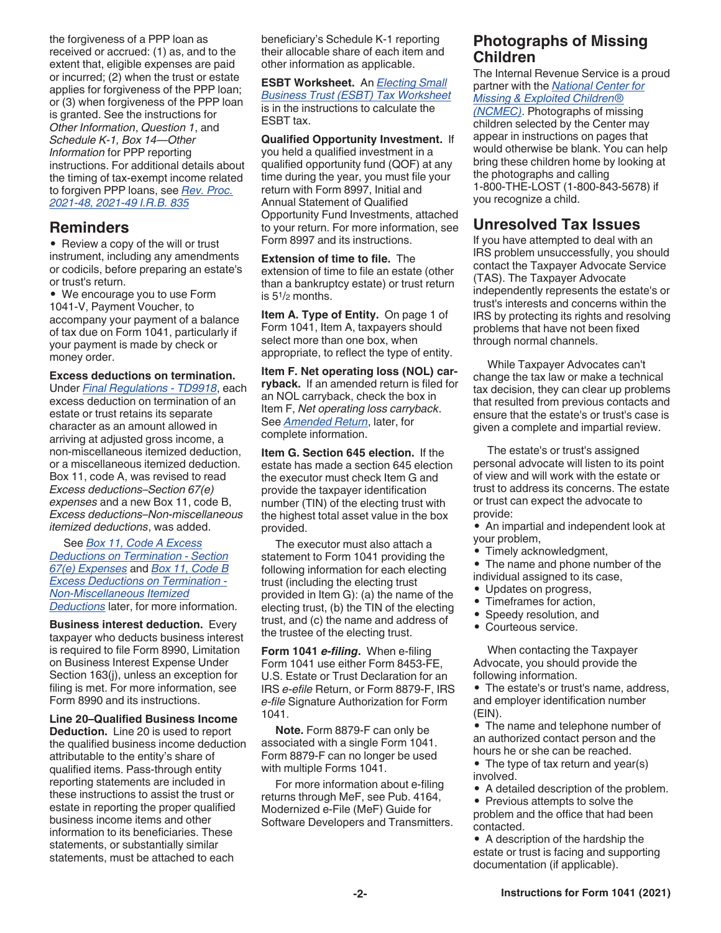the forgiveness of a PPP loan as received or accrued: (1) as, and to the extent that, eligible expenses are paid or incurred; (2) when the trust or estate applies for forgiveness of the PPP loan; or (3) when forgiveness of the PPP loan is granted. See the instructions for *Other Information*, *Question 1*, and *Schedule K-1, Box 14—Other Information* for PPP reporting instructions. For additional details about the timing of tax-exempt income related to forgiven PPP loans, see *[Rev. Proc.](https://www.irs.gov/pub/irs-drop/rp-21-48.pdf)  [2021-48, 2021-49 I.R.B. 835](https://www.irs.gov/pub/irs-drop/rp-21-48.pdf)*

## **Reminders**

• Review a copy of the will or trust instrument, including any amendments or codicils, before preparing an estate's or trust's return.

• We encourage you to use Form 1041-V, Payment Voucher, to accompany your payment of a balance of tax due on Form 1041, particularly if your payment is made by check or money order.

#### **Excess deductions on termination.**

Under *[Final Regulations - TD9918](https://www.govinfo.gov/content/pkg/FR-2020-10-19/pdf/2020-21162.pdf)*, each excess deduction on termination of an estate or trust retains its separate character as an amount allowed in arriving at adjusted gross income, a non-miscellaneous itemized deduction, or a miscellaneous itemized deduction. Box 11, code A, was revised to read *Excess deductions–Section 67(e) expenses* and a new Box 11, code B, *Excess deductions–Non-miscellaneous itemized deductions*, was added.

See *Box 11, Code A Excess Deductions on Termination - Section 67(e) Expenses* and *Box 11, Code B Excess Deductions on Termination - Non-Miscellaneous Itemized Deductions* later, for more information.

**Business interest deduction.** Every taxpayer who deducts business interest is required to file Form 8990, Limitation on Business Interest Expense Under Section 163(j), unless an exception for filing is met. For more information, see Form 8990 and its instructions.

**Line 20–Qualified Business Income Deduction.** Line 20 is used to report the qualified business income deduction attributable to the entity's share of qualified items. Pass-through entity reporting statements are included in these instructions to assist the trust or estate in reporting the proper qualified business income items and other information to its beneficiaries. These statements, or substantially similar statements, must be attached to each

beneficiary's Schedule K-1 reporting their allocable share of each item and other information as applicable.

**ESBT Worksheet.** An *Electing Small Business Trust (ESBT) Tax Worksheet*  is in the instructions to calculate the ESBT tax.

**Qualified Opportunity Investment.** If you held a qualified investment in a qualified opportunity fund (QOF) at any time during the year, you must file your return with Form 8997, Initial and Annual Statement of Qualified Opportunity Fund Investments, attached to your return. For more information, see Form 8997 and its instructions.

**Extension of time to file.** The extension of time to file an estate (other than a bankruptcy estate) or trust return is 51/2 months.

**Item A. Type of Entity.** On page 1 of Form 1041, Item A, taxpayers should select more than one box, when appropriate, to reflect the type of entity.

**Item F. Net operating loss (NOL) carryback.** If an amended return is filed for an NOL carryback, check the box in Item F, *Net operating loss carryback*. See *Amended Return*, later, for complete information.

**Item G. Section 645 election.** If the estate has made a section 645 election the executor must check Item G and provide the taxpayer identification number (TIN) of the electing trust with the highest total asset value in the box provided.

The executor must also attach a statement to Form 1041 providing the following information for each electing trust (including the electing trust provided in Item G): (a) the name of the electing trust, (b) the TIN of the electing trust, and (c) the name and address of the trustee of the electing trust.

**Form 1041** *e-filing***.** When e-filing Form 1041 use either Form 8453-FE, U.S. Estate or Trust Declaration for an IRS *e-efile* Return, or Form 8879-F, IRS *e-file* Signature Authorization for Form 1041.

**Note.** Form 8879-F can only be associated with a single Form 1041. Form 8879-F can no longer be used with multiple Forms 1041.

For more information about e-filing returns through MeF, see Pub. 4164, Modernized e-File (MeF) Guide for Software Developers and Transmitters.

## **Photographs of Missing Children**

The Internal Revenue Service is a proud partner with the *[National Center for](http://www.missingkids.com/home)  [Missing & Exploited Children®](http://www.missingkids.com/home) [\(NCMEC\)](http://www.missingkids.com/home)*. Photographs of missing children selected by the Center may appear in instructions on pages that would otherwise be blank. You can help bring these children home by looking at the photographs and calling 1-800-THE-LOST (1-800-843-5678) if you recognize a child.

## **Unresolved Tax Issues**

If you have attempted to deal with an IRS problem unsuccessfully, you should contact the Taxpayer Advocate Service (TAS). The Taxpayer Advocate independently represents the estate's or trust's interests and concerns within the IRS by protecting its rights and resolving problems that have not been fixed through normal channels.

While Taxpayer Advocates can't change the tax law or make a technical tax decision, they can clear up problems that resulted from previous contacts and ensure that the estate's or trust's case is given a complete and impartial review.

The estate's or trust's assigned personal advocate will listen to its point of view and will work with the estate or trust to address its concerns. The estate or trust can expect the advocate to provide:

- An impartial and independent look at your problem,
- **Timely acknowledgment,<br>• The name and phone nur**
- The name and phone number of the individual assigned to its case,
- Updates on progress,
- Timeframes for action,
- Speedy resolution, and
- Courteous service.

When contacting the Taxpayer Advocate, you should provide the following information.

• The estate's or trust's name, address, and employer identification number (EIN).

• The name and telephone number of an authorized contact person and the hours he or she can be reached.

- The type of tax return and year(s) involved.
- A detailed description of the problem.
- Previous attempts to solve the problem and the office that had been contacted.

• A description of the hardship the estate or trust is facing and supporting documentation (if applicable).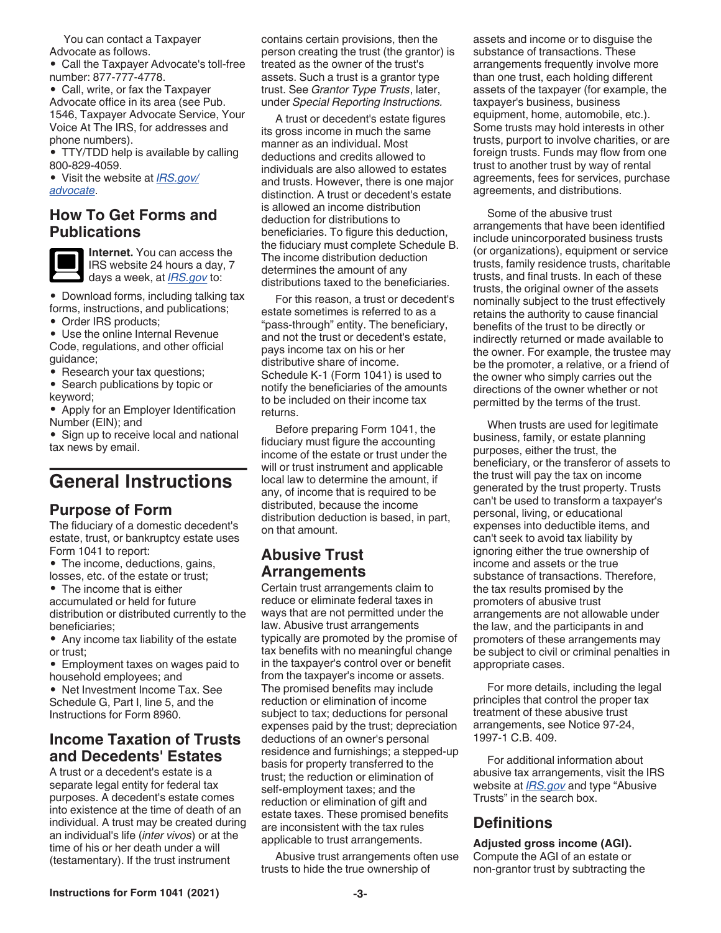You can contact a Taxpayer Advocate as follows.

• Call the Taxpayer Advocate's toll-free number: 877-777-4778.

• Call, write, or fax the Taxpayer Advocate office in its area (see Pub. 1546, Taxpayer Advocate Service, Your Voice At The IRS, for addresses and phone numbers).

• TTY/TDD help is available by calling 800-829-4059. • Visit the website at *[IRS.gov/](https://www.irs.gov/advocate)*

*[advocate](https://www.irs.gov/advocate)*.

## **How To Get Forms and Publications**



**Internet.** You can access the IRS website 24 hours a day, 7 days a week, at *[IRS.gov](https://www.irs.gov)* to:

• Download forms, including talking tax forms, instructions, and publications; • Order IRS products;

- Use the online Internal Revenue Code, regulations, and other official guidance;
- Research your tax questions;

• Search publications by topic or keyword;

• Apply for an Employer Identification Number (EIN); and

• Sign up to receive local and national tax news by email.

# **General Instructions**

## **Purpose of Form**

The fiduciary of a domestic decedent's estate, trust, or bankruptcy estate uses Form 1041 to report:

• The income, deductions, gains, losses, etc. of the estate or trust;

• The income that is either accumulated or held for future distribution or distributed currently to the beneficiaries;

• Any income tax liability of the estate or trust;

• Employment taxes on wages paid to household employees; and

• Net Investment Income Tax. See Schedule G, Part I, line 5, and the Instructions for Form 8960.

## **Income Taxation of Trusts and Decedents' Estates**

A trust or a decedent's estate is a separate legal entity for federal tax purposes. A decedent's estate comes into existence at the time of death of an individual. A trust may be created during an individual's life (*inter vivos*) or at the time of his or her death under a will (testamentary). If the trust instrument

contains certain provisions, then the person creating the trust (the grantor) is treated as the owner of the trust's assets. Such a trust is a grantor type trust. See *Grantor Type Trusts*, later, under *Special Reporting Instructions.*

A trust or decedent's estate figures its gross income in much the same manner as an individual. Most deductions and credits allowed to individuals are also allowed to estates and trusts. However, there is one major distinction. A trust or decedent's estate is allowed an income distribution deduction for distributions to beneficiaries. To figure this deduction, the fiduciary must complete Schedule B. The income distribution deduction determines the amount of any distributions taxed to the beneficiaries.

For this reason, a trust or decedent's estate sometimes is referred to as a "pass-through" entity. The beneficiary, and not the trust or decedent's estate, pays income tax on his or her distributive share of income. Schedule K-1 (Form 1041) is used to notify the beneficiaries of the amounts to be included on their income tax returns.

Before preparing Form 1041, the fiduciary must figure the accounting income of the estate or trust under the will or trust instrument and applicable local law to determine the amount, if any, of income that is required to be distributed, because the income distribution deduction is based, in part, on that amount.

## **Abusive Trust Arrangements**

Certain trust arrangements claim to reduce or eliminate federal taxes in ways that are not permitted under the law. Abusive trust arrangements typically are promoted by the promise of tax benefits with no meaningful change in the taxpayer's control over or benefit from the taxpayer's income or assets. The promised benefits may include reduction or elimination of income subject to tax; deductions for personal expenses paid by the trust; depreciation deductions of an owner's personal residence and furnishings; a stepped-up basis for property transferred to the trust; the reduction or elimination of self-employment taxes; and the reduction or elimination of gift and estate taxes. These promised benefits are inconsistent with the tax rules applicable to trust arrangements.

Abusive trust arrangements often use trusts to hide the true ownership of

assets and income or to disguise the substance of transactions. These arrangements frequently involve more than one trust, each holding different assets of the taxpayer (for example, the taxpayer's business, business equipment, home, automobile, etc.). Some trusts may hold interests in other trusts, purport to involve charities, or are foreign trusts. Funds may flow from one trust to another trust by way of rental agreements, fees for services, purchase agreements, and distributions.

Some of the abusive trust arrangements that have been identified include unincorporated business trusts (or organizations), equipment or service trusts, family residence trusts, charitable trusts, and final trusts. In each of these trusts, the original owner of the assets nominally subject to the trust effectively retains the authority to cause financial benefits of the trust to be directly or indirectly returned or made available to the owner. For example, the trustee may be the promoter, a relative, or a friend of the owner who simply carries out the directions of the owner whether or not permitted by the terms of the trust.

When trusts are used for legitimate business, family, or estate planning purposes, either the trust, the beneficiary, or the transferor of assets to the trust will pay the tax on income generated by the trust property. Trusts can't be used to transform a taxpayer's personal, living, or educational expenses into deductible items, and can't seek to avoid tax liability by ignoring either the true ownership of income and assets or the true substance of transactions. Therefore, the tax results promised by the promoters of abusive trust arrangements are not allowable under the law, and the participants in and promoters of these arrangements may be subject to civil or criminal penalties in appropriate cases.

For more details, including the legal principles that control the proper tax treatment of these abusive trust arrangements, see Notice 97-24, 1997-1 C.B. 409.

For additional information about abusive tax arrangements, visit the IRS website at *[IRS.gov](https://www.irs.gov)* and type "Abusive Trusts" in the search box.

## **Definitions**

#### **Adjusted gross income (AGI).**

Compute the AGI of an estate or non-grantor trust by subtracting the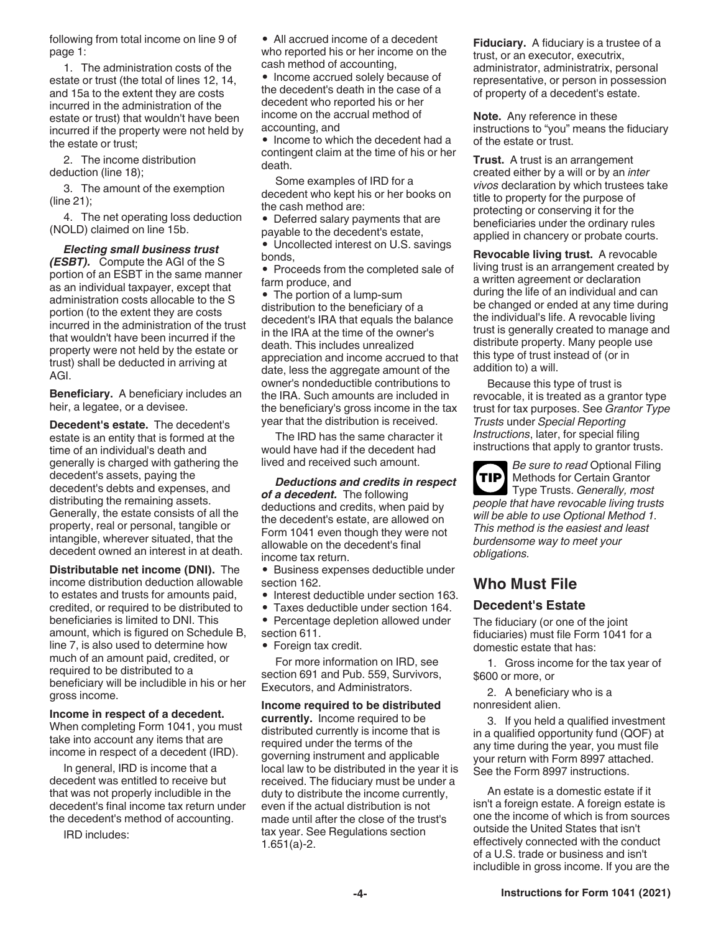following from total income on line 9 of page 1:

1. The administration costs of the estate or trust (the total of lines 12, 14, and 15a to the extent they are costs incurred in the administration of the estate or trust) that wouldn't have been incurred if the property were not held by the estate or trust;

2. The income distribution deduction (line 18);

3. The amount of the exemption (line 21);

4. The net operating loss deduction (NOLD) claimed on line 15b.

*Electing small business trust (ESBT).* Compute the AGI of the S portion of an ESBT in the same manner as an individual taxpayer, except that administration costs allocable to the S portion (to the extent they are costs incurred in the administration of the trust that wouldn't have been incurred if the property were not held by the estate or trust) shall be deducted in arriving at AGI.

**Beneficiary.** A beneficiary includes an heir, a legatee, or a devisee.

**Decedent's estate.** The decedent's estate is an entity that is formed at the time of an individual's death and generally is charged with gathering the decedent's assets, paying the decedent's debts and expenses, and distributing the remaining assets. Generally, the estate consists of all the property, real or personal, tangible or intangible, wherever situated, that the decedent owned an interest in at death.

**Distributable net income (DNI).** The income distribution deduction allowable to estates and trusts for amounts paid, credited, or required to be distributed to beneficiaries is limited to DNI. This amount, which is figured on Schedule B, line 7, is also used to determine how much of an amount paid, credited, or required to be distributed to a beneficiary will be includible in his or her gross income.

#### **Income in respect of a decedent.**

When completing Form 1041, you must take into account any items that are income in respect of a decedent (IRD).

In general, IRD is income that a decedent was entitled to receive but that was not properly includible in the decedent's final income tax return under the decedent's method of accounting.

IRD includes:

• All accrued income of a decedent who reported his or her income on the cash method of accounting,

• Income accrued solely because of the decedent's death in the case of a decedent who reported his or her income on the accrual method of accounting, and

• Income to which the decedent had a contingent claim at the time of his or her death.

Some examples of IRD for a decedent who kept his or her books on the cash method are:

• Deferred salary payments that are payable to the decedent's estate,

• Uncollected interest on U.S. savings bonds,

• Proceeds from the completed sale of farm produce, and

• The portion of a lump-sum distribution to the beneficiary of a decedent's IRA that equals the balance in the IRA at the time of the owner's death. This includes unrealized appreciation and income accrued to that date, less the aggregate amount of the owner's nondeductible contributions to the IRA. Such amounts are included in the beneficiary's gross income in the tax year that the distribution is received.

The IRD has the same character it would have had if the decedent had lived and received such amount.

*Deductions and credits in respect of a decedent.* The following deductions and credits, when paid by the decedent's estate, are allowed on Form 1041 even though they were not allowable on the decedent's final income tax return.

• Business expenses deductible under section 162.

• Interest deductible under section 163.

• Taxes deductible under section 164. • Percentage depletion allowed under section 611.

• Foreign tax credit.

For more information on IRD, see section 691 and Pub. 559, Survivors, Executors, and Administrators.

**Income required to be distributed currently.** Income required to be distributed currently is income that is required under the terms of the governing instrument and applicable local law to be distributed in the year it is received. The fiduciary must be under a duty to distribute the income currently, even if the actual distribution is not made until after the close of the trust's tax year. See Regulations section 1.651(a)-2.

**Fiduciary.** A fiduciary is a trustee of a trust, or an executor, executrix, administrator, administratrix, personal representative, or person in possession of property of a decedent's estate.

**Note.** Any reference in these instructions to "you" means the fiduciary of the estate or trust.

**Trust.** A trust is an arrangement created either by a will or by an *inter vivos* declaration by which trustees take title to property for the purpose of protecting or conserving it for the beneficiaries under the ordinary rules applied in chancery or probate courts.

**Revocable living trust.** A revocable living trust is an arrangement created by a written agreement or declaration during the life of an individual and can be changed or ended at any time during the individual's life. A revocable living trust is generally created to manage and distribute property. Many people use this type of trust instead of (or in addition to) a will.

Because this type of trust is revocable, it is treated as a grantor type trust for tax purposes. See *Grantor Type Trusts* under *Special Reporting Instructions*, later, for special filing instructions that apply to grantor trusts.

*Be sure to read* Optional Filing Methods for Certain Grantor Type Trusts. *Generally, most people that have revocable living trusts will be able to use Optional Method 1. This method is the easiest and least burdensome way to meet your obligations.* **TIP**

#### **Who Must File**

#### **Decedent's Estate**

The fiduciary (or one of the joint fiduciaries) must file Form 1041 for a domestic estate that has:

1. Gross income for the tax year of \$600 or more, or

2. A beneficiary who is a nonresident alien.

3. If you held a qualified investment in a qualified opportunity fund (QOF) at any time during the year, you must file your return with Form 8997 attached. See the Form 8997 instructions.

An estate is a domestic estate if it isn't a foreign estate. A foreign estate is one the income of which is from sources outside the United States that isn't effectively connected with the conduct of a U.S. trade or business and isn't includible in gross income. If you are the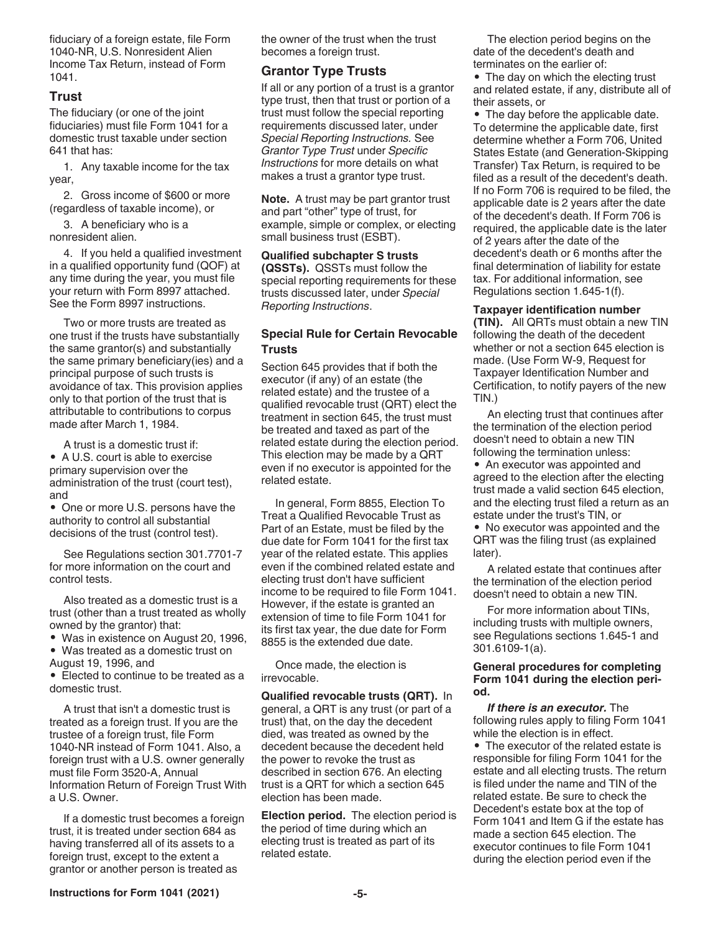fiduciary of a foreign estate, file Form 1040-NR, U.S. Nonresident Alien Income Tax Return, instead of Form 1041.

#### **Trust**

The fiduciary (or one of the joint fiduciaries) must file Form 1041 for a domestic trust taxable under section 641 that has:

1. Any taxable income for the tax year,

2. Gross income of \$600 or more (regardless of taxable income), or

3. A beneficiary who is a nonresident alien.

4. If you held a qualified investment in a qualified opportunity fund (QOF) at any time during the year, you must file your return with Form 8997 attached. See the Form 8997 instructions.

Two or more trusts are treated as one trust if the trusts have substantially the same grantor(s) and substantially the same primary beneficiary(ies) and a principal purpose of such trusts is avoidance of tax. This provision applies only to that portion of the trust that is attributable to contributions to corpus made after March 1, 1984.

A trust is a domestic trust if:

• A U.S. court is able to exercise primary supervision over the administration of the trust (court test), and

• One or more U.S. persons have the authority to control all substantial decisions of the trust (control test).

See Regulations section 301.7701-7 for more information on the court and control tests.

Also treated as a domestic trust is a trust (other than a trust treated as wholly owned by the grantor) that:

- Was in existence on August 20, 1996,
- Was treated as a domestic trust on

August 19, 1996, and

• Elected to continue to be treated as a domestic trust.

A trust that isn't a domestic trust is treated as a foreign trust. If you are the trustee of a foreign trust, file Form 1040-NR instead of Form 1041. Also, a foreign trust with a U.S. owner generally must file Form 3520-A, Annual Information Return of Foreign Trust With a U.S. Owner.

If a domestic trust becomes a foreign trust, it is treated under section 684 as having transferred all of its assets to a foreign trust, except to the extent a grantor or another person is treated as

the owner of the trust when the trust becomes a foreign trust.

### **Grantor Type Trusts**

If all or any portion of a trust is a grantor type trust, then that trust or portion of a trust must follow the special reporting requirements discussed later, under *Special Reporting Instructions.* See *Grantor Type Trust* under *Specific Instructions* for more details on what makes a trust a grantor type trust.

**Note.** A trust may be part grantor trust and part "other" type of trust, for example, simple or complex, or electing small business trust (ESBT).

**Qualified subchapter S trusts (QSSTs).** QSSTs must follow the special reporting requirements for these trusts discussed later, under *Special Reporting Instructions*.

#### **Special Rule for Certain Revocable Trusts**

Section 645 provides that if both the executor (if any) of an estate (the related estate) and the trustee of a qualified revocable trust (QRT) elect the treatment in section 645, the trust must be treated and taxed as part of the related estate during the election period. This election may be made by a QRT even if no executor is appointed for the related estate.

In general, Form 8855, Election To Treat a Qualified Revocable Trust as Part of an Estate, must be filed by the due date for Form 1041 for the first tax year of the related estate. This applies even if the combined related estate and electing trust don't have sufficient income to be required to file Form 1041. However, if the estate is granted an extension of time to file Form 1041 for its first tax year, the due date for Form 8855 is the extended due date.

Once made, the election is irrevocable.

**Qualified revocable trusts (QRT).** In general, a QRT is any trust (or part of a trust) that, on the day the decedent died, was treated as owned by the decedent because the decedent held the power to revoke the trust as described in section 676. An electing trust is a QRT for which a section 645 election has been made.

**Election period.** The election period is the period of time during which an electing trust is treated as part of its related estate.

The election period begins on the date of the decedent's death and terminates on the earlier of:

• The day on which the electing trust and related estate, if any, distribute all of their assets, or

• The day before the applicable date. To determine the applicable date, first determine whether a Form 706, United States Estate (and Generation-Skipping Transfer) Tax Return, is required to be filed as a result of the decedent's death. If no Form 706 is required to be filed, the applicable date is 2 years after the date of the decedent's death. If Form 706 is required, the applicable date is the later of 2 years after the date of the decedent's death or 6 months after the final determination of liability for estate tax. For additional information, see Regulations section 1.645-1(f).

**Taxpayer identification number (TIN).** All QRTs must obtain a new TIN following the death of the decedent whether or not a section 645 election is made. (Use Form W-9, Request for Taxpayer Identification Number and Certification, to notify payers of the new TIN.)

An electing trust that continues after the termination of the election period doesn't need to obtain a new TIN following the termination unless:

• An executor was appointed and agreed to the election after the electing trust made a valid section 645 election, and the electing trust filed a return as an estate under the trust's TIN, or

• No executor was appointed and the QRT was the filing trust (as explained later).

A related estate that continues after the termination of the election period doesn't need to obtain a new TIN.

For more information about TINs, including trusts with multiple owners, see Regulations sections 1.645-1 and 301.6109-1(a).

#### **General procedures for completing Form 1041 during the election period.**

*If there is an executor.* The following rules apply to filing Form 1041 while the election is in effect.

• The executor of the related estate is responsible for filing Form 1041 for the estate and all electing trusts. The return is filed under the name and TIN of the related estate. Be sure to check the Decedent's estate box at the top of Form 1041 and Item G if the estate has made a section 645 election. The executor continues to file Form 1041 during the election period even if the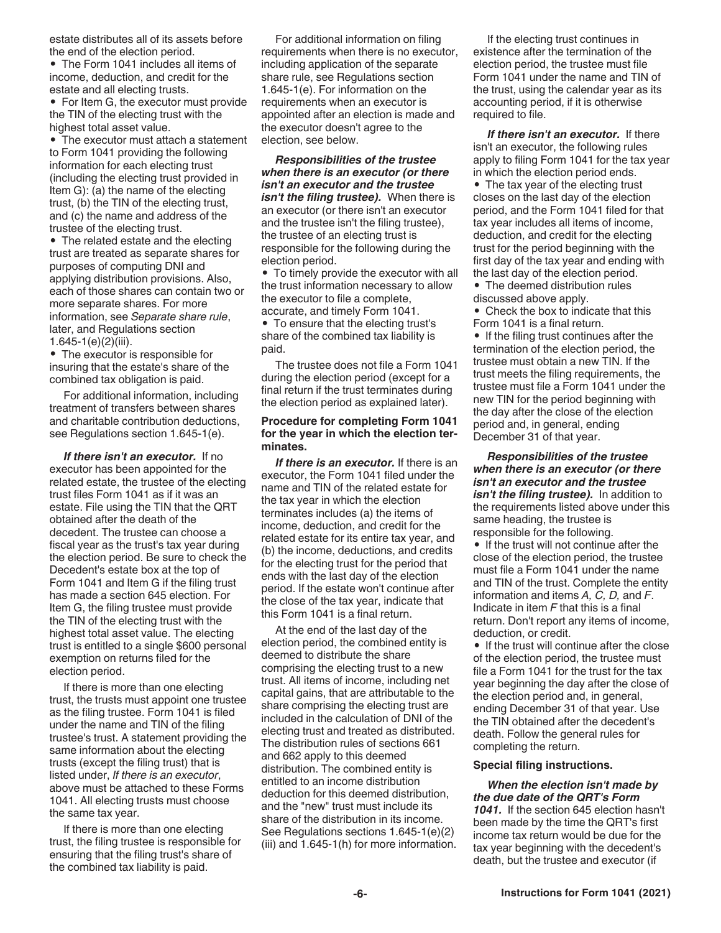estate distributes all of its assets before the end of the election period.

• The Form 1041 includes all items of income, deduction, and credit for the estate and all electing trusts.

• For Item G, the executor must provide the TIN of the electing trust with the highest total asset value.

• The executor must attach a statement to Form 1041 providing the following information for each electing trust (including the electing trust provided in Item G): (a) the name of the electing trust, (b) the TIN of the electing trust, and (c) the name and address of the trustee of the electing trust.

• The related estate and the electing trust are treated as separate shares for purposes of computing DNI and applying distribution provisions. Also, each of those shares can contain two or more separate shares. For more information, see *Separate share rule*, later, and Regulations section 1.645-1(e)(2)(iii).

• The executor is responsible for insuring that the estate's share of the combined tax obligation is paid.

For additional information, including treatment of transfers between shares and charitable contribution deductions, see Regulations section 1.645-1(e).

*If there isn't an executor.* If no executor has been appointed for the related estate, the trustee of the electing trust files Form 1041 as if it was an estate. File using the TIN that the QRT obtained after the death of the decedent. The trustee can choose a fiscal year as the trust's tax year during the election period. Be sure to check the Decedent's estate box at the top of Form 1041 and Item G if the filing trust has made a section 645 election. For Item G, the filing trustee must provide the TIN of the electing trust with the highest total asset value. The electing trust is entitled to a single \$600 personal exemption on returns filed for the election period.

If there is more than one electing trust, the trusts must appoint one trustee as the filing trustee. Form 1041 is filed under the name and TIN of the filing trustee's trust. A statement providing the same information about the electing trusts (except the filing trust) that is listed under, *If there is an executor*, above must be attached to these Forms 1041. All electing trusts must choose the same tax year.

If there is more than one electing trust, the filing trustee is responsible for ensuring that the filing trust's share of the combined tax liability is paid.

For additional information on filing requirements when there is no executor, including application of the separate share rule, see Regulations section 1.645-1(e). For information on the requirements when an executor is appointed after an election is made and the executor doesn't agree to the election, see below.

*Responsibilities of the trustee when there is an executor (or there isn't an executor and the trustee isn't the filing trustee).* When there is an executor (or there isn't an executor and the trustee isn't the filing trustee), the trustee of an electing trust is responsible for the following during the election period.

• To timely provide the executor with all the trust information necessary to allow the executor to file a complete, accurate, and timely Form 1041.

• To ensure that the electing trust's share of the combined tax liability is paid.

The trustee does not file a Form 1041 during the election period (except for a final return if the trust terminates during the election period as explained later).

#### **Procedure for completing Form 1041 for the year in which the election terminates.**

*If there is an executor.* If there is an executor, the Form 1041 filed under the name and TIN of the related estate for the tax year in which the election terminates includes (a) the items of income, deduction, and credit for the related estate for its entire tax year, and (b) the income, deductions, and credits for the electing trust for the period that ends with the last day of the election period. If the estate won't continue after the close of the tax year, indicate that this Form 1041 is a final return.

At the end of the last day of the election period, the combined entity is deemed to distribute the share comprising the electing trust to a new trust. All items of income, including net capital gains, that are attributable to the share comprising the electing trust are included in the calculation of DNI of the electing trust and treated as distributed. The distribution rules of sections 661 and 662 apply to this deemed distribution. The combined entity is entitled to an income distribution deduction for this deemed distribution, and the "new" trust must include its share of the distribution in its income. See Regulations sections 1.645-1(e)(2) (iii) and 1.645-1(h) for more information.

If the electing trust continues in existence after the termination of the election period, the trustee must file Form 1041 under the name and TIN of the trust, using the calendar year as its accounting period, if it is otherwise required to file.

*If there isn't an executor.* If there isn't an executor, the following rules apply to filing Form 1041 for the tax year in which the election period ends.

• The tax year of the electing trust closes on the last day of the election period, and the Form 1041 filed for that tax year includes all items of income, deduction, and credit for the electing trust for the period beginning with the first day of the tax year and ending with the last day of the election period.

• The deemed distribution rules discussed above apply.

• Check the box to indicate that this Form 1041 is a final return.

• If the filing trust continues after the termination of the election period, the trustee must obtain a new TIN. If the trust meets the filing requirements, the trustee must file a Form 1041 under the new TIN for the period beginning with the day after the close of the election period and, in general, ending December 31 of that year.

*Responsibilities of the trustee when there is an executor (or there isn't an executor and the trustee isn't the filing trustee).* In addition to the requirements listed above under this same heading, the trustee is responsible for the following.

• If the trust will not continue after the close of the election period, the trustee must file a Form 1041 under the name and TIN of the trust. Complete the entity information and items *A, C, D,* and *F*. Indicate in item *F* that this is a final return. Don't report any items of income, deduction, or credit.

• If the trust will continue after the close of the election period, the trustee must file a Form 1041 for the trust for the tax year beginning the day after the close of the election period and, in general, ending December 31 of that year. Use the TIN obtained after the decedent's death. Follow the general rules for completing the return.

#### **Special filing instructions.**

*When the election isn't made by the due date of the QRT's Form 1041.* If the section 645 election hasn't been made by the time the QRT's first income tax return would be due for the tax year beginning with the decedent's death, but the trustee and executor (if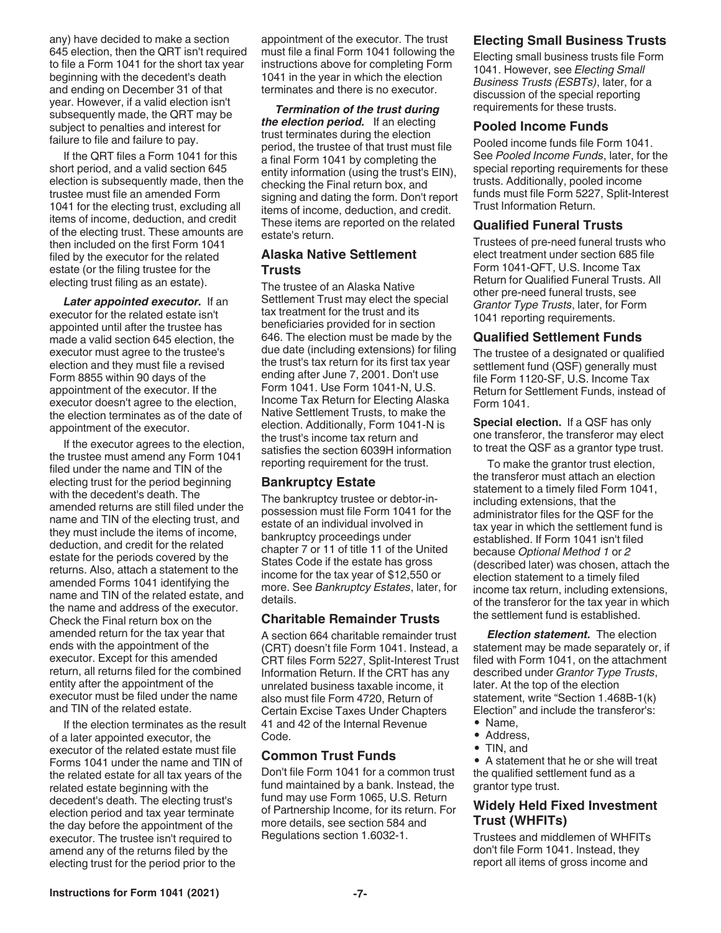any) have decided to make a section 645 election, then the QRT isn't required to file a Form 1041 for the short tax year beginning with the decedent's death and ending on December 31 of that year. However, if a valid election isn't subsequently made, the QRT may be subject to penalties and interest for failure to file and failure to pay.

If the QRT files a Form 1041 for this short period, and a valid section 645 election is subsequently made, then the trustee must file an amended Form 1041 for the electing trust, excluding all items of income, deduction, and credit of the electing trust. These amounts are then included on the first Form 1041 filed by the executor for the related estate (or the filing trustee for the electing trust filing as an estate).

*Later appointed executor.* If an executor for the related estate isn't appointed until after the trustee has made a valid section 645 election, the executor must agree to the trustee's election and they must file a revised Form 8855 within 90 days of the appointment of the executor. If the executor doesn't agree to the election, the election terminates as of the date of appointment of the executor.

If the executor agrees to the election, the trustee must amend any Form 1041 filed under the name and TIN of the electing trust for the period beginning with the decedent's death. The amended returns are still filed under the name and TIN of the electing trust, and they must include the items of income, deduction, and credit for the related estate for the periods covered by the returns. Also, attach a statement to the amended Forms 1041 identifying the name and TIN of the related estate, and the name and address of the executor. Check the Final return box on the amended return for the tax year that ends with the appointment of the executor. Except for this amended return, all returns filed for the combined entity after the appointment of the executor must be filed under the name and TIN of the related estate.

If the election terminates as the result of a later appointed executor, the executor of the related estate must file Forms 1041 under the name and TIN of the related estate for all tax years of the related estate beginning with the decedent's death. The electing trust's election period and tax year terminate the day before the appointment of the executor. The trustee isn't required to amend any of the returns filed by the electing trust for the period prior to the

appointment of the executor. The trust must file a final Form 1041 following the instructions above for completing Form 1041 in the year in which the election terminates and there is no executor.

*Termination of the trust during the election period.* If an electing trust terminates during the election period, the trustee of that trust must file a final Form 1041 by completing the entity information (using the trust's EIN), checking the Final return box, and signing and dating the form. Don't report items of income, deduction, and credit. These items are reported on the related estate's return.

#### **Alaska Native Settlement Trusts**

The trustee of an Alaska Native Settlement Trust may elect the special tax treatment for the trust and its beneficiaries provided for in section 646. The election must be made by the due date (including extensions) for filing the trust's tax return for its first tax year ending after June 7, 2001. Don't use Form 1041. Use Form 1041-N, U.S. Income Tax Return for Electing Alaska Native Settlement Trusts, to make the election. Additionally, Form 1041-N is the trust's income tax return and satisfies the section 6039H information reporting requirement for the trust.

## **Bankruptcy Estate**

The bankruptcy trustee or debtor-inpossession must file Form 1041 for the estate of an individual involved in bankruptcy proceedings under chapter 7 or 11 of title 11 of the United States Code if the estate has gross income for the tax year of \$12,550 or more. See *Bankruptcy Estates*, later, for details.

## **Charitable Remainder Trusts**

A section 664 charitable remainder trust (CRT) doesn't file Form 1041. Instead, a CRT files Form 5227, Split-Interest Trust Information Return. If the CRT has any unrelated business taxable income, it also must file Form 4720, Return of Certain Excise Taxes Under Chapters 41 and 42 of the Internal Revenue Code.

## **Common Trust Funds**

Don't file Form 1041 for a common trust fund maintained by a bank. Instead, the fund may use Form 1065, U.S. Return of Partnership Income, for its return. For more details, see section 584 and Regulations section 1.6032-1.

## **Electing Small Business Trusts**

Electing small business trusts file Form 1041. However, see *Electing Small Business Trusts (ESBTs)*, later, for a discussion of the special reporting requirements for these trusts.

### **Pooled Income Funds**

Pooled income funds file Form 1041. See *Pooled Income Funds*, later, for the special reporting requirements for these trusts. Additionally, pooled income funds must file Form 5227, Split-Interest Trust Information Return.

### **Qualified Funeral Trusts**

Trustees of pre-need funeral trusts who elect treatment under section 685 file Form 1041-QFT, U.S. Income Tax Return for Qualified Funeral Trusts. All other pre-need funeral trusts, see *Grantor Type Trusts*, later, for Form 1041 reporting requirements.

### **Qualified Settlement Funds**

The trustee of a designated or qualified settlement fund (QSF) generally must file Form 1120-SF, U.S. Income Tax Return for Settlement Funds, instead of Form 1041.

**Special election.** If a QSF has only one transferor, the transferor may elect to treat the QSF as a grantor type trust.

To make the grantor trust election. the transferor must attach an election statement to a timely filed Form 1041, including extensions, that the administrator files for the QSF for the tax year in which the settlement fund is established. If Form 1041 isn't filed because *Optional Method 1* or *2*  (described later) was chosen, attach the election statement to a timely filed income tax return, including extensions, of the transferor for the tax year in which the settlement fund is established.

*Election statement.* The election statement may be made separately or, if filed with Form 1041, on the attachment described under *Grantor Type Trusts*, later. At the top of the election statement, write "Section 1.468B-1(k) Election" and include the transferor's: • Name,

- 
- Address, • TIN, and

• A statement that he or she will treat the qualified settlement fund as a grantor type trust.

## **Widely Held Fixed Investment Trust (WHFITs)**

Trustees and middlemen of WHFITs don't file Form 1041. Instead, they report all items of gross income and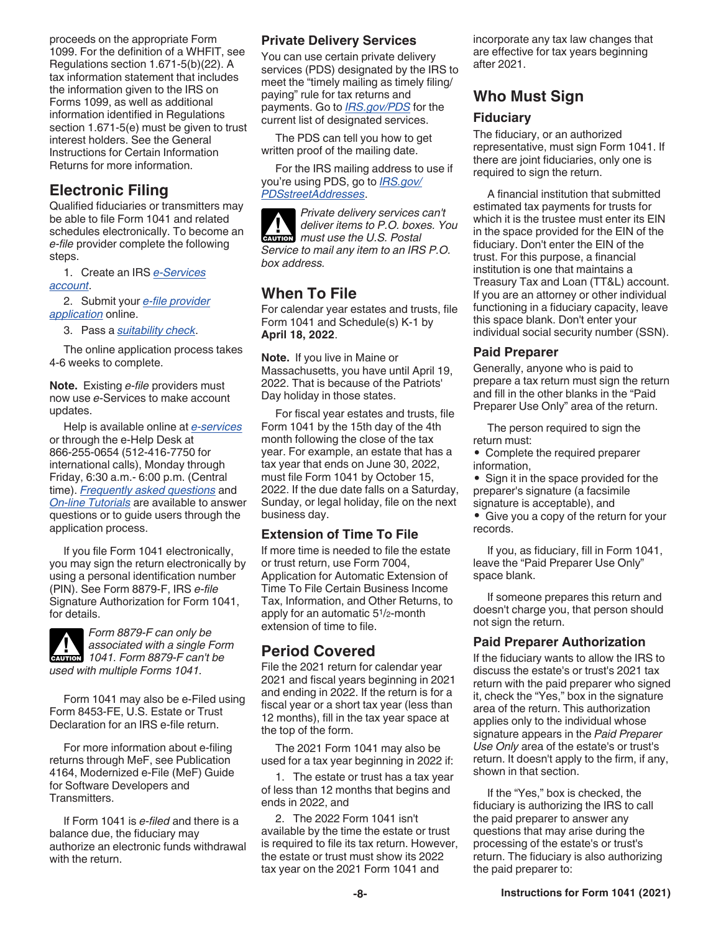proceeds on the appropriate Form 1099. For the definition of a WHFIT, see Regulations section 1.671-5(b)(22). A tax information statement that includes the information given to the IRS on Forms 1099, as well as additional information identified in Regulations section 1.671-5(e) must be given to trust interest holders. See the General Instructions for Certain Information Returns for more information.

## **Electronic Filing**

Qualified fiduciaries or transmitters may be able to file Form 1041 and related schedules electronically. To become an *e-file* provider complete the following steps.

1. Create an IRS *[e-Services](https://www.irs.gov/e-file-providers/become-an-authorized-e-file-provider#phase1) [account](https://www.irs.gov/e-file-providers/become-an-authorized-e-file-provider#phase1)*.

2. Submit your *[e-file provider](https://www.irs.gov/e-file-providers/become-an-authorized-e-file-provider#phase2)  [application](https://www.irs.gov/e-file-providers/become-an-authorized-e-file-provider#phase2)* online.

3. Pass a *[suitability check](https://www.irs.gov/e-file-providers/become-an-authorized-e-file-provider#phase3)*.

The online application process takes 4-6 weeks to complete.

**Note.** Existing *e-file* providers must now use *e*-Services to make account updates.

Help is available online at *[e-services](https://www.irs.gov/e-services)*  or through the e-Help Desk at 866-255-0654 (512-416-7750 for international calls), Monday through Friday, 6:30 a.m.- 6:00 p.m. (Central time). *[Frequently asked questions](https://www.irs.gov/individuals/faqs-about-e-services-and-secure-access)* and *[On-line Tutorials](https://www.irs.gov/individuals/secure-access-how-to-register-for-certain-online-self-help-tools)* are available to answer questions or to guide users through the application process.

If you file Form 1041 electronically, you may sign the return electronically by using a personal identification number (PIN). See Form 8879-F, IRS *e-file*  Signature Authorization for Form 1041, for details.



*Form 8879-F can only be associated with a single Form*  **2013** associated with a single Form 8879-F can't be *used with multiple Forms 1041.*

Form 1041 may also be e-Filed using Form 8453-FE, U.S. Estate or Trust Declaration for an IRS e-file return.

For more information about e-filing returns through MeF, see Publication 4164, Modernized e-File (MeF) Guide for Software Developers and Transmitters.

If Form 1041 is *e-filed* and there is a balance due, the fiduciary may authorize an electronic funds withdrawal with the return.

## **Private Delivery Services**

You can use certain private delivery services (PDS) designated by the IRS to meet the "timely mailing as timely filing/ paying" rule for tax returns and payments. Go to *[IRS.gov/PDS](https://www.irs.gov/uac/private-delivery-services-pds)* for the current list of designated services.

The PDS can tell you how to get written proof of the mailing date.

For the IRS mailing address to use if you're using PDS, go to *[IRS.gov/](https://www.irs.gov/pdsstreetaddresses) [PDSstreetAddresses](https://www.irs.gov/pdsstreetaddresses)*.

*Private delivery services can't deliver items to P.O. boxes. You*  **caution** deliver items to P.O. boxe *Service to mail any item to an IRS P.O. box address.*

## **When To File**

For calendar year estates and trusts, file Form 1041 and Schedule(s) K-1 by **April 18, 2022**.

**Note.** If you live in Maine or Massachusetts, you have until April 19, 2022. That is because of the Patriots' Day holiday in those states.

For fiscal year estates and trusts, file Form 1041 by the 15th day of the 4th month following the close of the tax year. For example, an estate that has a tax year that ends on June 30, 2022, must file Form 1041 by October 15, 2022. If the due date falls on a Saturday, Sunday, or legal holiday, file on the next business day.

## **Extension of Time To File**

If more time is needed to file the estate or trust return, use Form 7004, Application for Automatic Extension of Time To File Certain Business Income Tax, Information, and Other Returns, to apply for an automatic 51/2-month extension of time to file.

## **Period Covered**

File the 2021 return for calendar year 2021 and fiscal years beginning in 2021 and ending in 2022. If the return is for a fiscal year or a short tax year (less than 12 months), fill in the tax year space at the top of the form.

The 2021 Form 1041 may also be used for a tax year beginning in 2022 if:

1. The estate or trust has a tax year of less than 12 months that begins and ends in 2022, and

2. The 2022 Form 1041 isn't available by the time the estate or trust is required to file its tax return. However, the estate or trust must show its 2022 tax year on the 2021 Form 1041 and

incorporate any tax law changes that are effective for tax years beginning after 2021.

## **Who Must Sign**

## **Fiduciary**

The fiduciary, or an authorized representative, must sign Form 1041. If there are joint fiduciaries, only one is required to sign the return.

A financial institution that submitted estimated tax payments for trusts for which it is the trustee must enter its EIN in the space provided for the EIN of the fiduciary. Don't enter the EIN of the trust. For this purpose, a financial institution is one that maintains a Treasury Tax and Loan (TT&L) account. If you are an attorney or other individual functioning in a fiduciary capacity, leave this space blank. Don't enter your individual social security number (SSN).

#### **Paid Preparer**

Generally, anyone who is paid to prepare a tax return must sign the return and fill in the other blanks in the "Paid Preparer Use Only" area of the return.

The person required to sign the return must:

• Complete the required preparer information,

• Sign it in the space provided for the preparer's signature (a facsimile signature is acceptable), and

• Give you a copy of the return for your records.

If you, as fiduciary, fill in Form 1041, leave the "Paid Preparer Use Only" space blank.

If someone prepares this return and doesn't charge you, that person should not sign the return.

## **Paid Preparer Authorization**

If the fiduciary wants to allow the IRS to discuss the estate's or trust's 2021 tax return with the paid preparer who signed it, check the "Yes," box in the signature area of the return. This authorization applies only to the individual whose signature appears in the *Paid Preparer Use Only* area of the estate's or trust's return. It doesn't apply to the firm, if any, shown in that section.

If the "Yes," box is checked, the fiduciary is authorizing the IRS to call the paid preparer to answer any questions that may arise during the processing of the estate's or trust's return. The fiduciary is also authorizing the paid preparer to: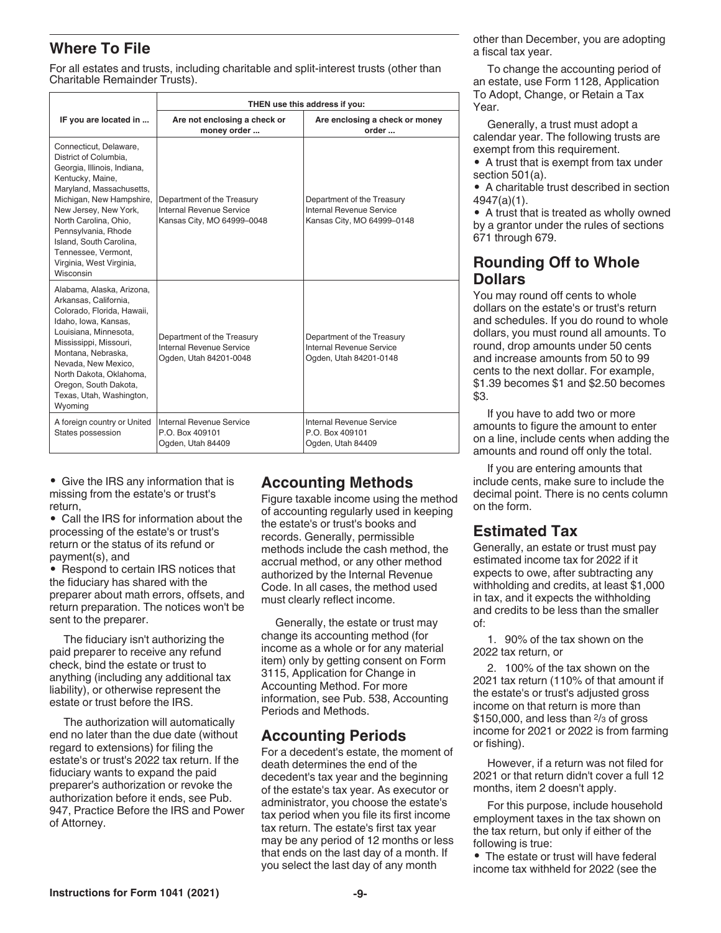## **Where To File**

For all estates and trusts, including charitable and split-interest trusts (other than Charitable Remainder Trusts).

|                                                                                                                                                                                                                                                                                                                                | THEN use this address if you:                                                        |                                                                                      |  |  |  |  |
|--------------------------------------------------------------------------------------------------------------------------------------------------------------------------------------------------------------------------------------------------------------------------------------------------------------------------------|--------------------------------------------------------------------------------------|--------------------------------------------------------------------------------------|--|--|--|--|
| IF you are located in                                                                                                                                                                                                                                                                                                          | Are not enclosing a check or<br>money order                                          | Are enclosing a check or money<br>order                                              |  |  |  |  |
| Connecticut, Delaware,<br>District of Columbia.<br>Georgia, Illinois, Indiana,<br>Kentucky, Maine,<br>Maryland, Massachusetts,<br>Michigan, New Hampshire,<br>New Jersey, New York,<br>North Carolina, Ohio,<br>Pennsylvania, Rhode<br>Island. South Carolina.<br>Tennessee, Vermont,<br>Virginia, West Virginia,<br>Wisconsin | Department of the Treasury<br>Internal Revenue Service<br>Kansas City, MO 64999-0048 | Department of the Treasury<br>Internal Revenue Service<br>Kansas City, MO 64999-0148 |  |  |  |  |
| Alabama, Alaska, Arizona,<br>Arkansas, California.<br>Colorado, Florida, Hawaii,<br>Idaho, Iowa, Kansas,<br>Louisiana, Minnesota,<br>Mississippi, Missouri,<br>Montana. Nebraska.<br>Nevada, New Mexico,<br>North Dakota, Oklahoma.<br>Oregon, South Dakota,<br>Texas, Utah, Washington,<br>Wyoming                            | Department of the Treasury<br>Internal Revenue Service<br>Ogden, Utah 84201-0048     | Department of the Treasury<br>Internal Revenue Service<br>Ogden, Utah 84201-0148     |  |  |  |  |
| A foreign country or United<br>States possession                                                                                                                                                                                                                                                                               | Internal Revenue Service<br>P.O. Box 409101<br>Ogden, Utah 84409                     | Internal Revenue Service<br>P.O. Box 409101<br>Ogden, Utah 84409                     |  |  |  |  |

• Give the IRS any information that is missing from the estate's or trust's return,

• Call the IRS for information about the processing of the estate's or trust's return or the status of its refund or payment(s), and

• Respond to certain IRS notices that the fiduciary has shared with the preparer about math errors, offsets, and return preparation. The notices won't be sent to the preparer.

The fiduciary isn't authorizing the paid preparer to receive any refund check, bind the estate or trust to anything (including any additional tax liability), or otherwise represent the estate or trust before the IRS.

The authorization will automatically end no later than the due date (without regard to extensions) for filing the estate's or trust's 2022 tax return. If the fiduciary wants to expand the paid preparer's authorization or revoke the authorization before it ends, see Pub. 947, Practice Before the IRS and Power of Attorney.

## **Accounting Methods**

Figure taxable income using the method of accounting regularly used in keeping the estate's or trust's books and records. Generally, permissible methods include the cash method, the accrual method, or any other method authorized by the Internal Revenue Code. In all cases, the method used must clearly reflect income.

Generally, the estate or trust may change its accounting method (for income as a whole or for any material item) only by getting consent on Form 3115, Application for Change in Accounting Method. For more information, see Pub. 538, Accounting Periods and Methods.

## **Accounting Periods**

For a decedent's estate, the moment of death determines the end of the decedent's tax year and the beginning of the estate's tax year. As executor or administrator, you choose the estate's tax period when you file its first income tax return. The estate's first tax year may be any period of 12 months or less that ends on the last day of a month. If you select the last day of any month

other than December, you are adopting a fiscal tax year.

To change the accounting period of an estate, use Form 1128, Application To Adopt, Change, or Retain a Tax Year.

Generally, a trust must adopt a calendar year. The following trusts are exempt from this requirement.

• A trust that is exempt from tax under section 501(a).

• A charitable trust described in section 4947(a)(1).

• A trust that is treated as wholly owned by a grantor under the rules of sections 671 through 679.

## **Rounding Off to Whole Dollars**

You may round off cents to whole dollars on the estate's or trust's return and schedules. If you do round to whole dollars, you must round all amounts. To round, drop amounts under 50 cents and increase amounts from 50 to 99 cents to the next dollar. For example, \$1.39 becomes \$1 and \$2.50 becomes \$3.

If you have to add two or more amounts to figure the amount to enter on a line, include cents when adding the amounts and round off only the total.

If you are entering amounts that include cents, make sure to include the decimal point. There is no cents column on the form.

## **Estimated Tax**

Generally, an estate or trust must pay estimated income tax for 2022 if it expects to owe, after subtracting any withholding and credits, at least \$1,000 in tax, and it expects the withholding and credits to be less than the smaller of:

1. 90% of the tax shown on the 2022 tax return, or

2. 100% of the tax shown on the 2021 tax return (110% of that amount if the estate's or trust's adjusted gross income on that return is more than  $$150,000$ , and less than  $2/3$  of gross income for 2021 or 2022 is from farming or fishing).

However, if a return was not filed for 2021 or that return didn't cover a full 12 months, item 2 doesn't apply.

For this purpose, include household employment taxes in the tax shown on the tax return, but only if either of the following is true:

• The estate or trust will have federal income tax withheld for 2022 (see the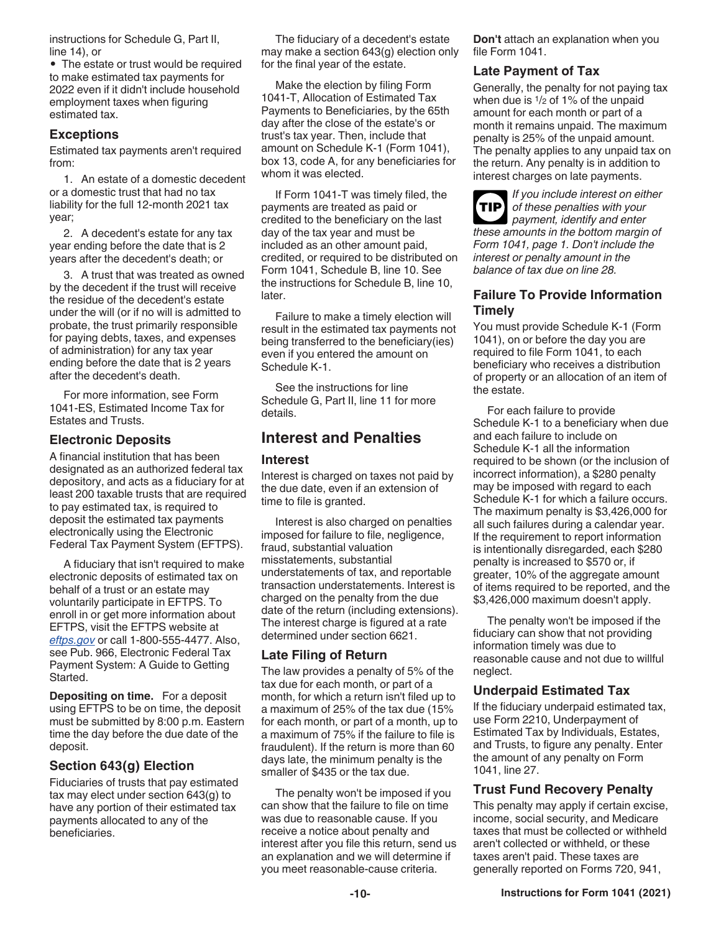instructions for Schedule G, Part II, line 14), or

• The estate or trust would be required to make estimated tax payments for 2022 even if it didn't include household employment taxes when figuring estimated tax.

#### **Exceptions**

Estimated tax payments aren't required from:

1. An estate of a domestic decedent or a domestic trust that had no tax liability for the full 12-month 2021 tax year;

2. A decedent's estate for any tax year ending before the date that is 2 years after the decedent's death; or

3. A trust that was treated as owned by the decedent if the trust will receive the residue of the decedent's estate under the will (or if no will is admitted to probate, the trust primarily responsible for paying debts, taxes, and expenses of administration) for any tax year ending before the date that is 2 years after the decedent's death.

For more information, see Form 1041-ES, Estimated Income Tax for Estates and Trusts.

#### **Electronic Deposits**

A financial institution that has been designated as an authorized federal tax depository, and acts as a fiduciary for at least 200 taxable trusts that are required to pay estimated tax, is required to deposit the estimated tax payments electronically using the Electronic Federal Tax Payment System (EFTPS).

A fiduciary that isn't required to make electronic deposits of estimated tax on behalf of a trust or an estate may voluntarily participate in EFTPS. To enroll in or get more information about EFTPS, visit the EFTPS website at *[eftps.gov](https://www.eftps.gov)* or call 1-800-555-4477. Also, see Pub. 966, Electronic Federal Tax Payment System: A Guide to Getting Started.

**Depositing on time.** For a deposit using EFTPS to be on time, the deposit must be submitted by 8:00 p.m. Eastern time the day before the due date of the deposit.

#### **Section 643(g) Election**

Fiduciaries of trusts that pay estimated tax may elect under section 643(g) to have any portion of their estimated tax payments allocated to any of the beneficiaries.

The fiduciary of a decedent's estate may make a section 643(g) election only for the final year of the estate.

Make the election by filing Form 1041-T, Allocation of Estimated Tax Payments to Beneficiaries, by the 65th day after the close of the estate's or trust's tax year. Then, include that amount on Schedule K-1 (Form 1041), box 13, code A, for any beneficiaries for whom it was elected.

If Form 1041-T was timely filed, the payments are treated as paid or credited to the beneficiary on the last day of the tax year and must be included as an other amount paid, credited, or required to be distributed on Form 1041, Schedule B, line 10. See the instructions for Schedule B, line 10, later.

Failure to make a timely election will result in the estimated tax payments not being transferred to the beneficiary(ies) even if you entered the amount on Schedule K-1.

See the instructions for line Schedule G, Part II, line 11 for more details.

## **Interest and Penalties**

#### **Interest**

Interest is charged on taxes not paid by the due date, even if an extension of time to file is granted.

Interest is also charged on penalties imposed for failure to file, negligence, fraud, substantial valuation misstatements, substantial understatements of tax, and reportable transaction understatements. Interest is charged on the penalty from the due date of the return (including extensions). The interest charge is figured at a rate determined under section 6621.

#### **Late Filing of Return**

The law provides a penalty of 5% of the tax due for each month, or part of a month, for which a return isn't filed up to a maximum of 25% of the tax due (15% for each month, or part of a month, up to a maximum of 75% if the failure to file is fraudulent). If the return is more than 60 days late, the minimum penalty is the smaller of \$435 or the tax due.

The penalty won't be imposed if you can show that the failure to file on time was due to reasonable cause. If you receive a notice about penalty and interest after you file this return, send us an explanation and we will determine if you meet reasonable-cause criteria.

**Don't** attach an explanation when you file Form 1041.

#### **Late Payment of Tax**

Generally, the penalty for not paying tax when due is  $1/2$  of 1% of the unpaid amount for each month or part of a month it remains unpaid. The maximum penalty is 25% of the unpaid amount. The penalty applies to any unpaid tax on the return. Any penalty is in addition to interest charges on late payments.

*If you include interest on either of these penalties with your payment, identify and enter these amounts in the bottom margin of Form 1041, page 1. Don't include the interest or penalty amount in the balance of tax due on line 28.* **TIP**

#### **Failure To Provide Information Timely**

You must provide Schedule K-1 (Form 1041), on or before the day you are required to file Form 1041, to each beneficiary who receives a distribution of property or an allocation of an item of the estate.

For each failure to provide Schedule K-1 to a beneficiary when due and each failure to include on Schedule K-1 all the information required to be shown (or the inclusion of incorrect information), a \$280 penalty may be imposed with regard to each Schedule K-1 for which a failure occurs. The maximum penalty is \$3,426,000 for all such failures during a calendar year. If the requirement to report information is intentionally disregarded, each \$280 penalty is increased to \$570 or, if greater, 10% of the aggregate amount of items required to be reported, and the \$3,426,000 maximum doesn't apply.

The penalty won't be imposed if the fiduciary can show that not providing information timely was due to reasonable cause and not due to willful neglect.

#### **Underpaid Estimated Tax**

If the fiduciary underpaid estimated tax, use Form 2210, Underpayment of Estimated Tax by Individuals, Estates, and Trusts, to figure any penalty. Enter the amount of any penalty on Form 1041, line 27.

## **Trust Fund Recovery Penalty**

This penalty may apply if certain excise, income, social security, and Medicare taxes that must be collected or withheld aren't collected or withheld, or these taxes aren't paid. These taxes are generally reported on Forms 720, 941,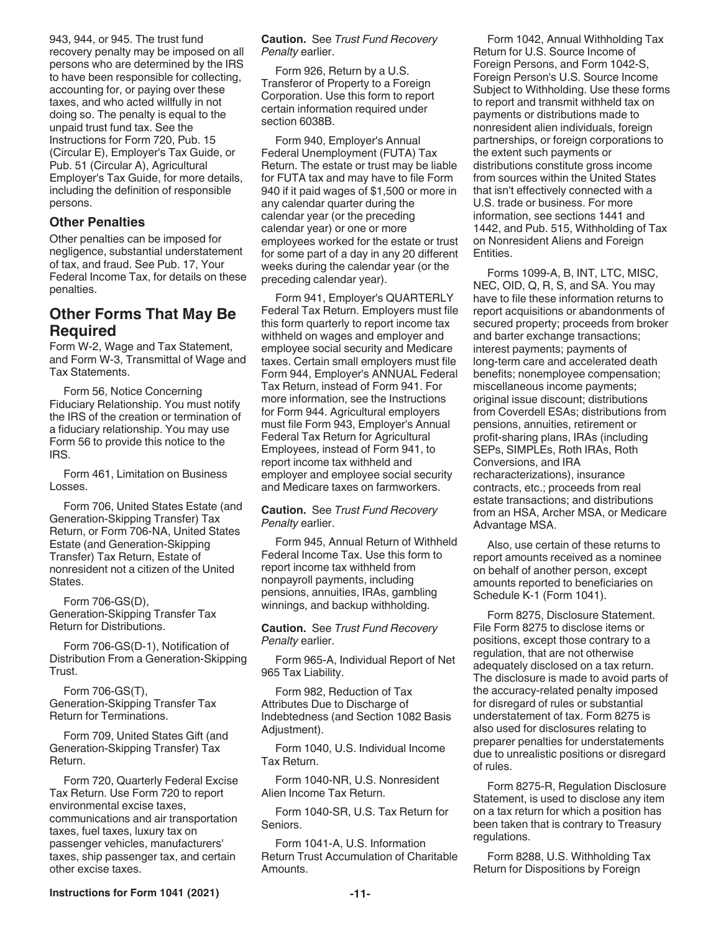943, 944, or 945. The trust fund recovery penalty may be imposed on all persons who are determined by the IRS to have been responsible for collecting, accounting for, or paying over these taxes, and who acted willfully in not doing so. The penalty is equal to the unpaid trust fund tax. See the Instructions for Form 720, Pub. 15 (Circular E), Employer's Tax Guide, or Pub. 51 (Circular A), Agricultural Employer's Tax Guide, for more details, including the definition of responsible persons.

#### **Other Penalties**

Other penalties can be imposed for negligence, substantial understatement of tax, and fraud. See Pub. 17, Your Federal Income Tax, for details on these penalties.

## **Other Forms That May Be Required**

Form W-2, Wage and Tax Statement, and Form W-3, Transmittal of Wage and Tax Statements.

Form 56, Notice Concerning Fiduciary Relationship. You must notify the IRS of the creation or termination of a fiduciary relationship. You may use Form 56 to provide this notice to the IRS.

Form 461, Limitation on Business Losses.

Form 706, United States Estate (and Generation-Skipping Transfer) Tax Return, or Form 706-NA, United States Estate (and Generation-Skipping Transfer) Tax Return, Estate of nonresident not a citizen of the United States.

Form 706-GS(D), Generation-Skipping Transfer Tax Return for Distributions.

Form 706-GS(D-1), Notification of Distribution From a Generation-Skipping Trust.

Form 706-GS(T), Generation-Skipping Transfer Tax Return for Terminations.

Form 709, United States Gift (and Generation-Skipping Transfer) Tax Return.

Form 720, Quarterly Federal Excise Tax Return. Use Form 720 to report environmental excise taxes, communications and air transportation taxes, fuel taxes, luxury tax on passenger vehicles, manufacturers' taxes, ship passenger tax, and certain other excise taxes.

**Caution.** See *Trust Fund Recovery Penalty* earlier.

Form 926, Return by a U.S. Transferor of Property to a Foreign Corporation. Use this form to report certain information required under section 6038B.

Form 940, Employer's Annual Federal Unemployment (FUTA) Tax Return. The estate or trust may be liable for FUTA tax and may have to file Form 940 if it paid wages of \$1,500 or more in any calendar quarter during the calendar year (or the preceding calendar year) or one or more employees worked for the estate or trust for some part of a day in any 20 different weeks during the calendar year (or the preceding calendar year).

Form 941, Employer's QUARTERLY Federal Tax Return. Employers must file this form quarterly to report income tax withheld on wages and employer and employee social security and Medicare taxes. Certain small employers must file Form 944, Employer's ANNUAL Federal Tax Return, instead of Form 941. For more information, see the Instructions for Form 944. Agricultural employers must file Form 943, Employer's Annual Federal Tax Return for Agricultural Employees, instead of Form 941, to report income tax withheld and employer and employee social security and Medicare taxes on farmworkers.

**Caution.** See *Trust Fund Recovery Penalty* earlier.

Form 945, Annual Return of Withheld Federal Income Tax. Use this form to report income tax withheld from nonpayroll payments, including pensions, annuities, IRAs, gambling winnings, and backup withholding.

**Caution.** See *Trust Fund Recovery Penalty* earlier.

Form 965-A, Individual Report of Net 965 Tax Liability.

Form 982, Reduction of Tax Attributes Due to Discharge of Indebtedness (and Section 1082 Basis Adjustment).

Form 1040, U.S. Individual Income Tax Return.

Form 1040-NR, U.S. Nonresident Alien Income Tax Return.

Form 1040-SR, U.S. Tax Return for Seniors.

Form 1041-A, U.S. Information Return Trust Accumulation of Charitable Amounts.

Form 1042, Annual Withholding Tax Return for U.S. Source Income of Foreign Persons, and Form 1042-S, Foreign Person's U.S. Source Income Subject to Withholding. Use these forms to report and transmit withheld tax on payments or distributions made to nonresident alien individuals, foreign partnerships, or foreign corporations to the extent such payments or distributions constitute gross income from sources within the United States that isn't effectively connected with a U.S. trade or business. For more information, see sections 1441 and 1442, and Pub. 515, Withholding of Tax on Nonresident Aliens and Foreign Entities.

Forms 1099-A, B, INT, LTC, MISC, NEC, OID, Q, R, S, and SA. You may have to file these information returns to report acquisitions or abandonments of secured property; proceeds from broker and barter exchange transactions; interest payments; payments of long-term care and accelerated death benefits; nonemployee compensation; miscellaneous income payments; original issue discount; distributions from Coverdell ESAs; distributions from pensions, annuities, retirement or profit-sharing plans, IRAs (including SEPs, SIMPLEs, Roth IRAs, Roth Conversions, and IRA recharacterizations), insurance contracts, etc.; proceeds from real estate transactions; and distributions from an HSA, Archer MSA, or Medicare Advantage MSA.

Also, use certain of these returns to report amounts received as a nominee on behalf of another person, except amounts reported to beneficiaries on Schedule K-1 (Form 1041).

Form 8275, Disclosure Statement. File Form 8275 to disclose items or positions, except those contrary to a regulation, that are not otherwise adequately disclosed on a tax return. The disclosure is made to avoid parts of the accuracy-related penalty imposed for disregard of rules or substantial understatement of tax. Form 8275 is also used for disclosures relating to preparer penalties for understatements due to unrealistic positions or disregard of rules.

Form 8275-R, Regulation Disclosure Statement, is used to disclose any item on a tax return for which a position has been taken that is contrary to Treasury regulations.

Form 8288, U.S. Withholding Tax Return for Dispositions by Foreign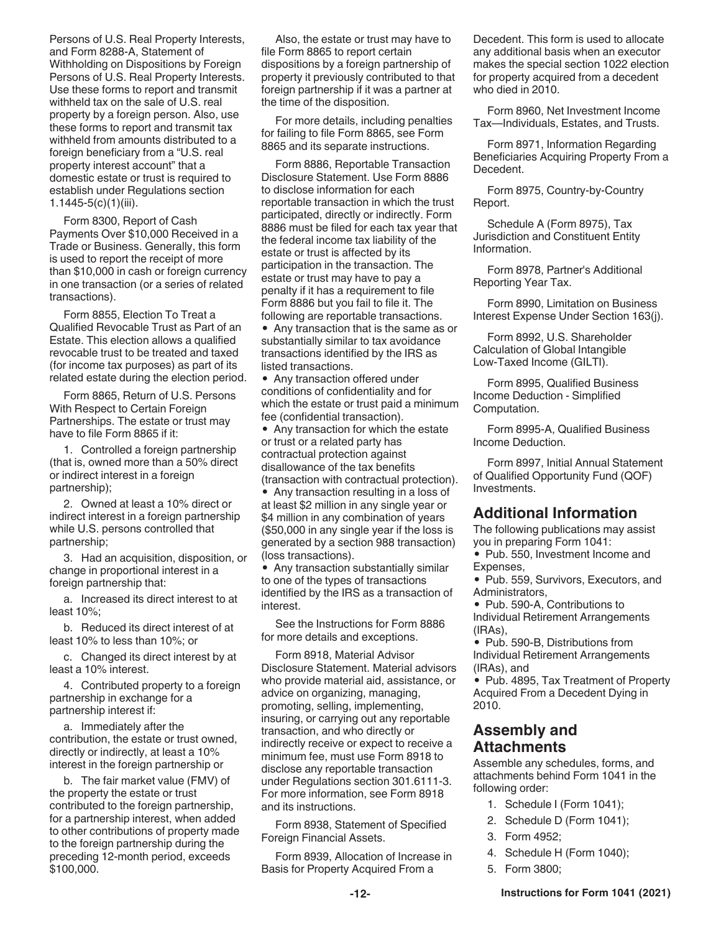Persons of U.S. Real Property Interests, and Form 8288-A, Statement of Withholding on Dispositions by Foreign Persons of U.S. Real Property Interests. Use these forms to report and transmit withheld tax on the sale of U.S. real property by a foreign person. Also, use these forms to report and transmit tax withheld from amounts distributed to a foreign beneficiary from a "U.S. real property interest account" that a domestic estate or trust is required to establish under Regulations section 1.1445-5(c)(1)(iii).

Form 8300, Report of Cash Payments Over \$10,000 Received in a Trade or Business. Generally, this form is used to report the receipt of more than \$10,000 in cash or foreign currency in one transaction (or a series of related transactions).

Form 8855, Election To Treat a Qualified Revocable Trust as Part of an Estate. This election allows a qualified revocable trust to be treated and taxed (for income tax purposes) as part of its related estate during the election period.

Form 8865, Return of U.S. Persons With Respect to Certain Foreign Partnerships. The estate or trust may have to file Form 8865 if it:

1. Controlled a foreign partnership (that is, owned more than a 50% direct or indirect interest in a foreign partnership);

2. Owned at least a 10% direct or indirect interest in a foreign partnership while U.S. persons controlled that partnership;

3. Had an acquisition, disposition, or change in proportional interest in a foreign partnership that:

a. Increased its direct interest to at least 10%;

b. Reduced its direct interest of at least 10% to less than 10%; or

c. Changed its direct interest by at least a 10% interest.

4. Contributed property to a foreign partnership in exchange for a partnership interest if:

a. Immediately after the contribution, the estate or trust owned, directly or indirectly, at least a 10% interest in the foreign partnership or

b. The fair market value (FMV) of the property the estate or trust contributed to the foreign partnership, for a partnership interest, when added to other contributions of property made to the foreign partnership during the preceding 12-month period, exceeds \$100,000.

Also, the estate or trust may have to file Form 8865 to report certain dispositions by a foreign partnership of property it previously contributed to that foreign partnership if it was a partner at the time of the disposition.

For more details, including penalties for failing to file Form 8865, see Form 8865 and its separate instructions.

Form 8886, Reportable Transaction Disclosure Statement. Use Form 8886 to disclose information for each reportable transaction in which the trust participated, directly or indirectly. Form 8886 must be filed for each tax year that the federal income tax liability of the estate or trust is affected by its participation in the transaction. The estate or trust may have to pay a penalty if it has a requirement to file Form 8886 but you fail to file it. The following are reportable transactions.

• Any transaction that is the same as or substantially similar to tax avoidance transactions identified by the IRS as listed transactions.

• Any transaction offered under conditions of confidentiality and for which the estate or trust paid a minimum fee (confidential transaction).

• Any transaction for which the estate or trust or a related party has contractual protection against disallowance of the tax benefits (transaction with contractual protection).

• Any transaction resulting in a loss of at least \$2 million in any single year or \$4 million in any combination of years (\$50,000 in any single year if the loss is generated by a section 988 transaction) (loss transactions).

• Any transaction substantially similar to one of the types of transactions identified by the IRS as a transaction of interest.

See the Instructions for Form 8886 for more details and exceptions.

Form 8918, Material Advisor Disclosure Statement. Material advisors who provide material aid, assistance, or advice on organizing, managing, promoting, selling, implementing, insuring, or carrying out any reportable transaction, and who directly or indirectly receive or expect to receive a minimum fee, must use Form 8918 to disclose any reportable transaction under Regulations section 301.6111-3. For more information, see Form 8918 and its instructions.

Form 8938, Statement of Specified Foreign Financial Assets.

Form 8939, Allocation of Increase in Basis for Property Acquired From a

Decedent. This form is used to allocate any additional basis when an executor makes the special section 1022 election for property acquired from a decedent who died in 2010.

Form 8960, Net Investment Income Tax—Individuals, Estates, and Trusts.

Form 8971, Information Regarding Beneficiaries Acquiring Property From a Decedent.

Form 8975, Country-by-Country Report.

Schedule A (Form 8975), Tax Jurisdiction and Constituent Entity Information.

Form 8978, Partner's Additional Reporting Year Tax.

Form 8990, Limitation on Business Interest Expense Under Section 163(j).

Form 8992, U.S. Shareholder Calculation of Global Intangible Low-Taxed Income (GILTI).

Form 8995, Qualified Business Income Deduction - Simplified Computation.

Form 8995-A, Qualified Business Income Deduction.

Form 8997, Initial Annual Statement of Qualified Opportunity Fund (QOF) Investments.

## **Additional Information**

The following publications may assist you in preparing Form 1041:

• Pub. 550, Investment Income and Expenses,

• Pub. 559, Survivors, Executors, and Administrators,

• Pub. 590-A, Contributions to Individual Retirement Arrangements (IRAs),

• Pub. 590-B, Distributions from Individual Retirement Arrangements (IRAs), and

• Pub. 4895, Tax Treatment of Property Acquired From a Decedent Dying in 2010.

## **Assembly and Attachments**

Assemble any schedules, forms, and attachments behind Form 1041 in the following order:

- 1. Schedule I (Form 1041);
- 2. Schedule D (Form 1041);
- 3. Form 4952;
- 4. Schedule H (Form 1040);
- 5. Form 3800;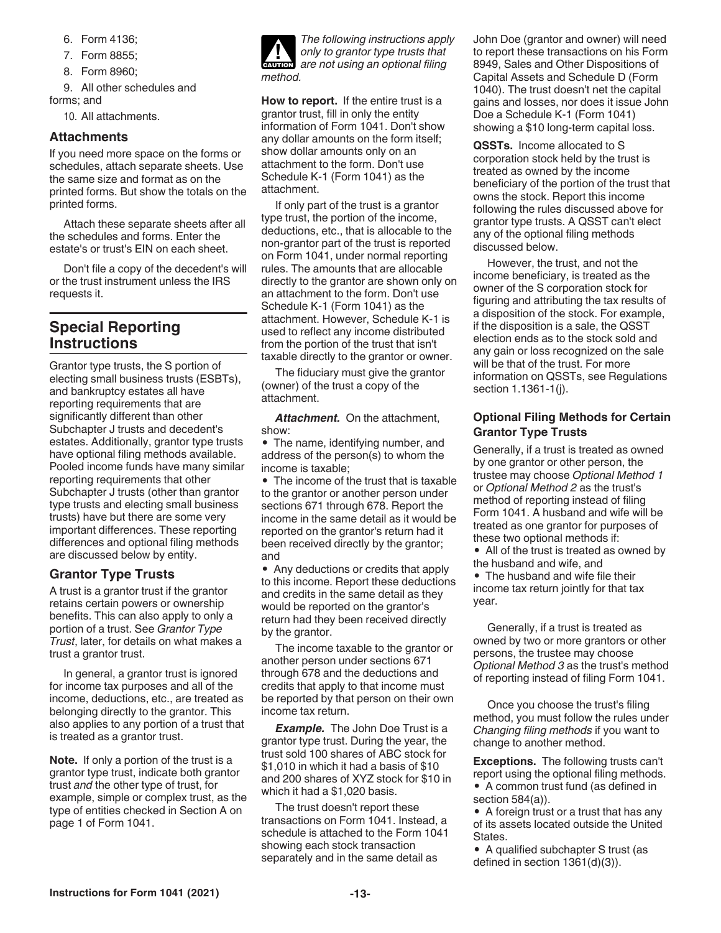- 6. Form 4136;
- 7. Form 8855;
- 8. Form 8960;

9. All other schedules and forms; and

10. All attachments.

#### **Attachments**

If you need more space on the forms or schedules, attach separate sheets. Use the same size and format as on the printed forms. But show the totals on the printed forms.

Attach these separate sheets after all the schedules and forms. Enter the estate's or trust's EIN on each sheet.

Don't file a copy of the decedent's will or the trust instrument unless the IRS requests it.

## **Special Reporting Instructions**

Grantor type trusts, the S portion of electing small business trusts (ESBTs), and bankruptcy estates all have reporting requirements that are significantly different than other Subchapter J trusts and decedent's estates. Additionally, grantor type trusts have optional filing methods available. Pooled income funds have many similar reporting requirements that other Subchapter J trusts (other than grantor type trusts and electing small business trusts) have but there are some very important differences. These reporting differences and optional filing methods are discussed below by entity.

## **Grantor Type Trusts**

A trust is a grantor trust if the grantor retains certain powers or ownership benefits. This can also apply to only a portion of a trust. See *Grantor Type Trust*, later, for details on what makes a trust a grantor trust.

In general, a grantor trust is ignored for income tax purposes and all of the income, deductions, etc., are treated as belonging directly to the grantor. This also applies to any portion of a trust that is treated as a grantor trust.

**Note.** If only a portion of the trust is a grantor type trust, indicate both grantor trust *and* the other type of trust, for example, simple or complex trust, as the type of entities checked in Section A on page 1 of Form 1041.



*The following instructions apply only to grantor type trusts that are not using an optional filing* 

**How to report.** If the entire trust is a grantor trust, fill in only the entity information of Form 1041. Don't show any dollar amounts on the form itself; show dollar amounts only on an attachment to the form. Don't use Schedule K-1 (Form 1041) as the attachment.

If only part of the trust is a grantor type trust, the portion of the income, deductions, etc., that is allocable to the non-grantor part of the trust is reported on Form 1041, under normal reporting rules. The amounts that are allocable directly to the grantor are shown only on an attachment to the form. Don't use Schedule K-1 (Form 1041) as the attachment. However, Schedule K-1 is used to reflect any income distributed from the portion of the trust that isn't taxable directly to the grantor or owner.

The fiduciary must give the grantor (owner) of the trust a copy of the attachment.

*Attachment.* On the attachment, show:

• The name, identifying number, and address of the person(s) to whom the income is taxable;

• The income of the trust that is taxable to the grantor or another person under sections 671 through 678. Report the income in the same detail as it would be reported on the grantor's return had it been received directly by the grantor; and

• Any deductions or credits that apply to this income. Report these deductions and credits in the same detail as they would be reported on the grantor's return had they been received directly by the grantor.

The income taxable to the grantor or another person under sections 671 through 678 and the deductions and credits that apply to that income must be reported by that person on their own income tax return.

*Example.* The John Doe Trust is a grantor type trust. During the year, the trust sold 100 shares of ABC stock for \$1,010 in which it had a basis of \$10 and 200 shares of XYZ stock for \$10 in which it had a \$1,020 basis.

The trust doesn't report these transactions on Form 1041. Instead, a schedule is attached to the Form 1041 showing each stock transaction separately and in the same detail as

John Doe (grantor and owner) will need to report these transactions on his Form 8949, Sales and Other Dispositions of Capital Assets and Schedule D (Form 1040). The trust doesn't net the capital gains and losses, nor does it issue John Doe a Schedule K-1 (Form 1041) showing a \$10 long-term capital loss.

**QSSTs.** Income allocated to S corporation stock held by the trust is treated as owned by the income beneficiary of the portion of the trust that owns the stock. Report this income following the rules discussed above for grantor type trusts. A QSST can't elect any of the optional filing methods discussed below.

However, the trust, and not the income beneficiary, is treated as the owner of the S corporation stock for figuring and attributing the tax results of a disposition of the stock. For example, if the disposition is a sale, the QSST election ends as to the stock sold and any gain or loss recognized on the sale will be that of the trust. For more information on QSSTs, see Regulations section 1.1361-1(j).

#### **Optional Filing Methods for Certain Grantor Type Trusts**

Generally, if a trust is treated as owned by one grantor or other person, the trustee may choose *Optional Method 1*  or *Optional Method 2* as the trust's method of reporting instead of filing Form 1041. A husband and wife will be treated as one grantor for purposes of these two optional methods if:

• All of the trust is treated as owned by the husband and wife, and

• The husband and wife file their income tax return jointly for that tax year.

Generally, if a trust is treated as owned by two or more grantors or other persons, the trustee may choose *Optional Method 3* as the trust's method of reporting instead of filing Form 1041.

Once you choose the trust's filing method, you must follow the rules under *Changing filing methods* if you want to change to another method.

**Exceptions.** The following trusts can't report using the optional filing methods.

- A common trust fund (as defined in section 584(a)).
- A foreign trust or a trust that has any of its assets located outside the United States.
- A qualified subchapter S trust (as defined in section 1361(d)(3)).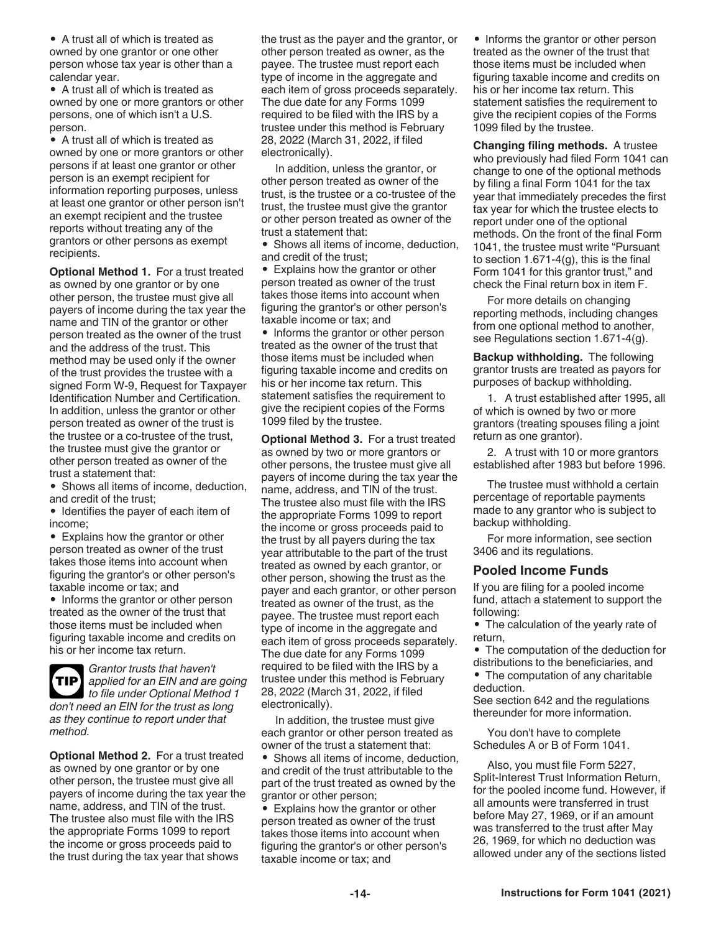• A trust all of which is treated as owned by one grantor or one other person whose tax year is other than a calendar year.

• A trust all of which is treated as owned by one or more grantors or other persons, one of which isn't a U.S. person.

• A trust all of which is treated as owned by one or more grantors or other persons if at least one grantor or other person is an exempt recipient for information reporting purposes, unless at least one grantor or other person isn't an exempt recipient and the trustee reports without treating any of the grantors or other persons as exempt recipients.

**Optional Method 1.** For a trust treated as owned by one grantor or by one other person, the trustee must give all payers of income during the tax year the name and TIN of the grantor or other person treated as the owner of the trust and the address of the trust. This method may be used only if the owner of the trust provides the trustee with a signed Form W-9, Request for Taxpayer Identification Number and Certification. In addition, unless the grantor or other person treated as owner of the trust is the trustee or a co-trustee of the trust, the trustee must give the grantor or other person treated as owner of the trust a statement that:

• Shows all items of income, deduction, and credit of the trust;

• Identifies the payer of each item of income;

• Explains how the grantor or other person treated as owner of the trust takes those items into account when figuring the grantor's or other person's taxable income or tax; and

• Informs the grantor or other person treated as the owner of the trust that those items must be included when figuring taxable income and credits on his or her income tax return.



*Grantor trusts that haven't applied for an EIN and are going*  **TIP** *to file under Optional Method 1 don't need an EIN for the trust as long as they continue to report under that method.*

**Optional Method 2.** For a trust treated as owned by one grantor or by one other person, the trustee must give all payers of income during the tax year the name, address, and TIN of the trust. The trustee also must file with the IRS the appropriate Forms 1099 to report the income or gross proceeds paid to the trust during the tax year that shows

the trust as the payer and the grantor, or other person treated as owner, as the payee. The trustee must report each type of income in the aggregate and each item of gross proceeds separately. The due date for any Forms 1099 required to be filed with the IRS by a trustee under this method is February 28, 2022 (March 31, 2022, if filed electronically).

In addition, unless the grantor, or other person treated as owner of the trust, is the trustee or a co-trustee of the trust, the trustee must give the grantor or other person treated as owner of the trust a statement that:

• Shows all items of income, deduction, and credit of the trust;

• Explains how the grantor or other person treated as owner of the trust takes those items into account when figuring the grantor's or other person's taxable income or tax; and

• Informs the grantor or other person treated as the owner of the trust that those items must be included when figuring taxable income and credits on his or her income tax return. This statement satisfies the requirement to give the recipient copies of the Forms 1099 filed by the trustee.

**Optional Method 3.** For a trust treated as owned by two or more grantors or other persons, the trustee must give all payers of income during the tax year the name, address, and TIN of the trust. The trustee also must file with the IRS the appropriate Forms 1099 to report the income or gross proceeds paid to the trust by all payers during the tax year attributable to the part of the trust treated as owned by each grantor, or other person, showing the trust as the payer and each grantor, or other person treated as owner of the trust, as the payee. The trustee must report each type of income in the aggregate and each item of gross proceeds separately. The due date for any Forms 1099 required to be filed with the IRS by a trustee under this method is February 28, 2022 (March 31, 2022, if filed electronically).

In addition, the trustee must give each grantor or other person treated as owner of the trust a statement that:

• Shows all items of income, deduction, and credit of the trust attributable to the part of the trust treated as owned by the grantor or other person;

• Explains how the grantor or other person treated as owner of the trust takes those items into account when figuring the grantor's or other person's taxable income or tax; and

• Informs the grantor or other person treated as the owner of the trust that those items must be included when figuring taxable income and credits on his or her income tax return. This statement satisfies the requirement to give the recipient copies of the Forms 1099 filed by the trustee.

**Changing filing methods.** A trustee who previously had filed Form 1041 can change to one of the optional methods by filing a final Form 1041 for the tax year that immediately precedes the first tax year for which the trustee elects to report under one of the optional methods. On the front of the final Form 1041, the trustee must write "Pursuant to section 1.671-4(g), this is the final Form 1041 for this grantor trust," and check the Final return box in item F.

For more details on changing reporting methods, including changes from one optional method to another, see Regulations section 1.671-4(g).

**Backup withholding.** The following grantor trusts are treated as payors for purposes of backup withholding.

1. A trust established after 1995, all of which is owned by two or more grantors (treating spouses filing a joint return as one grantor).

2. A trust with 10 or more grantors established after 1983 but before 1996.

The trustee must withhold a certain percentage of reportable payments made to any grantor who is subject to backup withholding.

For more information, see section 3406 and its regulations.

#### **Pooled Income Funds**

If you are filing for a pooled income fund, attach a statement to support the following:

• The calculation of the yearly rate of return,

• The computation of the deduction for

distributions to the beneficiaries, and • The computation of any charitable deduction.

See section 642 and the regulations thereunder for more information.

You don't have to complete Schedules A or B of Form 1041.

Also, you must file Form 5227, Split-Interest Trust Information Return, for the pooled income fund. However, if all amounts were transferred in trust before May 27, 1969, or if an amount was transferred to the trust after May 26, 1969, for which no deduction was allowed under any of the sections listed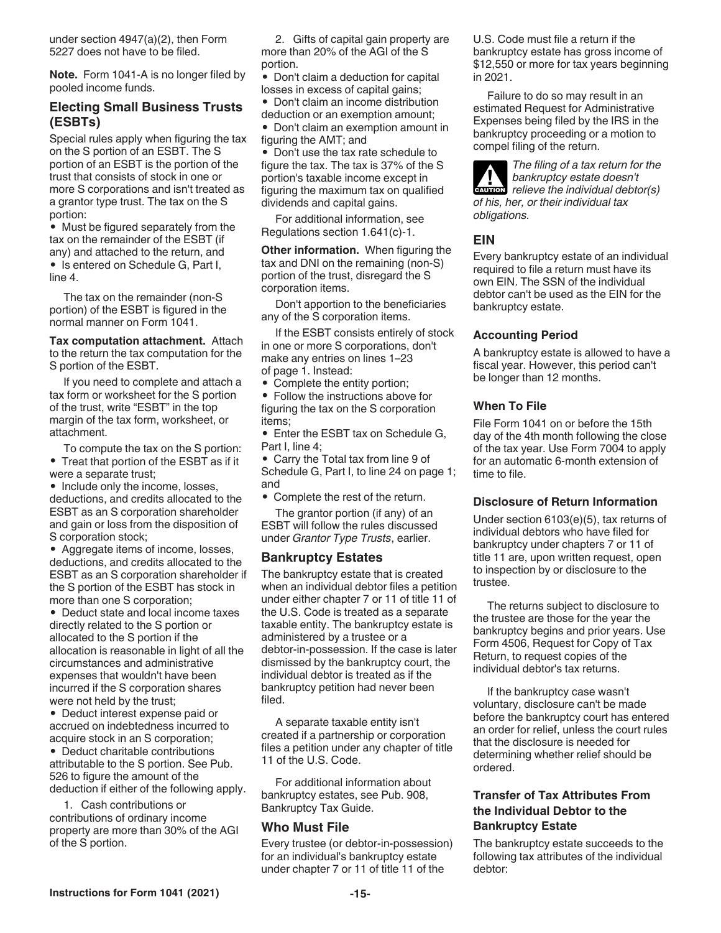under section 4947(a)(2), then Form 5227 does not have to be filed.

**Note.** Form 1041-A is no longer filed by pooled income funds.

### **Electing Small Business Trusts (ESBTs)**

Special rules apply when figuring the tax on the S portion of an ESBT. The S portion of an ESBT is the portion of the trust that consists of stock in one or more S corporations and isn't treated as a grantor type trust. The tax on the S portion:

• Must be figured separately from the tax on the remainder of the ESBT (if any) and attached to the return, and

• Is entered on Schedule G, Part I, line 4.

The tax on the remainder (non-S portion) of the ESBT is figured in the normal manner on Form 1041.

**Tax computation attachment.** Attach to the return the tax computation for the S portion of the ESBT.

If you need to complete and attach a tax form or worksheet for the S portion of the trust, write "ESBT" in the top margin of the tax form, worksheet, or attachment.

To compute the tax on the S portion: • Treat that portion of the ESBT as if it were a separate trust;

• Include only the income, losses, deductions, and credits allocated to the ESBT as an S corporation shareholder and gain or loss from the disposition of S corporation stock;

• Aggregate items of income, losses, deductions, and credits allocated to the ESBT as an S corporation shareholder if the S portion of the ESBT has stock in more than one S corporation;

• Deduct state and local income taxes directly related to the S portion or allocated to the S portion if the allocation is reasonable in light of all the circumstances and administrative expenses that wouldn't have been incurred if the S corporation shares were not held by the trust;

• Deduct interest expense paid or accrued on indebtedness incurred to acquire stock in an S corporation;

• Deduct charitable contributions attributable to the S portion. See Pub. 526 to figure the amount of the deduction if either of the following apply.

1. Cash contributions or contributions of ordinary income property are more than 30% of the AGI of the S portion.

2. Gifts of capital gain property are more than 20% of the AGI of the S portion.

• Don't claim a deduction for capital losses in excess of capital gains;

• Don't claim an income distribution

deduction or an exemption amount;

• Don't claim an exemption amount in figuring the AMT; and

• Don't use the tax rate schedule to figure the tax. The tax is 37% of the S portion's taxable income except in figuring the maximum tax on qualified dividends and capital gains.

For additional information, see Regulations section 1.641(c)-1.

**Other information.** When figuring the tax and DNI on the remaining (non-S) portion of the trust, disregard the S corporation items.

Don't apportion to the beneficiaries any of the S corporation items.

If the ESBT consists entirely of stock in one or more S corporations, don't make any entries on lines 1–23 of page 1. Instead:

• Complete the entity portion;

• Follow the instructions above for figuring the tax on the S corporation items;

• Enter the ESBT tax on Schedule G, Part I, line 4;

• Carry the Total tax from line 9 of Schedule G, Part I, to line 24 on page 1; and

Complete the rest of the return.

The grantor portion (if any) of an ESBT will follow the rules discussed under *Grantor Type Trusts*, earlier.

#### **Bankruptcy Estates**

The bankruptcy estate that is created when an individual debtor files a petition under either chapter 7 or 11 of title 11 of the U.S. Code is treated as a separate taxable entity. The bankruptcy estate is administered by a trustee or a debtor-in-possession. If the case is later dismissed by the bankruptcy court, the individual debtor is treated as if the bankruptcy petition had never been filed.

A separate taxable entity isn't created if a partnership or corporation files a petition under any chapter of title 11 of the U.S. Code.

For additional information about bankruptcy estates, see Pub. 908, Bankruptcy Tax Guide.

#### **Who Must File**

Every trustee (or debtor-in-possession) for an individual's bankruptcy estate under chapter 7 or 11 of title 11 of the

U.S. Code must file a return if the bankruptcy estate has gross income of \$12,550 or more for tax years beginning in 2021.

Failure to do so may result in an estimated Request for Administrative Expenses being filed by the IRS in the bankruptcy proceeding or a motion to compel filing of the return.

*The filing of a tax return for the bankruptcy estate doesn't PAUTION relieve the individual debtor(s) of his, her, or their individual tax obligations.*

#### **EIN**

Every bankruptcy estate of an individual required to file a return must have its own EIN. The SSN of the individual debtor can't be used as the EIN for the bankruptcy estate.

#### **Accounting Period**

A bankruptcy estate is allowed to have a fiscal year. However, this period can't be longer than 12 months.

### **When To File**

File Form 1041 on or before the 15th day of the 4th month following the close of the tax year. Use Form 7004 to apply for an automatic 6-month extension of time to file.

#### **Disclosure of Return Information**

Under section 6103(e)(5), tax returns of individual debtors who have filed for bankruptcy under chapters 7 or 11 of title 11 are, upon written request, open to inspection by or disclosure to the trustee.

The returns subject to disclosure to the trustee are those for the year the bankruptcy begins and prior years. Use Form 4506, Request for Copy of Tax Return, to request copies of the individual debtor's tax returns.

If the bankruptcy case wasn't voluntary, disclosure can't be made before the bankruptcy court has entered an order for relief, unless the court rules that the disclosure is needed for determining whether relief should be ordered.

#### **Transfer of Tax Attributes From the Individual Debtor to the Bankruptcy Estate**

The bankruptcy estate succeeds to the following tax attributes of the individual debtor: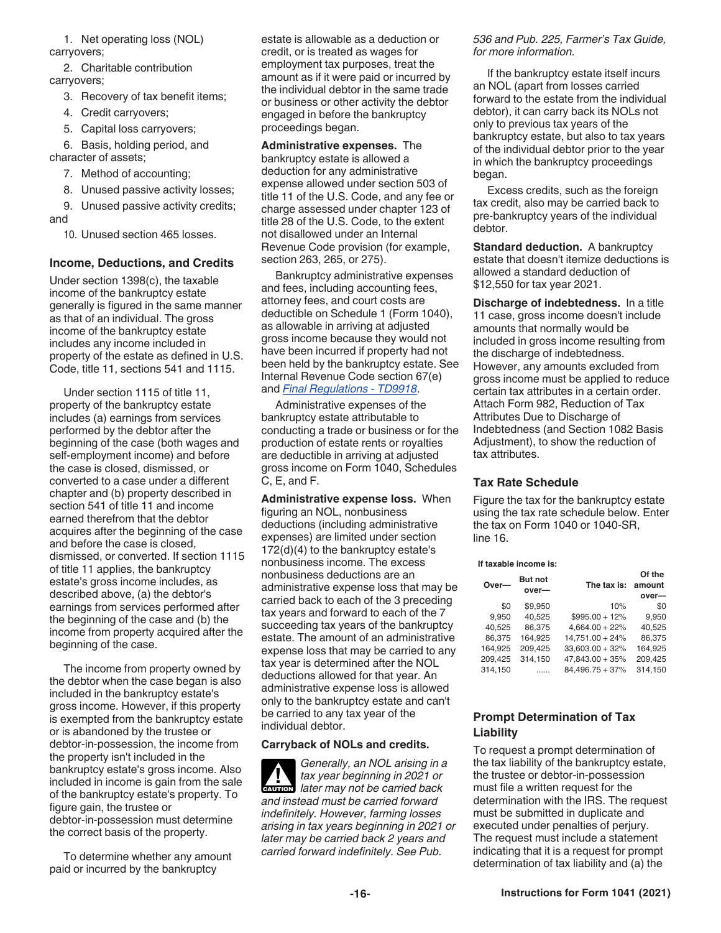1. Net operating loss (NOL) carryovers;

2. Charitable contribution carryovers;

- 3. Recovery of tax benefit items;
- 4. Credit carryovers;
- 5. Capital loss carryovers;

6. Basis, holding period, and character of assets;

- 7. Method of accounting;
- 8. Unused passive activity losses;

9. Unused passive activity credits; and

10. Unused section 465 losses.

#### **Income, Deductions, and Credits**

Under section 1398(c), the taxable income of the bankruptcy estate generally is figured in the same manner as that of an individual. The gross income of the bankruptcy estate includes any income included in property of the estate as defined in U.S. Code, title 11, sections 541 and 1115.

Under section 1115 of title 11, property of the bankruptcy estate includes (a) earnings from services performed by the debtor after the beginning of the case (both wages and self-employment income) and before the case is closed, dismissed, or converted to a case under a different chapter and (b) property described in section 541 of title 11 and income earned therefrom that the debtor acquires after the beginning of the case and before the case is closed, dismissed, or converted. If section 1115 of title 11 applies, the bankruptcy estate's gross income includes, as described above, (a) the debtor's earnings from services performed after the beginning of the case and (b) the income from property acquired after the beginning of the case.

The income from property owned by the debtor when the case began is also included in the bankruptcy estate's gross income. However, if this property is exempted from the bankruptcy estate or is abandoned by the trustee or debtor-in-possession, the income from the property isn't included in the bankruptcy estate's gross income. Also included in income is gain from the sale of the bankruptcy estate's property. To figure gain, the trustee or debtor-in-possession must determine the correct basis of the property.

To determine whether any amount paid or incurred by the bankruptcy

estate is allowable as a deduction or credit, or is treated as wages for employment tax purposes, treat the amount as if it were paid or incurred by the individual debtor in the same trade or business or other activity the debtor engaged in before the bankruptcy proceedings began.

**Administrative expenses.** The bankruptcy estate is allowed a deduction for any administrative expense allowed under section 503 of title 11 of the U.S. Code, and any fee or charge assessed under chapter 123 of title 28 of the U.S. Code, to the extent not disallowed under an Internal Revenue Code provision (for example, section 263, 265, or 275).

Bankruptcy administrative expenses and fees, including accounting fees, attorney fees, and court costs are deductible on Schedule 1 (Form 1040), as allowable in arriving at adjusted gross income because they would not have been incurred if property had not been held by the bankruptcy estate. See Internal Revenue Code section 67(e) and *[Final Regulations - TD9918](https://www.govinfo.gov/content/pkg/FR-2020-10-19/pdf/2020-21162.pdf)*.

Administrative expenses of the bankruptcy estate attributable to conducting a trade or business or for the production of estate rents or royalties are deductible in arriving at adjusted gross income on Form 1040, Schedules C, E, and F.

**Administrative expense loss.** When figuring an NOL, nonbusiness deductions (including administrative expenses) are limited under section 172(d)(4) to the bankruptcy estate's nonbusiness income. The excess nonbusiness deductions are an administrative expense loss that may be carried back to each of the 3 preceding tax years and forward to each of the 7 succeeding tax years of the bankruptcy estate. The amount of an administrative expense loss that may be carried to any tax year is determined after the NOL deductions allowed for that year. An administrative expense loss is allowed only to the bankruptcy estate and can't be carried to any tax year of the individual debtor.

#### **Carryback of NOLs and credits.**

*Generally, an NOL arising in a tax year beginning in 2021 or*  **later may not be carried back cause of the carried back** *and instead must be carried forward indefinitely. However, farming losses arising in tax years beginning in 2021 or later may be carried back 2 years and carried forward indefinitely. See Pub.* 

#### *536 and Pub. 225, Farmer's Tax Guide, for more information.*

If the bankruptcy estate itself incurs an NOL (apart from losses carried forward to the estate from the individual debtor), it can carry back its NOLs not only to previous tax years of the bankruptcy estate, but also to tax years of the individual debtor prior to the year in which the bankruptcy proceedings began.

Excess credits, such as the foreign tax credit, also may be carried back to pre-bankruptcy years of the individual debtor.

**Standard deduction.** A bankruptcy estate that doesn't itemize deductions is allowed a standard deduction of \$12,550 for tax year 2021.

**Discharge of indebtedness.** In a title 11 case, gross income doesn't include amounts that normally would be included in gross income resulting from the discharge of indebtedness. However, any amounts excluded from gross income must be applied to reduce certain tax attributes in a certain order. Attach Form 982, Reduction of Tax Attributes Due to Discharge of Indebtedness (and Section 1082 Basis Adjustment), to show the reduction of tax attributes.

#### **Tax Rate Schedule**

Figure the tax for the bankruptcy estate using the tax rate schedule below. Enter the tax on Form 1040 or 1040-SR, line 16.

#### **If taxable income is:**

| Over-   | <b>But not</b><br>over- | The tax is:        | Of the<br>amount |
|---------|-------------------------|--------------------|------------------|
|         |                         |                    | over-            |
| \$0     | \$9.950                 | 10%                | \$0              |
| 9.950   | 40.525                  | $$995.00 + 12\%$   | 9.950            |
| 40.525  | 86.375                  | $4.664.00 + 22%$   | 40.525           |
| 86.375  | 164.925                 | $14.751.00 + 24\%$ | 86.375           |
| 164.925 | 209.425                 | $33.603.00 + 32\%$ | 164.925          |
| 209.425 | 314.150                 | 47,843.00 + 35%    | 209.425          |
| 314.150 | .                       | 84,496.75 + 37%    | 314.150          |

### **Prompt Determination of Tax Liability**

To request a prompt determination of the tax liability of the bankruptcy estate, the trustee or debtor-in-possession must file a written request for the determination with the IRS. The request must be submitted in duplicate and executed under penalties of perjury. The request must include a statement indicating that it is a request for prompt determination of tax liability and (a) the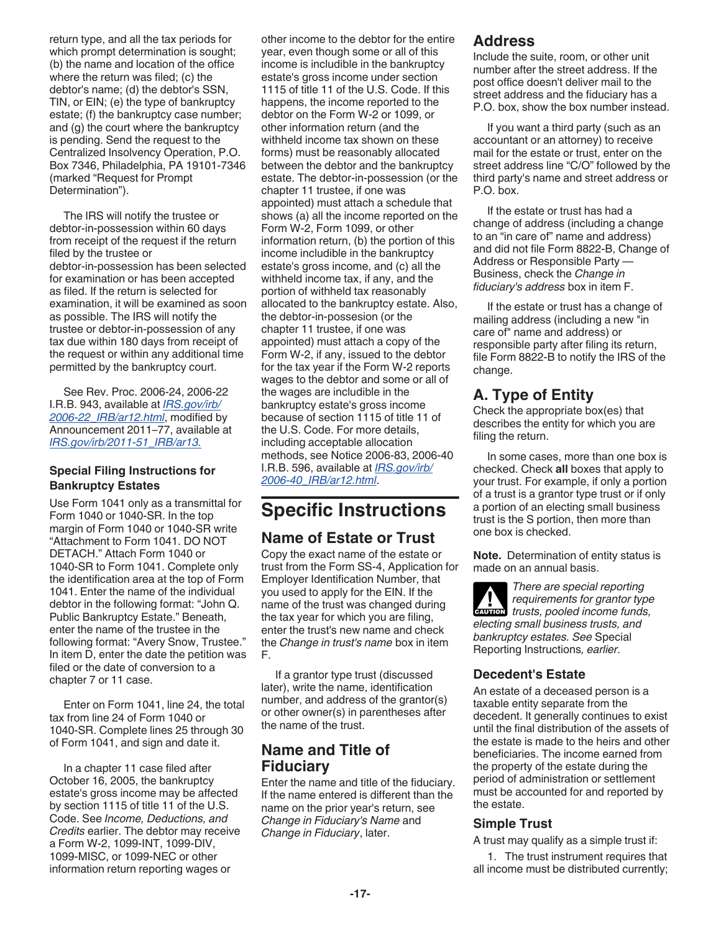return type, and all the tax periods for which prompt determination is sought; (b) the name and location of the office where the return was filed; (c) the debtor's name; (d) the debtor's SSN, TIN, or EIN; (e) the type of bankruptcy estate; (f) the bankruptcy case number; and (g) the court where the bankruptcy is pending. Send the request to the Centralized Insolvency Operation, P.O. Box 7346, Philadelphia, PA 19101-7346 (marked "Request for Prompt Determination").

The IRS will notify the trustee or debtor-in-possession within 60 days from receipt of the request if the return filed by the trustee or debtor-in-possession has been selected for examination or has been accepted as filed. If the return is selected for examination, it will be examined as soon as possible. The IRS will notify the trustee or debtor-in-possession of any tax due within 180 days from receipt of the request or within any additional time permitted by the bankruptcy court.

See Rev. Proc. 2006-24, 2006-22 I.R.B. 943, available at *[IRS.gov/irb/](https://www.irs.gov/irb/2006-22_IRB/ar12.html) [2006-22\\_IRB/ar12.html](https://www.irs.gov/irb/2006-22_IRB/ar12.html)*, modified by Announcement 2011–77, available at *[IRS.gov/irb/2011-51\\_IRB/ar13.](https://www.irs.gov/irb/2011-51_IRB/ar13.html#d0e1775)*

#### **Special Filing Instructions for Bankruptcy Estates**

Use Form 1041 only as a transmittal for Form 1040 or 1040-SR. In the top margin of Form 1040 or 1040-SR write "Attachment to Form 1041. DO NOT DETACH." Attach Form 1040 or 1040-SR to Form 1041. Complete only the identification area at the top of Form 1041. Enter the name of the individual debtor in the following format: "John Q. Public Bankruptcy Estate." Beneath, enter the name of the trustee in the following format: "Avery Snow, Trustee." In item D, enter the date the petition was filed or the date of conversion to a chapter 7 or 11 case.

Enter on Form 1041, line 24, the total tax from line 24 of Form 1040 or 1040-SR. Complete lines 25 through 30 of Form 1041, and sign and date it.

In a chapter 11 case filed after October 16, 2005, the bankruptcy estate's gross income may be affected by section 1115 of title 11 of the U.S. Code. See *Income, Deductions, and Credits* earlier. The debtor may receive a Form W-2, 1099-INT, 1099-DIV, 1099-MISC, or 1099-NEC or other information return reporting wages or

other income to the debtor for the entire year, even though some or all of this income is includible in the bankruptcy estate's gross income under section 1115 of title 11 of the U.S. Code. If this happens, the income reported to the debtor on the Form W-2 or 1099, or other information return (and the withheld income tax shown on these forms) must be reasonably allocated between the debtor and the bankruptcy estate. The debtor-in-possession (or the chapter 11 trustee, if one was appointed) must attach a schedule that shows (a) all the income reported on the Form W-2, Form 1099, or other information return, (b) the portion of this income includible in the bankruptcy estate's gross income, and (c) all the withheld income tax, if any, and the portion of withheld tax reasonably allocated to the bankruptcy estate. Also, the debtor-in-possesion (or the chapter 11 trustee, if one was appointed) must attach a copy of the Form W-2, if any, issued to the debtor for the tax year if the Form W-2 reports wages to the debtor and some or all of the wages are includible in the bankruptcy estate's gross income because of section 1115 of title 11 of the U.S. Code. For more details, including acceptable allocation methods, see Notice 2006-83, 2006-40 I.R.B. 596, available at *[IRS.gov/irb/](https://www.irs.gov/irb/2006-40_IRB/ar12.html) [2006-40\\_IRB/ar12.html](https://www.irs.gov/irb/2006-40_IRB/ar12.html)*.

# **Specific Instructions**

## **Name of Estate or Trust**

Copy the exact name of the estate or trust from the Form SS-4, Application for Employer Identification Number, that you used to apply for the EIN. If the name of the trust was changed during the tax year for which you are filing, enter the trust's new name and check the *Change in trust's name* box in item F.

If a grantor type trust (discussed later), write the name, identification number, and address of the grantor(s) or other owner(s) in parentheses after the name of the trust.

## **Name and Title of Fiduciary**

Enter the name and title of the fiduciary. If the name entered is different than the name on the prior year's return, see *Change in Fiduciary's Name* and *Change in Fiduciary*, later.

## **Address**

Include the suite, room, or other unit number after the street address. If the post office doesn't deliver mail to the street address and the fiduciary has a P.O. box, show the box number instead.

If you want a third party (such as an accountant or an attorney) to receive mail for the estate or trust, enter on the street address line "C/O" followed by the third party's name and street address or P.O. box.

If the estate or trust has had a change of address (including a change to an "in care of" name and address) and did not file Form 8822-B, Change of Address or Responsible Party — Business, check the *Change in fiduciary's address* box in item F.

If the estate or trust has a change of mailing address (including a new "in care of" name and address) or responsible party after filing its return, file Form 8822-B to notify the IRS of the change.

## **A. Type of Entity**

Check the appropriate box(es) that describes the entity for which you are filing the return.

In some cases, more than one box is checked. Check **all** boxes that apply to your trust. For example, if only a portion of a trust is a grantor type trust or if only a portion of an electing small business trust is the S portion, then more than one box is checked.

**Note.** Determination of entity status is made on an annual basis.

*There are special reporting requirements for grantor type*  **z** *trusts, pooled income funds, electing small business trusts, and bankruptcy estates. See* Special Reporting Instructions*, earlier.*

## **Decedent's Estate**

An estate of a deceased person is a taxable entity separate from the decedent. It generally continues to exist until the final distribution of the assets of the estate is made to the heirs and other beneficiaries. The income earned from the property of the estate during the period of administration or settlement must be accounted for and reported by the estate.

## **Simple Trust**

A trust may qualify as a simple trust if:

1. The trust instrument requires that all income must be distributed currently;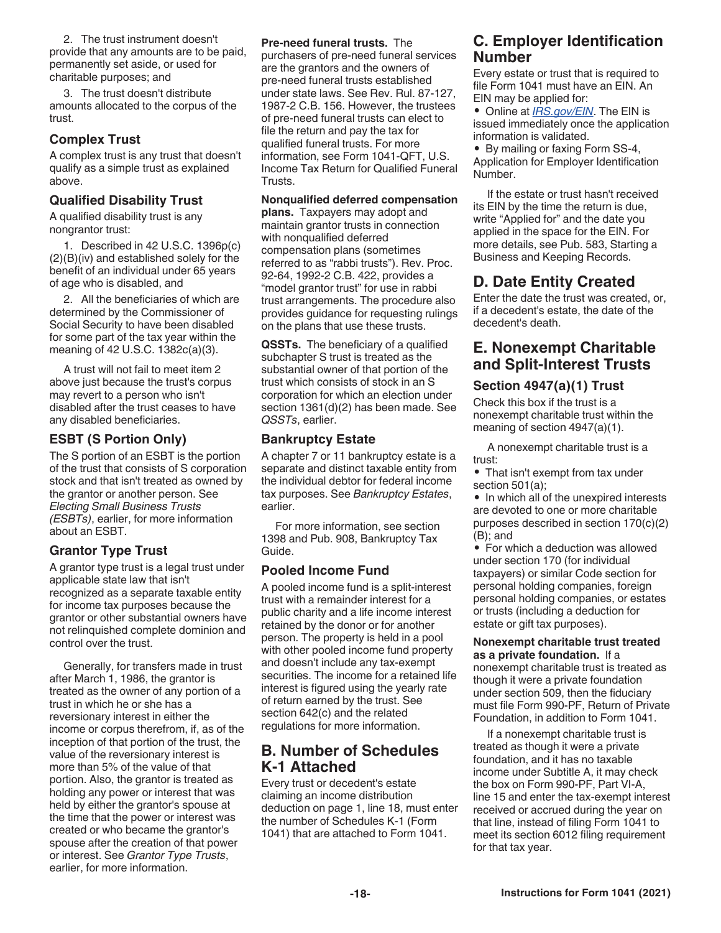2. The trust instrument doesn't provide that any amounts are to be paid, permanently set aside, or used for charitable purposes; and

3. The trust doesn't distribute amounts allocated to the corpus of the trust.

#### **Complex Trust**

A complex trust is any trust that doesn't qualify as a simple trust as explained above.

## **Qualified Disability Trust**

A qualified disability trust is any nongrantor trust:

1. Described in 42 U.S.C. 1396p(c) (2)(B)(iv) and established solely for the benefit of an individual under 65 years of age who is disabled, and

2. All the beneficiaries of which are determined by the Commissioner of Social Security to have been disabled for some part of the tax year within the meaning of 42 U.S.C. 1382c(a)(3).

A trust will not fail to meet item 2 above just because the trust's corpus may revert to a person who isn't disabled after the trust ceases to have any disabled beneficiaries.

## **ESBT (S Portion Only)**

The S portion of an ESBT is the portion of the trust that consists of S corporation stock and that isn't treated as owned by the grantor or another person. See *Electing Small Business Trusts (ESBTs)*, earlier, for more information about an ESBT.

## **Grantor Type Trust**

A grantor type trust is a legal trust under applicable state law that isn't recognized as a separate taxable entity for income tax purposes because the grantor or other substantial owners have not relinquished complete dominion and control over the trust.

Generally, for transfers made in trust after March 1, 1986, the grantor is treated as the owner of any portion of a trust in which he or she has a reversionary interest in either the income or corpus therefrom, if, as of the inception of that portion of the trust, the value of the reversionary interest is more than 5% of the value of that portion. Also, the grantor is treated as holding any power or interest that was held by either the grantor's spouse at the time that the power or interest was created or who became the grantor's spouse after the creation of that power or interest. See *Grantor Type Trusts*, earlier, for more information.

#### **Pre-need funeral trusts.** The

purchasers of pre-need funeral services are the grantors and the owners of pre-need funeral trusts established under state laws. See Rev. Rul. 87-127, 1987-2 C.B. 156. However, the trustees of pre-need funeral trusts can elect to file the return and pay the tax for qualified funeral trusts. For more information, see Form 1041-QFT, U.S. Income Tax Return for Qualified Funeral Trusts.

#### **Nonqualified deferred compensation**

**plans.** Taxpayers may adopt and maintain grantor trusts in connection with nonqualified deferred compensation plans (sometimes referred to as "rabbi trusts"). Rev. Proc. 92-64, 1992-2 C.B. 422, provides a "model grantor trust" for use in rabbi trust arrangements. The procedure also provides guidance for requesting rulings on the plans that use these trusts.

**QSSTs.** The beneficiary of a qualified subchapter S trust is treated as the substantial owner of that portion of the trust which consists of stock in an S corporation for which an election under section 1361(d)(2) has been made. See *QSSTs*, earlier.

## **Bankruptcy Estate**

A chapter 7 or 11 bankruptcy estate is a separate and distinct taxable entity from the individual debtor for federal income tax purposes. See *Bankruptcy Estates*, earlier.

For more information, see section 1398 and Pub. 908, Bankruptcy Tax Guide.

## **Pooled Income Fund**

A pooled income fund is a split-interest trust with a remainder interest for a public charity and a life income interest retained by the donor or for another person. The property is held in a pool with other pooled income fund property and doesn't include any tax-exempt securities. The income for a retained life interest is figured using the yearly rate of return earned by the trust. See section 642(c) and the related regulations for more information.

## **B. Number of Schedules K-1 Attached**

Every trust or decedent's estate claiming an income distribution deduction on page 1, line 18, must enter the number of Schedules K-1 (Form 1041) that are attached to Form 1041.

## **C. Employer Identification Number**

Every estate or trust that is required to file Form 1041 must have an EIN. An EIN may be applied for:

• Online at *[IRS.gov/EIN](https://www.irs.gov/EIN)*. The EIN is issued immediately once the application information is validated.

• By mailing or faxing Form SS-4, Application for Employer Identification Number.

If the estate or trust hasn't received its EIN by the time the return is due, write "Applied for" and the date you applied in the space for the EIN. For more details, see Pub. 583, Starting a Business and Keeping Records.

## **D. Date Entity Created**

Enter the date the trust was created, or, if a decedent's estate, the date of the decedent's death.

## **E. Nonexempt Charitable and Split-Interest Trusts**

## **Section 4947(a)(1) Trust**

Check this box if the trust is a nonexempt charitable trust within the meaning of section 4947(a)(1).

A nonexempt charitable trust is a trust:

• That isn't exempt from tax under section 501(a);

• In which all of the unexpired interests are devoted to one or more charitable purposes described in section 170(c)(2) (B); and

• For which a deduction was allowed under section 170 (for individual taxpayers) or similar Code section for personal holding companies, foreign personal holding companies, or estates or trusts (including a deduction for estate or gift tax purposes).

**Nonexempt charitable trust treated as a private foundation.** If a nonexempt charitable trust is treated as though it were a private foundation under section 509, then the fiduciary must file Form 990-PF, Return of Private Foundation, in addition to Form 1041.

If a nonexempt charitable trust is treated as though it were a private foundation, and it has no taxable income under Subtitle A, it may check the box on Form 990-PF, Part VI-A, line 15 and enter the tax-exempt interest received or accrued during the year on that line, instead of filing Form 1041 to meet its section 6012 filing requirement for that tax year.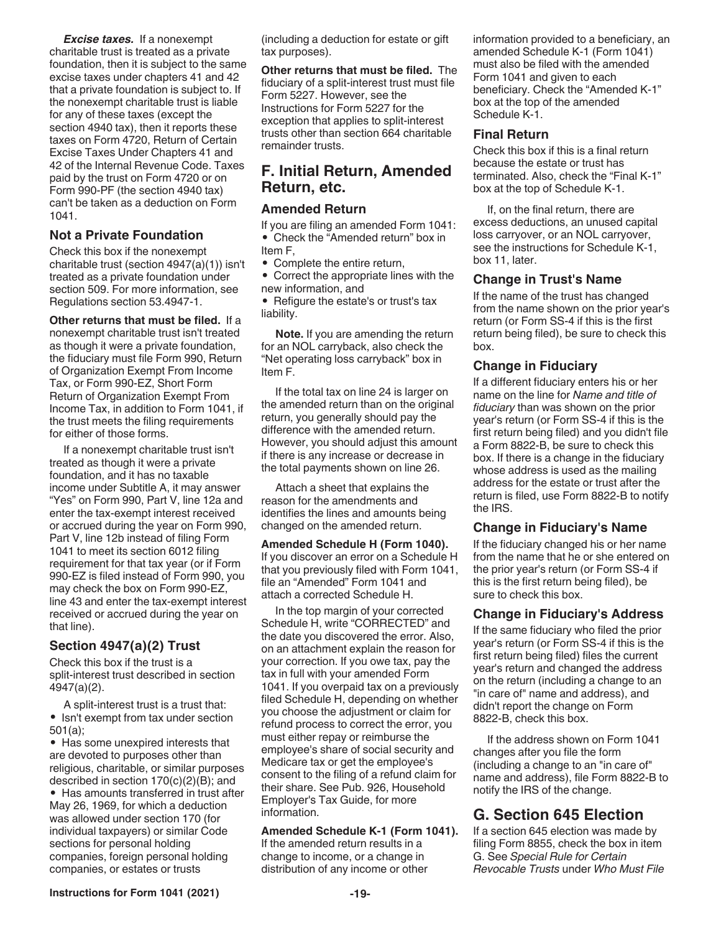*Excise taxes.* If a nonexempt charitable trust is treated as a private foundation, then it is subject to the same excise taxes under chapters 41 and 42 that a private foundation is subject to. If the nonexempt charitable trust is liable for any of these taxes (except the section 4940 tax), then it reports these taxes on Form 4720, Return of Certain Excise Taxes Under Chapters 41 and 42 of the Internal Revenue Code. Taxes paid by the trust on Form 4720 or on Form 990-PF (the section 4940 tax) can't be taken as a deduction on Form 1041.

#### **Not a Private Foundation**

Check this box if the nonexempt charitable trust (section 4947(a)(1)) isn't treated as a private foundation under section 509. For more information, see Regulations section 53.4947-1.

**Other returns that must be filed.** If a nonexempt charitable trust isn't treated as though it were a private foundation, the fiduciary must file Form 990, Return of Organization Exempt From Income Tax, or Form 990-EZ, Short Form Return of Organization Exempt From Income Tax, in addition to Form 1041, if the trust meets the filing requirements for either of those forms.

If a nonexempt charitable trust isn't treated as though it were a private foundation, and it has no taxable income under Subtitle A, it may answer "Yes" on Form 990, Part V, line 12a and enter the tax-exempt interest received or accrued during the year on Form 990, Part V, line 12b instead of filing Form 1041 to meet its section 6012 filing requirement for that tax year (or if Form 990-EZ is filed instead of Form 990, you may check the box on Form 990-EZ, line 43 and enter the tax-exempt interest received or accrued during the year on that line).

#### **Section 4947(a)(2) Trust**

Check this box if the trust is a split-interest trust described in section 4947(a)(2).

A split-interest trust is a trust that: • Isn't exempt from tax under section 501(a);

• Has some unexpired interests that are devoted to purposes other than religious, charitable, or similar purposes described in section 170(c)(2)(B); and • Has amounts transferred in trust after May 26, 1969, for which a deduction was allowed under section 170 (for individual taxpayers) or similar Code sections for personal holding companies, foreign personal holding

(including a deduction for estate or gift tax purposes).

**Other returns that must be filed.** The fiduciary of a split-interest trust must file Form 5227. However, see the Instructions for Form 5227 for the exception that applies to split-interest trusts other than section 664 charitable remainder trusts.

## **F. Initial Return, Amended Return, etc.**

#### **Amended Return**

If you are filing an amended Form 1041: • Check the "Amended return" box in Item F,

- Complete the entire return,
- Correct the appropriate lines with the new information, and
- Refigure the estate's or trust's tax liability.

**Note.** If you are amending the return for an NOL carryback, also check the "Net operating loss carryback" box in Item F.

If the total tax on line 24 is larger on the amended return than on the original return, you generally should pay the difference with the amended return. However, you should adjust this amount if there is any increase or decrease in the total payments shown on line 26.

Attach a sheet that explains the reason for the amendments and identifies the lines and amounts being changed on the amended return.

**Amended Schedule H (Form 1040).**  If you discover an error on a Schedule H that you previously filed with Form 1041, file an "Amended" Form 1041 and attach a corrected Schedule H.

In the top margin of your corrected Schedule H, write "CORRECTED" and the date you discovered the error. Also, on an attachment explain the reason for your correction. If you owe tax, pay the tax in full with your amended Form 1041. If you overpaid tax on a previously filed Schedule H, depending on whether you choose the adjustment or claim for refund process to correct the error, you must either repay or reimburse the employee's share of social security and Medicare tax or get the employee's consent to the filing of a refund claim for their share. See Pub. 926, Household Employer's Tax Guide, for more information.

#### **Amended Schedule K-1 (Form 1041).**

If the amended return results in a change to income, or a change in distribution of any income or other information provided to a beneficiary, an amended Schedule K-1 (Form 1041) must also be filed with the amended Form 1041 and given to each beneficiary. Check the "Amended K-1" box at the top of the amended Schedule K-1.

#### **Final Return**

Check this box if this is a final return because the estate or trust has terminated. Also, check the "Final K-1" box at the top of Schedule K-1.

If, on the final return, there are excess deductions, an unused capital loss carryover, or an NOL carryover, see the instructions for Schedule K-1, box 11, later.

#### **Change in Trust's Name**

If the name of the trust has changed from the name shown on the prior year's return (or Form SS-4 if this is the first return being filed), be sure to check this box.

#### **Change in Fiduciary**

If a different fiduciary enters his or her name on the line for *Name and title of fiduciary* than was shown on the prior year's return (or Form SS-4 if this is the first return being filed) and you didn't file a Form 8822-B, be sure to check this box. If there is a change in the fiduciary whose address is used as the mailing address for the estate or trust after the return is filed, use Form 8822-B to notify the IRS.

#### **Change in Fiduciary's Name**

If the fiduciary changed his or her name from the name that he or she entered on the prior year's return (or Form SS-4 if this is the first return being filed), be sure to check this box.

#### **Change in Fiduciary's Address**

If the same fiduciary who filed the prior year's return (or Form SS-4 if this is the first return being filed) files the current year's return and changed the address on the return (including a change to an "in care of" name and address), and didn't report the change on Form 8822-B, check this box.

If the address shown on Form 1041 changes after you file the form (including a change to an "in care of" name and address), file Form 8822-B to notify the IRS of the change.

## **G. Section 645 Election**

If a section 645 election was made by filing Form 8855, check the box in item G. See *Special Rule for Certain Revocable Trusts* under *Who Must File* 

companies, or estates or trusts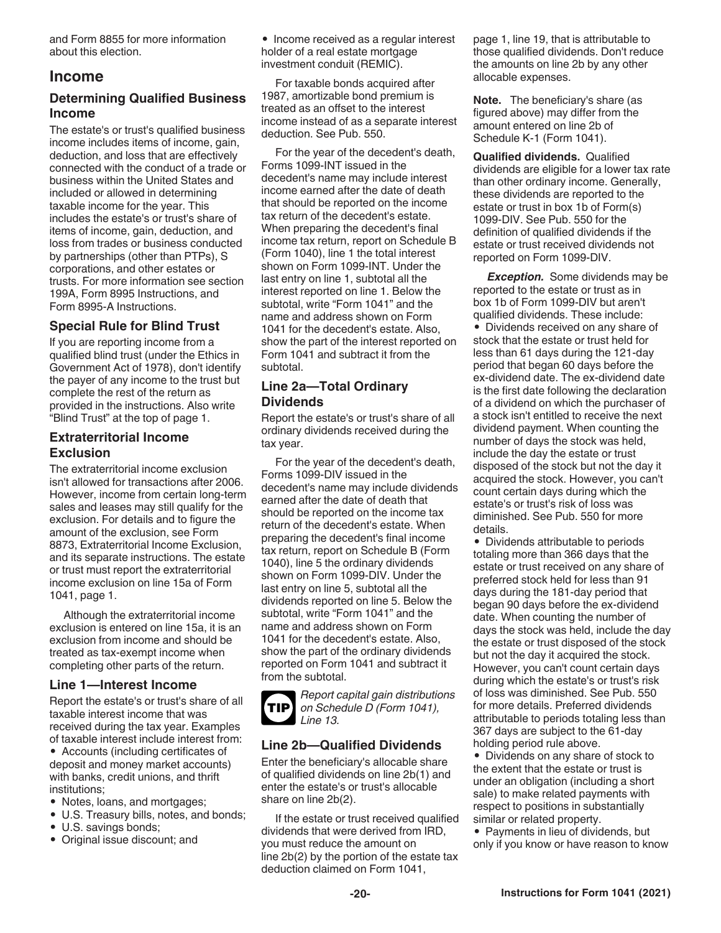and Form 8855 for more information about this election.

## **Income**

## **Determining Qualified Business Income**

The estate's or trust's qualified business income includes items of income, gain, deduction, and loss that are effectively connected with the conduct of a trade or business within the United States and included or allowed in determining taxable income for the year. This includes the estate's or trust's share of items of income, gain, deduction, and loss from trades or business conducted by partnerships (other than PTPs), S corporations, and other estates or trusts. For more information see section 199A, Form 8995 Instructions, and Form 8995-A Instructions.

## **Special Rule for Blind Trust**

If you are reporting income from a qualified blind trust (under the Ethics in Government Act of 1978), don't identify the payer of any income to the trust but complete the rest of the return as provided in the instructions. Also write "Blind Trust" at the top of page 1.

## **Extraterritorial Income Exclusion**

The extraterritorial income exclusion isn't allowed for transactions after 2006. However, income from certain long-term sales and leases may still qualify for the exclusion. For details and to figure the amount of the exclusion, see Form 8873, Extraterritorial Income Exclusion, and its separate instructions. The estate or trust must report the extraterritorial income exclusion on line 15a of Form 1041, page 1.

Although the extraterritorial income exclusion is entered on line 15a, it is an exclusion from income and should be treated as tax-exempt income when completing other parts of the return.

## **Line 1—Interest Income**

Report the estate's or trust's share of all taxable interest income that was received during the tax year. Examples of taxable interest include interest from:

• Accounts (including certificates of deposit and money market accounts) with banks, credit unions, and thrift institutions;

- Notes, loans, and mortgages;
- U.S. Treasury bills, notes, and bonds;
- U.S. savings bonds;
- Original issue discount; and

• Income received as a regular interest holder of a real estate mortgage investment conduit (REMIC).

For taxable bonds acquired after 1987, amortizable bond premium is treated as an offset to the interest income instead of as a separate interest deduction. See Pub. 550.

For the year of the decedent's death, Forms 1099-INT issued in the decedent's name may include interest income earned after the date of death that should be reported on the income tax return of the decedent's estate. When preparing the decedent's final income tax return, report on Schedule B (Form 1040), line 1 the total interest shown on Form 1099-INT. Under the last entry on line 1, subtotal all the interest reported on line 1. Below the subtotal, write "Form 1041" and the name and address shown on Form 1041 for the decedent's estate. Also, show the part of the interest reported on Form 1041 and subtract it from the subtotal.

## **Line 2a—Total Ordinary Dividends**

Report the estate's or trust's share of all ordinary dividends received during the tax year.

For the year of the decedent's death, Forms 1099-DIV issued in the decedent's name may include dividends earned after the date of death that should be reported on the income tax return of the decedent's estate. When preparing the decedent's final income tax return, report on Schedule B (Form 1040), line 5 the ordinary dividends shown on Form 1099-DIV. Under the last entry on line 5, subtotal all the dividends reported on line 5. Below the subtotal, write "Form 1041" and the name and address shown on Form 1041 for the decedent's estate. Also, show the part of the ordinary dividends reported on Form 1041 and subtract it from the subtotal.



*Report capital gain distributions on Schedule D (Form 1041), Line 13.*

## **Line 2b—Qualified Dividends**

Enter the beneficiary's allocable share of qualified dividends on line 2b(1) and enter the estate's or trust's allocable share on line 2b(2).

If the estate or trust received qualified dividends that were derived from IRD, you must reduce the amount on line 2b(2) by the portion of the estate tax deduction claimed on Form 1041,

page 1, line 19, that is attributable to those qualified dividends. Don't reduce the amounts on line 2b by any other allocable expenses.

**Note.** The beneficiary's share (as figured above) may differ from the amount entered on line 2b of Schedule K-1 (Form 1041).

**Qualified dividends.** Qualified dividends are eligible for a lower tax rate than other ordinary income. Generally, these dividends are reported to the estate or trust in box 1b of Form(s) 1099-DIV. See Pub. 550 for the definition of qualified dividends if the estate or trust received dividends not reported on Form 1099-DIV.

**Exception.** Some dividends may be reported to the estate or trust as in box 1b of Form 1099-DIV but aren't qualified dividends. These include: • Dividends received on any share of stock that the estate or trust held for less than 61 days during the 121-day period that began 60 days before the ex-dividend date. The ex-dividend date is the first date following the declaration of a dividend on which the purchaser of a stock isn't entitled to receive the next dividend payment. When counting the number of days the stock was held, include the day the estate or trust disposed of the stock but not the day it acquired the stock. However, you can't count certain days during which the estate's or trust's risk of loss was diminished. See Pub. 550 for more details.

• Dividends attributable to periods totaling more than 366 days that the estate or trust received on any share of preferred stock held for less than 91 days during the 181-day period that began 90 days before the ex-dividend date. When counting the number of days the stock was held, include the day the estate or trust disposed of the stock but not the day it acquired the stock. However, you can't count certain days during which the estate's or trust's risk of loss was diminished. See Pub. 550 for more details. Preferred dividends attributable to periods totaling less than 367 days are subject to the 61-day holding period rule above.

• Dividends on any share of stock to the extent that the estate or trust is under an obligation (including a short sale) to make related payments with respect to positions in substantially similar or related property.

• Payments in lieu of dividends, but only if you know or have reason to know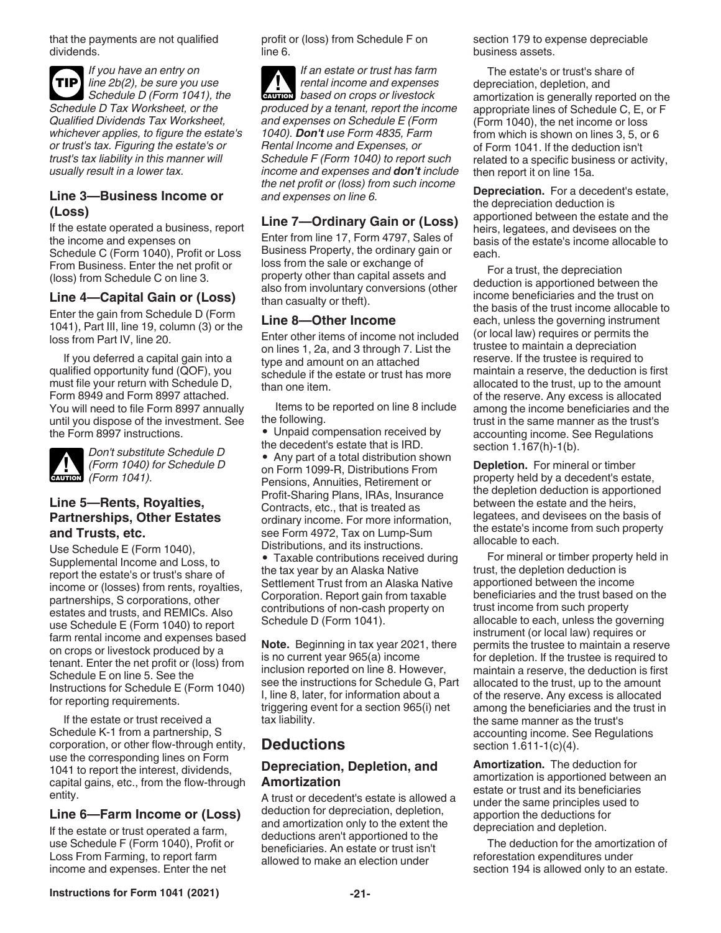that the payments are not qualified dividends.

*If you have an entry on line 2b(2), be sure you use*  **TIP** *Schedule D (Form 1041), the Schedule D Tax Worksheet, or the Qualified Dividends Tax Worksheet, whichever applies, to figure the estate's or trust's tax. Figuring the estate's or trust's tax liability in this manner will usually result in a lower tax.*

#### **Line 3—Business Income or (Loss)**

If the estate operated a business, report the income and expenses on Schedule C (Form 1040), Profit or Loss From Business. Enter the net profit or (loss) from Schedule C on line 3.

### **Line 4—Capital Gain or (Loss)**

Enter the gain from Schedule D (Form 1041), Part III, line 19, column (3) or the loss from Part IV, line 20.

If you deferred a capital gain into a qualified opportunity fund (QOF), you must file your return with Schedule D, Form 8949 and Form 8997 attached. You will need to file Form 8997 annually until you dispose of the investment. See the Form 8997 instructions.



*Don't substitute Schedule D (Form 1040) for Schedule D*  **(Form 1040)**<br> **(Form 1041).** 

#### **Line 5—Rents, Royalties, Partnerships, Other Estates and Trusts, etc.**

Use Schedule E (Form 1040), Supplemental Income and Loss, to report the estate's or trust's share of income or (losses) from rents, royalties, partnerships, S corporations, other estates and trusts, and REMICs. Also use Schedule E (Form 1040) to report farm rental income and expenses based on crops or livestock produced by a tenant. Enter the net profit or (loss) from Schedule E on line 5. See the Instructions for Schedule E (Form 1040) for reporting requirements.

If the estate or trust received a Schedule K-1 from a partnership, S corporation, or other flow-through entity, use the corresponding lines on Form 1041 to report the interest, dividends, capital gains, etc., from the flow-through entity.

#### **Line 6—Farm Income or (Loss)**

If the estate or trust operated a farm, use Schedule F (Form 1040), Profit or Loss From Farming, to report farm income and expenses. Enter the net

profit or (loss) from Schedule F on line 6.

*If an estate or trust has farm rental income and expenses*  **b**ased on crops or livestock **based** on crops or livestock *produced by a tenant, report the income and expenses on Schedule E (Form 1040). Don't use Form 4835, Farm Rental Income and Expenses, or Schedule F (Form 1040) to report such income and expenses and don't include the net profit or (loss) from such income and expenses on line 6.*

### **Line 7—Ordinary Gain or (Loss)**

Enter from line 17, Form 4797, Sales of Business Property, the ordinary gain or loss from the sale or exchange of property other than capital assets and also from involuntary conversions (other than casualty or theft).

#### **Line 8—Other Income**

Enter other items of income not included on lines 1, 2a, and 3 through 7. List the type and amount on an attached schedule if the estate or trust has more than one item.

Items to be reported on line 8 include the following.

- Unpaid compensation received by the decedent's estate that is IRD.
- Any part of a total distribution shown on Form 1099-R, Distributions From Pensions, Annuities, Retirement or Profit-Sharing Plans, IRAs, Insurance Contracts, etc., that is treated as ordinary income. For more information, see Form 4972, Tax on Lump-Sum Distributions, and its instructions.

• Taxable contributions received during the tax year by an Alaska Native Settlement Trust from an Alaska Native Corporation. Report gain from taxable contributions of non-cash property on Schedule D (Form 1041).

**Note.** Beginning in tax year 2021, there is no current year 965(a) income inclusion reported on line 8. However, see the instructions for Schedule G, Part I, line 8, later, for information about a triggering event for a section 965(i) net tax liability.

## **Deductions**

#### **Depreciation, Depletion, and Amortization**

A trust or decedent's estate is allowed a deduction for depreciation, depletion, and amortization only to the extent the deductions aren't apportioned to the beneficiaries. An estate or trust isn't allowed to make an election under

section 179 to expense depreciable business assets.

The estate's or trust's share of depreciation, depletion, and amortization is generally reported on the appropriate lines of Schedule C, E, or F (Form 1040), the net income or loss from which is shown on lines 3, 5, or 6 of Form 1041. If the deduction isn't related to a specific business or activity, then report it on line 15a.

**Depreciation.** For a decedent's estate, the depreciation deduction is apportioned between the estate and the heirs, legatees, and devisees on the basis of the estate's income allocable to each.

For a trust, the depreciation deduction is apportioned between the income beneficiaries and the trust on the basis of the trust income allocable to each, unless the governing instrument (or local law) requires or permits the trustee to maintain a depreciation reserve. If the trustee is required to maintain a reserve, the deduction is first allocated to the trust, up to the amount of the reserve. Any excess is allocated among the income beneficiaries and the trust in the same manner as the trust's accounting income. See Regulations section 1.167(h)-1(b).

**Depletion.** For mineral or timber property held by a decedent's estate, the depletion deduction is apportioned between the estate and the heirs, legatees, and devisees on the basis of the estate's income from such property allocable to each.

For mineral or timber property held in trust, the depletion deduction is apportioned between the income beneficiaries and the trust based on the trust income from such property allocable to each, unless the governing instrument (or local law) requires or permits the trustee to maintain a reserve for depletion. If the trustee is required to maintain a reserve, the deduction is first allocated to the trust, up to the amount of the reserve. Any excess is allocated among the beneficiaries and the trust in the same manner as the trust's accounting income. See Regulations section 1.611-1(c)(4).

**Amortization.** The deduction for amortization is apportioned between an estate or trust and its beneficiaries under the same principles used to apportion the deductions for depreciation and depletion.

The deduction for the amortization of reforestation expenditures under section 194 is allowed only to an estate.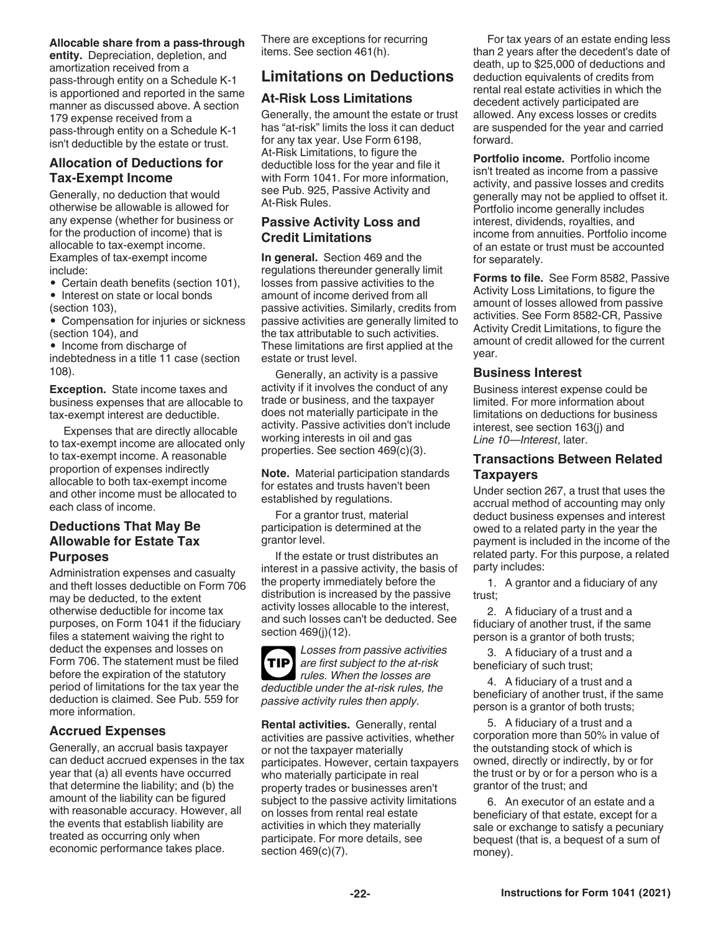#### **Allocable share from a pass-through**

**entity.** Depreciation, depletion, and amortization received from a pass-through entity on a Schedule K-1 is apportioned and reported in the same manner as discussed above. A section 179 expense received from a pass-through entity on a Schedule K-1 isn't deductible by the estate or trust.

### **Allocation of Deductions for Tax-Exempt Income**

Generally, no deduction that would otherwise be allowable is allowed for any expense (whether for business or for the production of income) that is allocable to tax-exempt income. Examples of tax-exempt income include:

• Certain death benefits (section 101),

- Interest on state or local bonds (section 103),
- Compensation for injuries or sickness (section 104), and
- Income from discharge of

indebtedness in a title 11 case (section 108).

**Exception.** State income taxes and business expenses that are allocable to tax-exempt interest are deductible.

Expenses that are directly allocable to tax-exempt income are allocated only to tax-exempt income. A reasonable proportion of expenses indirectly allocable to both tax-exempt income and other income must be allocated to each class of income.

## **Deductions That May Be Allowable for Estate Tax Purposes**

Administration expenses and casualty and theft losses deductible on Form 706 may be deducted, to the extent otherwise deductible for income tax purposes, on Form 1041 if the fiduciary files a statement waiving the right to deduct the expenses and losses on Form 706. The statement must be filed before the expiration of the statutory period of limitations for the tax year the deduction is claimed. See Pub. 559 for more information.

## **Accrued Expenses**

Generally, an accrual basis taxpayer can deduct accrued expenses in the tax year that (a) all events have occurred that determine the liability; and (b) the amount of the liability can be figured with reasonable accuracy. However, all the events that establish liability are treated as occurring only when economic performance takes place.

There are exceptions for recurring items. See section 461(h).

## **Limitations on Deductions**

### **At-Risk Loss Limitations**

Generally, the amount the estate or trust has "at-risk" limits the loss it can deduct for any tax year. Use Form 6198, At-Risk Limitations, to figure the deductible loss for the year and file it with Form 1041. For more information, see Pub. 925, Passive Activity and At-Risk Rules.

### **Passive Activity Loss and Credit Limitations**

**In general.** Section 469 and the regulations thereunder generally limit losses from passive activities to the amount of income derived from all passive activities. Similarly, credits from passive activities are generally limited to the tax attributable to such activities. These limitations are first applied at the estate or trust level.

Generally, an activity is a passive activity if it involves the conduct of any trade or business, and the taxpayer does not materially participate in the activity. Passive activities don't include working interests in oil and gas properties. See section 469(c)(3).

**Note.** Material participation standards for estates and trusts haven't been established by regulations.

For a grantor trust, material participation is determined at the grantor level.

If the estate or trust distributes an interest in a passive activity, the basis of the property immediately before the distribution is increased by the passive activity losses allocable to the interest, and such losses can't be deducted. See section 469(j)(12).



*Losses from passive activities are first subject to the at-risk rules. When the losses are deductible under the at-risk rules, the* 

*passive activity rules then apply.*

**Rental activities.** Generally, rental activities are passive activities, whether or not the taxpayer materially participates. However, certain taxpayers who materially participate in real property trades or businesses aren't subject to the passive activity limitations on losses from rental real estate activities in which they materially participate. For more details, see section 469(c)(7).

For tax years of an estate ending less than 2 years after the decedent's date of death, up to \$25,000 of deductions and deduction equivalents of credits from rental real estate activities in which the decedent actively participated are allowed. Any excess losses or credits are suspended for the year and carried forward.

**Portfolio income.** Portfolio income isn't treated as income from a passive activity, and passive losses and credits generally may not be applied to offset it. Portfolio income generally includes interest, dividends, royalties, and income from annuities. Portfolio income of an estate or trust must be accounted for separately.

**Forms to file.** See Form 8582, Passive Activity Loss Limitations, to figure the amount of losses allowed from passive activities. See Form 8582-CR, Passive Activity Credit Limitations, to figure the amount of credit allowed for the current year.

#### **Business Interest**

Business interest expense could be limited. For more information about limitations on deductions for business interest, see section 163(j) and *Line 10—Interest*, later.

## **Transactions Between Related Taxpayers**

Under section 267, a trust that uses the accrual method of accounting may only deduct business expenses and interest owed to a related party in the year the payment is included in the income of the related party. For this purpose, a related party includes:

1. A grantor and a fiduciary of any trust;

2. A fiduciary of a trust and a fiduciary of another trust, if the same person is a grantor of both trusts;

3. A fiduciary of a trust and a beneficiary of such trust;

4. A fiduciary of a trust and a beneficiary of another trust, if the same person is a grantor of both trusts;

5. A fiduciary of a trust and a corporation more than 50% in value of the outstanding stock of which is owned, directly or indirectly, by or for the trust or by or for a person who is a grantor of the trust; and

6. An executor of an estate and a beneficiary of that estate, except for a sale or exchange to satisfy a pecuniary bequest (that is, a bequest of a sum of money).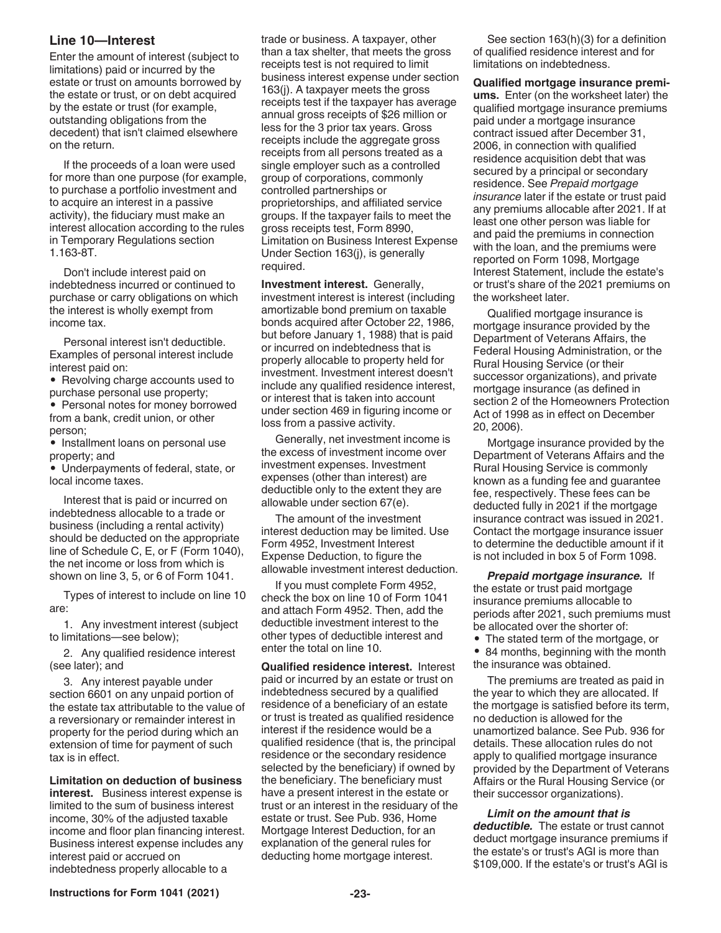#### **Line 10—Interest**

Enter the amount of interest (subject to limitations) paid or incurred by the estate or trust on amounts borrowed by the estate or trust, or on debt acquired by the estate or trust (for example, outstanding obligations from the decedent) that isn't claimed elsewhere on the return.

If the proceeds of a loan were used for more than one purpose (for example, to purchase a portfolio investment and to acquire an interest in a passive activity), the fiduciary must make an interest allocation according to the rules in Temporary Regulations section 1.163-8T.

Don't include interest paid on indebtedness incurred or continued to purchase or carry obligations on which the interest is wholly exempt from income tax.

Personal interest isn't deductible. Examples of personal interest include interest paid on:

• Revolving charge accounts used to purchase personal use property;

• Personal notes for money borrowed from a bank, credit union, or other person;

• Installment loans on personal use property; and

• Underpayments of federal, state, or local income taxes.

Interest that is paid or incurred on indebtedness allocable to a trade or business (including a rental activity) should be deducted on the appropriate line of Schedule C, E, or F (Form 1040), the net income or loss from which is shown on line 3, 5, or 6 of Form 1041.

Types of interest to include on line 10 are:

1. Any investment interest (subject to limitations—see below);

2. Any qualified residence interest (see later); and

3. Any interest payable under section 6601 on any unpaid portion of the estate tax attributable to the value of a reversionary or remainder interest in property for the period during which an extension of time for payment of such tax is in effect.

**Limitation on deduction of business interest.** Business interest expense is limited to the sum of business interest income, 30% of the adjusted taxable income and floor plan financing interest. Business interest expense includes any interest paid or accrued on indebtedness properly allocable to a

trade or business. A taxpayer, other than a tax shelter, that meets the gross receipts test is not required to limit business interest expense under section 163(j). A taxpayer meets the gross receipts test if the taxpayer has average annual gross receipts of \$26 million or less for the 3 prior tax years. Gross receipts include the aggregate gross receipts from all persons treated as a single employer such as a controlled group of corporations, commonly controlled partnerships or proprietorships, and affiliated service groups. If the taxpayer fails to meet the gross receipts test, Form 8990, Limitation on Business Interest Expense Under Section 163(j), is generally required.

**Investment interest.** Generally, investment interest is interest (including amortizable bond premium on taxable bonds acquired after October 22, 1986, but before January 1, 1988) that is paid or incurred on indebtedness that is properly allocable to property held for investment. Investment interest doesn't include any qualified residence interest, or interest that is taken into account under section 469 in figuring income or loss from a passive activity.

Generally, net investment income is the excess of investment income over investment expenses. Investment expenses (other than interest) are deductible only to the extent they are allowable under section 67(e).

The amount of the investment interest deduction may be limited. Use Form 4952, Investment Interest Expense Deduction, to figure the allowable investment interest deduction.

If you must complete Form 4952, check the box on line 10 of Form 1041 and attach Form 4952. Then, add the deductible investment interest to the other types of deductible interest and enter the total on line 10.

**Qualified residence interest.** Interest paid or incurred by an estate or trust on indebtedness secured by a qualified residence of a beneficiary of an estate or trust is treated as qualified residence interest if the residence would be a qualified residence (that is, the principal residence or the secondary residence selected by the beneficiary) if owned by the beneficiary. The beneficiary must have a present interest in the estate or trust or an interest in the residuary of the estate or trust. See Pub. 936, Home Mortgage Interest Deduction, for an explanation of the general rules for deducting home mortgage interest.

See section 163(h)(3) for a definition of qualified residence interest and for limitations on indebtedness.

**Qualified mortgage insurance premiums.** Enter (on the worksheet later) the qualified mortgage insurance premiums paid under a mortgage insurance contract issued after December 31, 2006, in connection with qualified residence acquisition debt that was secured by a principal or secondary residence. See *Prepaid mortgage insurance* later if the estate or trust paid any premiums allocable after 2021. If at least one other person was liable for and paid the premiums in connection with the loan, and the premiums were reported on Form 1098, Mortgage Interest Statement, include the estate's or trust's share of the 2021 premiums on the worksheet later.

Qualified mortgage insurance is mortgage insurance provided by the Department of Veterans Affairs, the Federal Housing Administration, or the Rural Housing Service (or their successor organizations), and private mortgage insurance (as defined in section 2 of the Homeowners Protection Act of 1998 as in effect on December 20, 2006).

Mortgage insurance provided by the Department of Veterans Affairs and the Rural Housing Service is commonly known as a funding fee and guarantee fee, respectively. These fees can be deducted fully in 2021 if the mortgage insurance contract was issued in 2021. Contact the mortgage insurance issuer to determine the deductible amount if it is not included in box 5 of Form 1098.

*Prepaid mortgage insurance.* If the estate or trust paid mortgage insurance premiums allocable to periods after 2021, such premiums must be allocated over the shorter of:

• The stated term of the mortgage, or

• 84 months, beginning with the month the insurance was obtained.

The premiums are treated as paid in the year to which they are allocated. If the mortgage is satisfied before its term, no deduction is allowed for the unamortized balance. See Pub. 936 for details. These allocation rules do not apply to qualified mortgage insurance provided by the Department of Veterans Affairs or the Rural Housing Service (or their successor organizations).

*Limit on the amount that is deductible.* The estate or trust cannot deduct mortgage insurance premiums if the estate's or trust's AGI is more than \$109,000. If the estate's or trust's AGI is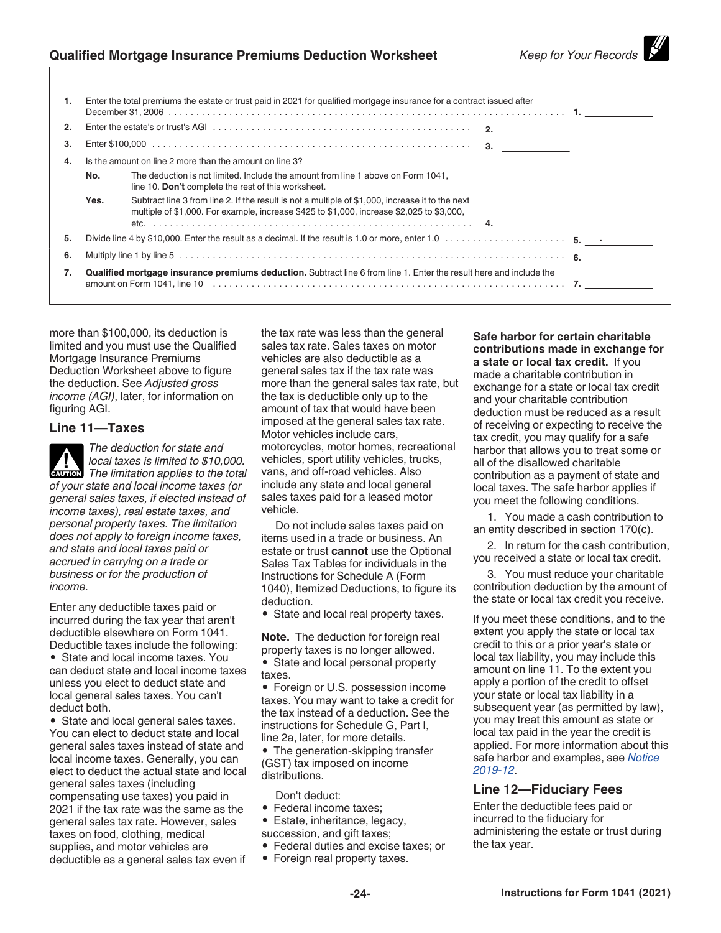| 1. |      | Enter the total premiums the estate or trust paid in 2021 for qualified mortgage insurance for a contract issued after                                                                        |  |  |
|----|------|-----------------------------------------------------------------------------------------------------------------------------------------------------------------------------------------------|--|--|
|    |      |                                                                                                                                                                                               |  |  |
| 2. |      |                                                                                                                                                                                               |  |  |
| 3. |      |                                                                                                                                                                                               |  |  |
| 4. |      | Is the amount on line 2 more than the amount on line 3?                                                                                                                                       |  |  |
|    | No.  | The deduction is not limited. Include the amount from line 1 above on Form 1041.<br>line 10. Don't complete the rest of this worksheet.                                                       |  |  |
|    | Yes. | Subtract line 3 from line 2. If the result is not a multiple of \$1,000, increase it to the next<br>multiple of \$1,000. For example, increase \$425 to \$1,000, increase \$2,025 to \$3,000, |  |  |
| 5. |      |                                                                                                                                                                                               |  |  |
| 6. |      |                                                                                                                                                                                               |  |  |
| 7. |      | <b>Qualified mortgage insurance premiums deduction.</b> Subtract line 6 from line 1. Enter the result here and include the                                                                    |  |  |

more than \$100,000, its deduction is limited and you must use the Qualified Mortgage Insurance Premiums Deduction Worksheet above to figure the deduction. See *Adjusted gross income (AGI)*, later, for information on figuring AGI.

### **Line 11—Taxes**

*The deduction for state and local taxes is limited to \$10,000.*  **IDENTIFY** *The limitation applies to the total of your state and local income taxes (or general sales taxes, if elected instead of income taxes), real estate taxes, and personal property taxes. The limitation does not apply to foreign income taxes, and state and local taxes paid or accrued in carrying on a trade or business or for the production of income.*

Enter any deductible taxes paid or incurred during the tax year that aren't deductible elsewhere on Form 1041. Deductible taxes include the following:

• State and local income taxes. You can deduct state and local income taxes unless you elect to deduct state and local general sales taxes. You can't deduct both.

• State and local general sales taxes. You can elect to deduct state and local general sales taxes instead of state and local income taxes. Generally, you can elect to deduct the actual state and local general sales taxes (including compensating use taxes) you paid in 2021 if the tax rate was the same as the general sales tax rate. However, sales taxes on food, clothing, medical supplies, and motor vehicles are deductible as a general sales tax even if the tax rate was less than the general sales tax rate. Sales taxes on motor vehicles are also deductible as a general sales tax if the tax rate was more than the general sales tax rate, but the tax is deductible only up to the amount of tax that would have been imposed at the general sales tax rate. Motor vehicles include cars, motorcycles, motor homes, recreational vehicles, sport utility vehicles, trucks, vans, and off-road vehicles. Also include any state and local general sales taxes paid for a leased motor vehicle.

Do not include sales taxes paid on items used in a trade or business. An estate or trust **cannot** use the Optional Sales Tax Tables for individuals in the Instructions for Schedule A (Form 1040), Itemized Deductions, to figure its deduction.

• State and local real property taxes.

**Note.** The deduction for foreign real property taxes is no longer allowed. • State and local personal property taxes.

• Foreign or U.S. possession income taxes. You may want to take a credit for the tax instead of a deduction. See the instructions for Schedule G, Part I, line 2a, later, for more details.

• The generation-skipping transfer (GST) tax imposed on income distributions.

Don't deduct:

- Federal income taxes;
- Estate, inheritance, legacy,
- succession, and gift taxes;
- Federal duties and excise taxes; or
- Foreign real property taxes.

**Safe harbor for certain charitable contributions made in exchange for a state or local tax credit.** If you made a charitable contribution in exchange for a state or local tax credit and your charitable contribution deduction must be reduced as a result of receiving or expecting to receive the tax credit, you may qualify for a safe harbor that allows you to treat some or all of the disallowed charitable contribution as a payment of state and local taxes. The safe harbor applies if you meet the following conditions.

1. You made a cash contribution to an entity described in section 170(c).

2. In return for the cash contribution, you received a state or local tax credit.

3. You must reduce your charitable contribution deduction by the amount of the state or local tax credit you receive.

If you meet these conditions, and to the extent you apply the state or local tax credit to this or a prior year's state or local tax liability, you may include this amount on line 11. To the extent you apply a portion of the credit to offset your state or local tax liability in a subsequent year (as permitted by law), you may treat this amount as state or local tax paid in the year the credit is applied. For more information about this safe harbor and examples, see *[Notice](https://www.irs.gov/irb/2019-27_IRB#NOT-2019-12) [2019-12](https://www.irs.gov/irb/2019-27_IRB#NOT-2019-12)*.

#### **Line 12—Fiduciary Fees**

Enter the deductible fees paid or incurred to the fiduciary for administering the estate or trust during the tax year.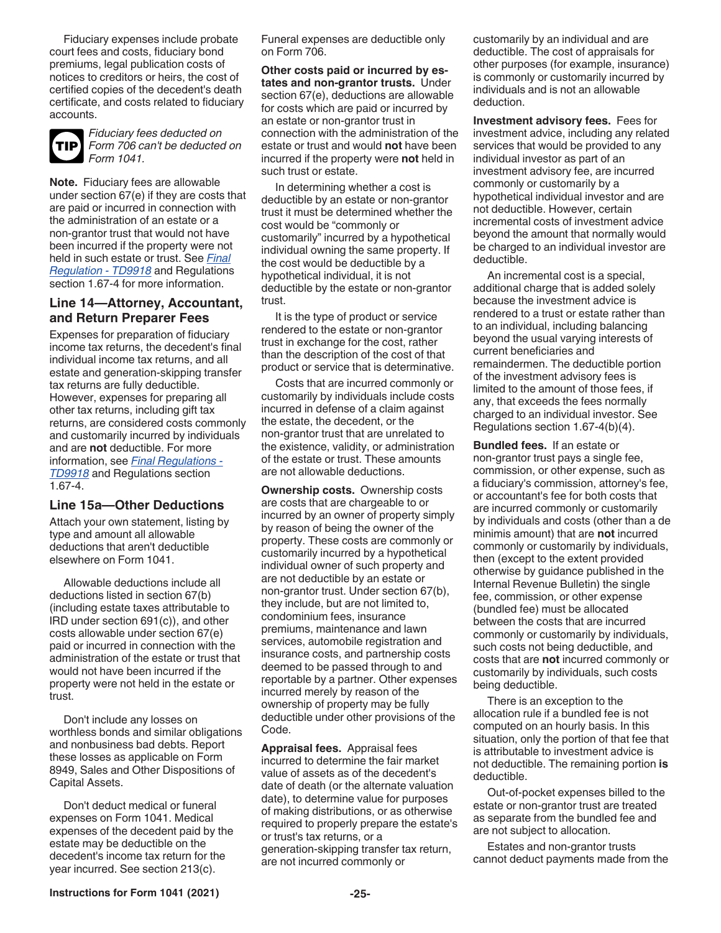Fiduciary expenses include probate court fees and costs, fiduciary bond premiums, legal publication costs of notices to creditors or heirs, the cost of certified copies of the decedent's death certificate, and costs related to fiduciary accounts.



*Fiduciary fees deducted on Form 706 can't be deducted on*  **TIP** *Form 1041.*

**Note.** Fiduciary fees are allowable under section 67(e) if they are costs that are paid or incurred in connection with the administration of an estate or a non-grantor trust that would not have been incurred if the property were not held in such estate or trust. See *[Final](https://www.govinfo.gov/content/pkg/FR-2020-10-19/pdf/2020-21162.pdf)  [Regulation - TD9918](https://www.govinfo.gov/content/pkg/FR-2020-10-19/pdf/2020-21162.pdf)* and Regulations section 1.67-4 for more information.

#### **Line 14—Attorney, Accountant, and Return Preparer Fees**

Expenses for preparation of fiduciary income tax returns, the decedent's final individual income tax returns, and all estate and generation-skipping transfer tax returns are fully deductible. However, expenses for preparing all other tax returns, including gift tax returns, are considered costs commonly and customarily incurred by individuals and are **not** deductible. For more information, see *[Final Regulations -](https://www.govinfo.gov/content/pkg/FR-2020-10-19/pdf/2020-21162.pdf) [TD9918](https://www.govinfo.gov/content/pkg/FR-2020-10-19/pdf/2020-21162.pdf)* and Regulations section 1.67-4.

#### **Line 15a—Other Deductions**

Attach your own statement, listing by type and amount all allowable deductions that aren't deductible elsewhere on Form 1041.

Allowable deductions include all deductions listed in section 67(b) (including estate taxes attributable to IRD under section 691(c)), and other costs allowable under section 67(e) paid or incurred in connection with the administration of the estate or trust that would not have been incurred if the property were not held in the estate or trust.

Don't include any losses on worthless bonds and similar obligations and nonbusiness bad debts. Report these losses as applicable on Form 8949, Sales and Other Dispositions of Capital Assets.

Don't deduct medical or funeral expenses on Form 1041. Medical expenses of the decedent paid by the estate may be deductible on the decedent's income tax return for the year incurred. See section 213(c).

Funeral expenses are deductible only on Form 706.

**Other costs paid or incurred by estates and non-grantor trusts.** Under section 67(e), deductions are allowable for costs which are paid or incurred by an estate or non-grantor trust in connection with the administration of the estate or trust and would **not** have been incurred if the property were **not** held in such trust or estate.

In determining whether a cost is deductible by an estate or non-grantor trust it must be determined whether the cost would be "commonly or customarily" incurred by a hypothetical individual owning the same property. If the cost would be deductible by a hypothetical individual, it is not deductible by the estate or non-grantor trust.

It is the type of product or service rendered to the estate or non-grantor trust in exchange for the cost, rather than the description of the cost of that product or service that is determinative.

Costs that are incurred commonly or customarily by individuals include costs incurred in defense of a claim against the estate, the decedent, or the non-grantor trust that are unrelated to the existence, validity, or administration of the estate or trust. These amounts are not allowable deductions.

**Ownership costs.** Ownership costs are costs that are chargeable to or incurred by an owner of property simply by reason of being the owner of the property. These costs are commonly or customarily incurred by a hypothetical individual owner of such property and are not deductible by an estate or non-grantor trust. Under section 67(b), they include, but are not limited to, condominium fees, insurance premiums, maintenance and lawn services, automobile registration and insurance costs, and partnership costs deemed to be passed through to and reportable by a partner. Other expenses incurred merely by reason of the ownership of property may be fully deductible under other provisions of the Code.

**Appraisal fees.** Appraisal fees incurred to determine the fair market value of assets as of the decedent's date of death (or the alternate valuation date), to determine value for purposes of making distributions, or as otherwise required to properly prepare the estate's or trust's tax returns, or a generation-skipping transfer tax return, are not incurred commonly or

customarily by an individual and are deductible. The cost of appraisals for other purposes (for example, insurance) is commonly or customarily incurred by individuals and is not an allowable deduction.

**Investment advisory fees.** Fees for investment advice, including any related services that would be provided to any individual investor as part of an investment advisory fee, are incurred commonly or customarily by a hypothetical individual investor and are not deductible. However, certain incremental costs of investment advice beyond the amount that normally would be charged to an individual investor are deductible.

An incremental cost is a special, additional charge that is added solely because the investment advice is rendered to a trust or estate rather than to an individual, including balancing beyond the usual varying interests of current beneficiaries and remaindermen. The deductible portion of the investment advisory fees is limited to the amount of those fees, if any, that exceeds the fees normally charged to an individual investor. See Regulations section 1.67-4(b)(4).

**Bundled fees.** If an estate or non-grantor trust pays a single fee, commission, or other expense, such as a fiduciary's commission, attorney's fee, or accountant's fee for both costs that are incurred commonly or customarily by individuals and costs (other than a de minimis amount) that are **not** incurred commonly or customarily by individuals, then (except to the extent provided otherwise by guidance published in the Internal Revenue Bulletin) the single fee, commission, or other expense (bundled fee) must be allocated between the costs that are incurred commonly or customarily by individuals, such costs not being deductible, and costs that are **not** incurred commonly or customarily by individuals, such costs being deductible.

There is an exception to the allocation rule if a bundled fee is not computed on an hourly basis. In this situation, only the portion of that fee that is attributable to investment advice is not deductible. The remaining portion **is**  deductible.

Out-of-pocket expenses billed to the estate or non-grantor trust are treated as separate from the bundled fee and are not subject to allocation.

Estates and non-grantor trusts cannot deduct payments made from the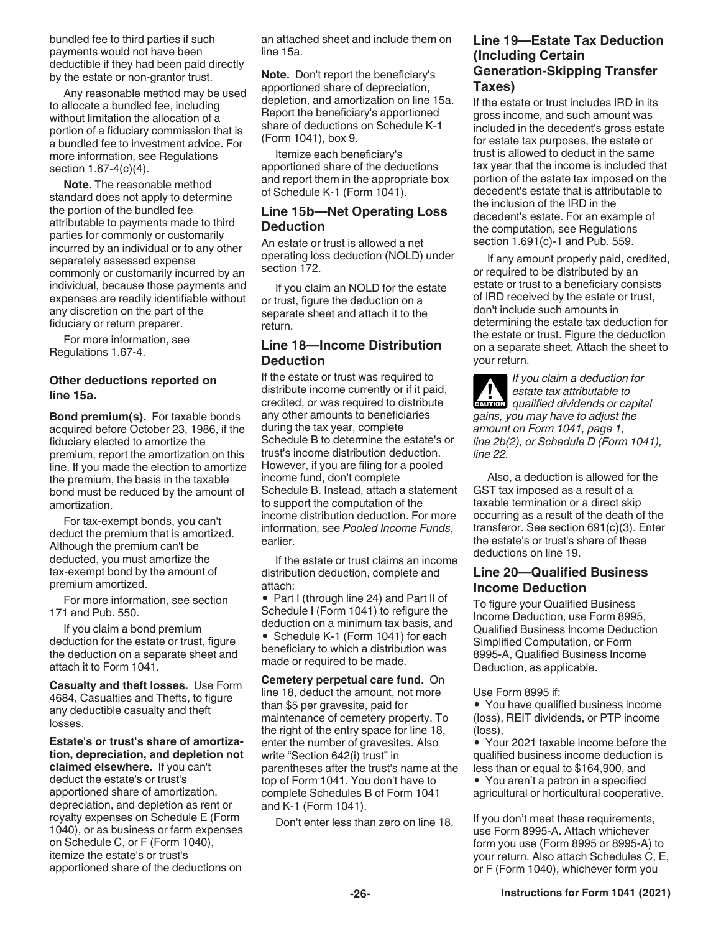bundled fee to third parties if such payments would not have been deductible if they had been paid directly by the estate or non-grantor trust.

Any reasonable method may be used to allocate a bundled fee, including without limitation the allocation of a portion of a fiduciary commission that is a bundled fee to investment advice. For more information, see Regulations section 1.67-4(c)(4).

**Note.** The reasonable method standard does not apply to determine the portion of the bundled fee attributable to payments made to third parties for commonly or customarily incurred by an individual or to any other separately assessed expense commonly or customarily incurred by an individual, because those payments and expenses are readily identifiable without any discretion on the part of the fiduciary or return preparer.

For more information, see Regulations 1.67-4.

#### **Other deductions reported on line 15a.**

**Bond premium(s).** For taxable bonds acquired before October 23, 1986, if the fiduciary elected to amortize the premium, report the amortization on this line. If you made the election to amortize the premium, the basis in the taxable bond must be reduced by the amount of amortization.

For tax-exempt bonds, you can't deduct the premium that is amortized. Although the premium can't be deducted, you must amortize the tax-exempt bond by the amount of premium amortized.

For more information, see section 171 and Pub. 550.

If you claim a bond premium deduction for the estate or trust, figure the deduction on a separate sheet and attach it to Form 1041.

**Casualty and theft losses.** Use Form 4684, Casualties and Thefts, to figure any deductible casualty and theft losses.

**Estate's or trust's share of amortization, depreciation, and depletion not claimed elsewhere.** If you can't deduct the estate's or trust's apportioned share of amortization, depreciation, and depletion as rent or royalty expenses on Schedule E (Form 1040), or as business or farm expenses on Schedule C, or F (Form 1040), itemize the estate's or trust's apportioned share of the deductions on

an attached sheet and include them on line 15a.

**Note.** Don't report the beneficiary's apportioned share of depreciation, depletion, and amortization on line 15a. Report the beneficiary's apportioned share of deductions on Schedule K-1 (Form 1041), box 9.

Itemize each beneficiary's apportioned share of the deductions and report them in the appropriate box of Schedule K-1 (Form 1041).

#### **Line 15b—Net Operating Loss Deduction**

An estate or trust is allowed a net operating loss deduction (NOLD) under section 172.

If you claim an NOLD for the estate or trust, figure the deduction on a separate sheet and attach it to the return.

#### **Line 18—Income Distribution Deduction**

If the estate or trust was required to distribute income currently or if it paid, credited, or was required to distribute any other amounts to beneficiaries during the tax year, complete Schedule B to determine the estate's or trust's income distribution deduction. However, if you are filing for a pooled income fund, don't complete Schedule B. Instead, attach a statement to support the computation of the income distribution deduction. For more information, see *Pooled Income Funds*, earlier.

If the estate or trust claims an income distribution deduction, complete and attach:

• Part I (through line 24) and Part II of Schedule I (Form 1041) to refigure the deduction on a minimum tax basis, and • Schedule K-1 (Form 1041) for each beneficiary to which a distribution was made or required to be made.

**Cemetery perpetual care fund.** On line 18, deduct the amount, not more than \$5 per gravesite, paid for maintenance of cemetery property. To the right of the entry space for line 18, enter the number of gravesites. Also write "Section 642(i) trust" in parentheses after the trust's name at the top of Form 1041. You don't have to complete Schedules B of Form 1041 and K-1 (Form 1041).

Don't enter less than zero on line 18.

#### **Line 19—Estate Tax Deduction (Including Certain Generation-Skipping Transfer Taxes)**

If the estate or trust includes IRD in its gross income, and such amount was included in the decedent's gross estate for estate tax purposes, the estate or trust is allowed to deduct in the same tax year that the income is included that portion of the estate tax imposed on the decedent's estate that is attributable to the inclusion of the IRD in the decedent's estate. For an example of the computation, see Regulations section 1.691(c)-1 and Pub. 559.

If any amount properly paid, credited, or required to be distributed by an estate or trust to a beneficiary consists of IRD received by the estate or trust, don't include such amounts in determining the estate tax deduction for the estate or trust. Figure the deduction on a separate sheet. Attach the sheet to your return.

*If you claim a deduction for estate tax attributable to*  **z** estate tax attributable to<br> **cAUTION** qualified dividends or capital *gains, you may have to adjust the amount on Form 1041, page 1, line 2b(2), or Schedule D (Form 1041), line 22.*

Also, a deduction is allowed for the GST tax imposed as a result of a taxable termination or a direct skip occurring as a result of the death of the transferor. See section 691(c)(3). Enter the estate's or trust's share of these deductions on line 19.

#### **Line 20—Qualified Business Income Deduction**

To figure your Qualified Business Income Deduction, use Form 8995, Qualified Business Income Deduction Simplified Computation, or Form 8995-A, Qualified Business Income Deduction, as applicable.

Use Form 8995 if:

• You have qualified business income (loss), REIT dividends, or PTP income (loss),

• Your 2021 taxable income before the qualified business income deduction is less than or equal to \$164,900, and

• You aren't a patron in a specified agricultural or horticultural cooperative.

If you don't meet these requirements, use Form 8995-A. Attach whichever form you use (Form 8995 or 8995-A) to your return. Also attach Schedules C, E, or F (Form 1040), whichever form you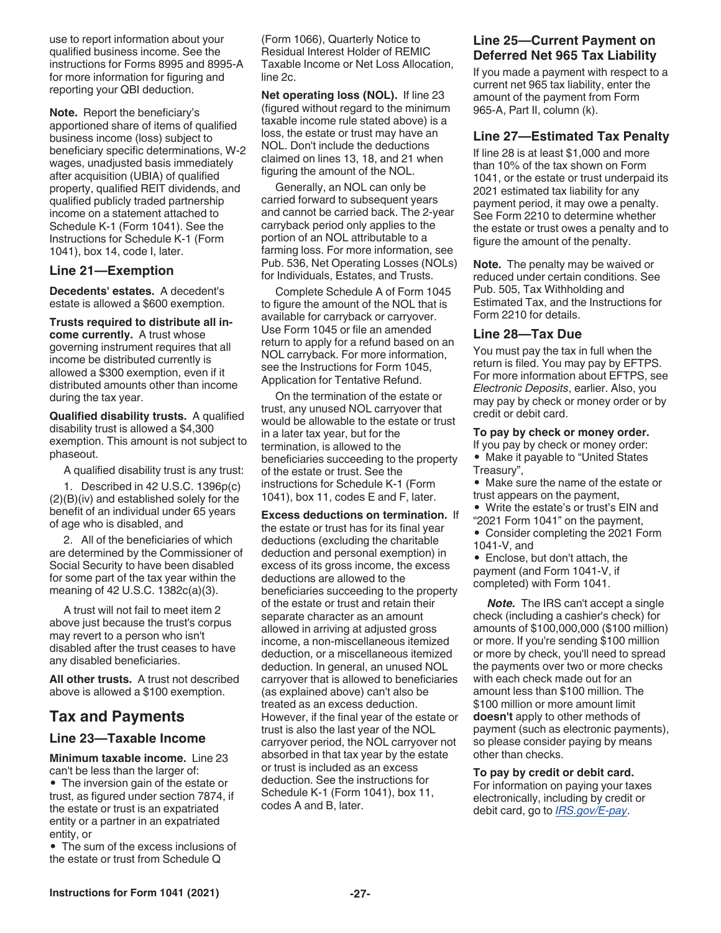use to report information about your qualified business income. See the instructions for Forms 8995 and 8995-A for more information for figuring and reporting your QBI deduction.

**Note.** Report the beneficiary's apportioned share of items of qualified business income (loss) subject to beneficiary specific determinations, W-2 wages, unadjusted basis immediately after acquisition (UBIA) of qualified property, qualified REIT dividends, and qualified publicly traded partnership income on a statement attached to Schedule K-1 (Form 1041). See the Instructions for Schedule K-1 (Form 1041), box 14, code I, later.

#### **Line 21—Exemption**

**Decedents' estates.** A decedent's estate is allowed a \$600 exemption.

**Trusts required to distribute all income currently.** A trust whose governing instrument requires that all income be distributed currently is allowed a \$300 exemption, even if it distributed amounts other than income during the tax year.

**Qualified disability trusts.** A qualified disability trust is allowed a \$4,300 exemption. This amount is not subject to phaseout.

A qualified disability trust is any trust:

1. Described in 42 U.S.C. 1396p(c) (2)(B)(iv) and established solely for the benefit of an individual under 65 years of age who is disabled, and

2. All of the beneficiaries of which are determined by the Commissioner of Social Security to have been disabled for some part of the tax year within the meaning of 42 U.S.C. 1382c(a)(3).

A trust will not fail to meet item 2 above just because the trust's corpus may revert to a person who isn't disabled after the trust ceases to have any disabled beneficiaries.

**All other trusts.** A trust not described above is allowed a \$100 exemption.

## **Tax and Payments**

## **Line 23—Taxable Income**

**Minimum taxable income.** Line 23 can't be less than the larger of:

• The inversion gain of the estate or trust, as figured under section 7874, if the estate or trust is an expatriated entity or a partner in an expatriated entity, or

• The sum of the excess inclusions of the estate or trust from Schedule Q

(Form 1066), Quarterly Notice to Residual Interest Holder of REMIC Taxable Income or Net Loss Allocation, line 2c.

**Net operating loss (NOL).** If line 23 (figured without regard to the minimum taxable income rule stated above) is a loss, the estate or trust may have an NOL. Don't include the deductions claimed on lines 13, 18, and 21 when figuring the amount of the NOL.

Generally, an NOL can only be carried forward to subsequent years and cannot be carried back. The 2-year carryback period only applies to the portion of an NOL attributable to a farming loss. For more information, see Pub. 536, Net Operating Losses (NOLs) for Individuals, Estates, and Trusts.

Complete Schedule A of Form 1045 to figure the amount of the NOL that is available for carryback or carryover. Use Form 1045 or file an amended return to apply for a refund based on an NOL carryback. For more information, see the Instructions for Form 1045, Application for Tentative Refund.

On the termination of the estate or trust, any unused NOL carryover that would be allowable to the estate or trust in a later tax year, but for the termination, is allowed to the beneficiaries succeeding to the property of the estate or trust. See the instructions for Schedule K-1 (Form 1041), box 11, codes E and F, later.

**Excess deductions on termination.** If the estate or trust has for its final year deductions (excluding the charitable deduction and personal exemption) in excess of its gross income, the excess deductions are allowed to the beneficiaries succeeding to the property of the estate or trust and retain their separate character as an amount allowed in arriving at adjusted gross income, a non-miscellaneous itemized deduction, or a miscellaneous itemized deduction. In general, an unused NOL carryover that is allowed to beneficiaries (as explained above) can't also be treated as an excess deduction. However, if the final year of the estate or trust is also the last year of the NOL carryover period, the NOL carryover not absorbed in that tax year by the estate or trust is included as an excess deduction. See the instructions for Schedule K-1 (Form 1041), box 11, codes A and B, later.

### **Line 25—Current Payment on Deferred Net 965 Tax Liability**

If you made a payment with respect to a current net 965 tax liability, enter the amount of the payment from Form 965-A, Part II, column (k).

#### **Line 27—Estimated Tax Penalty**

If line 28 is at least \$1,000 and more than 10% of the tax shown on Form 1041, or the estate or trust underpaid its 2021 estimated tax liability for any payment period, it may owe a penalty. See Form 2210 to determine whether the estate or trust owes a penalty and to figure the amount of the penalty.

**Note.** The penalty may be waived or reduced under certain conditions. See Pub. 505, Tax Withholding and Estimated Tax, and the Instructions for Form 2210 for details.

#### **Line 28—Tax Due**

You must pay the tax in full when the return is filed. You may pay by EFTPS. For more information about EFTPS, see *Electronic Deposits*, earlier. Also, you may pay by check or money order or by credit or debit card.

#### **To pay by check or money order.**

- If you pay by check or money order: • Make it payable to "United States Treasury",
- Make sure the name of the estate or trust appears on the payment,
- Write the estate's or trust's EIN and
- "2021 Form 1041" on the payment,

• Consider completing the 2021 Form 1041-V, and

• Enclose, but don't attach, the payment (and Form 1041-V, if completed) with Form 1041.

*Note.* The IRS can't accept a single check (including a cashier's check) for amounts of \$100,000,000 (\$100 million) or more. If you're sending \$100 million or more by check, you'll need to spread the payments over two or more checks with each check made out for an amount less than \$100 million. The \$100 million or more amount limit **doesn't** apply to other methods of payment (such as electronic payments), so please consider paying by means other than checks.

#### **To pay by credit or debit card.**

For information on paying your taxes electronically, including by credit or debit card, go to *[IRS.gov/E-pay](https://www.irs.gov/e-pay)*.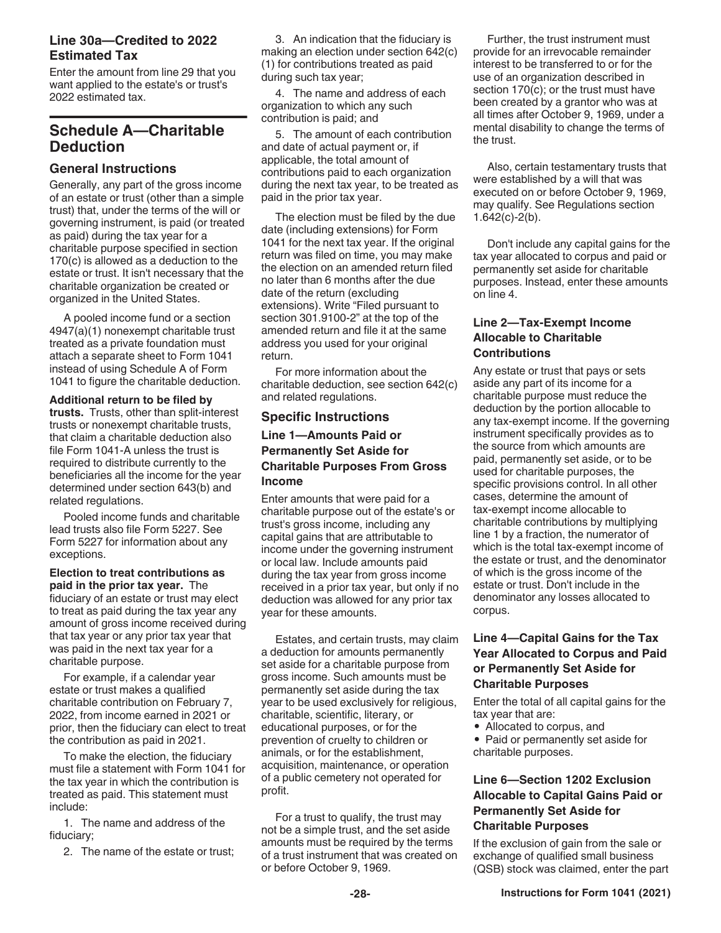#### **Line 30a—Credited to 2022 Estimated Tax**

Enter the amount from line 29 that you want applied to the estate's or trust's 2022 estimated tax.

## **Schedule A—Charitable Deduction**

### **General Instructions**

Generally, any part of the gross income of an estate or trust (other than a simple trust) that, under the terms of the will or governing instrument, is paid (or treated as paid) during the tax year for a charitable purpose specified in section 170(c) is allowed as a deduction to the estate or trust. It isn't necessary that the charitable organization be created or organized in the United States.

A pooled income fund or a section 4947(a)(1) nonexempt charitable trust treated as a private foundation must attach a separate sheet to Form 1041 instead of using Schedule A of Form 1041 to figure the charitable deduction.

**Additional return to be filed by trusts.** Trusts, other than split-interest trusts or nonexempt charitable trusts, that claim a charitable deduction also file Form 1041-A unless the trust is required to distribute currently to the beneficiaries all the income for the year determined under section 643(b) and related regulations.

Pooled income funds and charitable lead trusts also file Form 5227. See Form 5227 for information about any exceptions.

**Election to treat contributions as paid in the prior tax year.** The fiduciary of an estate or trust may elect to treat as paid during the tax year any amount of gross income received during that tax year or any prior tax year that was paid in the next tax year for a charitable purpose.

For example, if a calendar year estate or trust makes a qualified charitable contribution on February 7, 2022, from income earned in 2021 or prior, then the fiduciary can elect to treat the contribution as paid in 2021.

To make the election, the fiduciary must file a statement with Form 1041 for the tax year in which the contribution is treated as paid. This statement must include:

1. The name and address of the fiduciary;

2. The name of the estate or trust;

3. An indication that the fiduciary is making an election under section 642(c) (1) for contributions treated as paid during such tax year;

4. The name and address of each organization to which any such contribution is paid; and

5. The amount of each contribution and date of actual payment or, if applicable, the total amount of contributions paid to each organization during the next tax year, to be treated as paid in the prior tax year.

The election must be filed by the due date (including extensions) for Form 1041 for the next tax year. If the original return was filed on time, you may make the election on an amended return filed no later than 6 months after the due date of the return (excluding extensions). Write "Filed pursuant to section 301.9100-2" at the top of the amended return and file it at the same address you used for your original return.

For more information about the charitable deduction, see section 642(c) and related regulations.

#### **Specific Instructions**

### **Line 1—Amounts Paid or Permanently Set Aside for Charitable Purposes From Gross Income**

Enter amounts that were paid for a charitable purpose out of the estate's or trust's gross income, including any capital gains that are attributable to income under the governing instrument or local law. Include amounts paid during the tax year from gross income received in a prior tax year, but only if no deduction was allowed for any prior tax year for these amounts.

Estates, and certain trusts, may claim a deduction for amounts permanently set aside for a charitable purpose from gross income. Such amounts must be permanently set aside during the tax year to be used exclusively for religious, charitable, scientific, literary, or educational purposes, or for the prevention of cruelty to children or animals, or for the establishment, acquisition, maintenance, or operation of a public cemetery not operated for profit.

For a trust to qualify, the trust may not be a simple trust, and the set aside amounts must be required by the terms of a trust instrument that was created on or before October 9, 1969.

Further, the trust instrument must provide for an irrevocable remainder interest to be transferred to or for the use of an organization described in section 170(c); or the trust must have been created by a grantor who was at all times after October 9, 1969, under a mental disability to change the terms of the trust.

Also, certain testamentary trusts that were established by a will that was executed on or before October 9, 1969, may qualify. See Regulations section 1.642(c)-2(b).

Don't include any capital gains for the tax year allocated to corpus and paid or permanently set aside for charitable purposes. Instead, enter these amounts on line 4.

#### **Line 2—Tax-Exempt Income Allocable to Charitable Contributions**

Any estate or trust that pays or sets aside any part of its income for a charitable purpose must reduce the deduction by the portion allocable to any tax-exempt income. If the governing instrument specifically provides as to the source from which amounts are paid, permanently set aside, or to be used for charitable purposes, the specific provisions control. In all other cases, determine the amount of tax-exempt income allocable to charitable contributions by multiplying line 1 by a fraction, the numerator of which is the total tax-exempt income of the estate or trust, and the denominator of which is the gross income of the estate or trust. Don't include in the denominator any losses allocated to corpus.

#### **Line 4—Capital Gains for the Tax Year Allocated to Corpus and Paid or Permanently Set Aside for Charitable Purposes**

Enter the total of all capital gains for the tax year that are:

• Allocated to corpus, and

• Paid or permanently set aside for charitable purposes.

#### **Line 6—Section 1202 Exclusion Allocable to Capital Gains Paid or Permanently Set Aside for Charitable Purposes**

If the exclusion of gain from the sale or exchange of qualified small business (QSB) stock was claimed, enter the part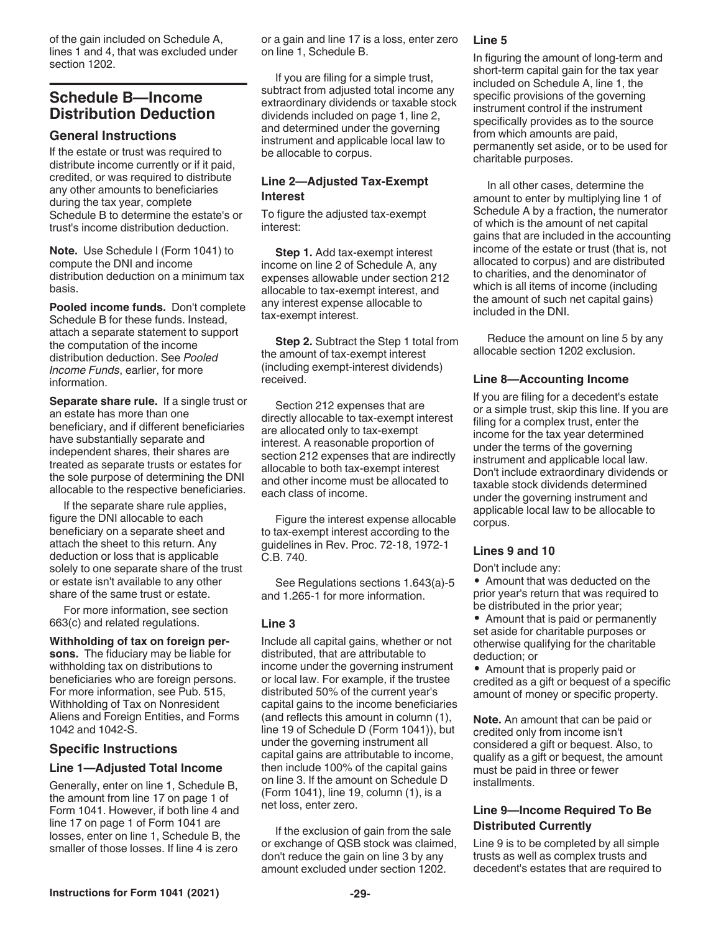of the gain included on Schedule A, lines 1 and 4, that was excluded under section 1202.

## **Schedule B—Income Distribution Deduction**

#### **General Instructions**

If the estate or trust was required to distribute income currently or if it paid, credited, or was required to distribute any other amounts to beneficiaries during the tax year, complete Schedule B to determine the estate's or trust's income distribution deduction.

**Note.** Use Schedule I (Form 1041) to compute the DNI and income distribution deduction on a minimum tax basis.

**Pooled income funds.** Don't complete Schedule B for these funds. Instead, attach a separate statement to support the computation of the income distribution deduction. See *Pooled Income Funds*, earlier, for more information.

**Separate share rule.** If a single trust or an estate has more than one beneficiary, and if different beneficiaries have substantially separate and independent shares, their shares are treated as separate trusts or estates for the sole purpose of determining the DNI allocable to the respective beneficiaries.

If the separate share rule applies, figure the DNI allocable to each beneficiary on a separate sheet and attach the sheet to this return. Any deduction or loss that is applicable solely to one separate share of the trust or estate isn't available to any other share of the same trust or estate.

For more information, see section 663(c) and related regulations.

#### **Withholding of tax on foreign per-**

**sons.** The fiduciary may be liable for withholding tax on distributions to beneficiaries who are foreign persons. For more information, see Pub. 515, Withholding of Tax on Nonresident Aliens and Foreign Entities, and Forms 1042 and 1042-S.

#### **Specific Instructions**

#### **Line 1—Adjusted Total Income**

Generally, enter on line 1, Schedule B, the amount from line 17 on page 1 of Form 1041. However, if both line 4 and line 17 on page 1 of Form 1041 are losses, enter on line 1, Schedule B, the smaller of those losses. If line 4 is zero

or a gain and line 17 is a loss, enter zero on line 1, Schedule B.

If you are filing for a simple trust, subtract from adjusted total income any extraordinary dividends or taxable stock dividends included on page 1, line 2, and determined under the governing instrument and applicable local law to be allocable to corpus.

#### **Line 2—Adjusted Tax-Exempt Interest**

To figure the adjusted tax-exempt interest:

**Step 1.** Add tax-exempt interest income on line 2 of Schedule A, any expenses allowable under section 212 allocable to tax-exempt interest, and any interest expense allocable to tax-exempt interest.

**Step 2.** Subtract the Step 1 total from the amount of tax-exempt interest (including exempt-interest dividends) received.

Section 212 expenses that are directly allocable to tax-exempt interest are allocated only to tax-exempt interest. A reasonable proportion of section 212 expenses that are indirectly allocable to both tax-exempt interest and other income must be allocated to each class of income.

Figure the interest expense allocable to tax-exempt interest according to the guidelines in Rev. Proc. 72-18, 1972-1 C.B. 740.

See Regulations sections 1.643(a)-5 and 1.265-1 for more information.

#### **Line 3**

Include all capital gains, whether or not distributed, that are attributable to income under the governing instrument or local law. For example, if the trustee distributed 50% of the current year's capital gains to the income beneficiaries (and reflects this amount in column (1), line 19 of Schedule D (Form 1041)), but under the governing instrument all capital gains are attributable to income, then include 100% of the capital gains on line 3. If the amount on Schedule D (Form 1041), line 19, column (1), is a net loss, enter zero.

If the exclusion of gain from the sale or exchange of QSB stock was claimed, don't reduce the gain on line 3 by any amount excluded under section 1202.

#### **Line 5**

In figuring the amount of long-term and short-term capital gain for the tax year included on Schedule A, line 1, the specific provisions of the governing instrument control if the instrument specifically provides as to the source from which amounts are paid, permanently set aside, or to be used for charitable purposes.

In all other cases, determine the amount to enter by multiplying line 1 of Schedule A by a fraction, the numerator of which is the amount of net capital gains that are included in the accounting income of the estate or trust (that is, not allocated to corpus) and are distributed to charities, and the denominator of which is all items of income (including the amount of such net capital gains) included in the DNI.

Reduce the amount on line 5 by any allocable section 1202 exclusion.

#### **Line 8—Accounting Income**

If you are filing for a decedent's estate or a simple trust, skip this line. If you are filing for a complex trust, enter the income for the tax year determined under the terms of the governing instrument and applicable local law. Don't include extraordinary dividends or taxable stock dividends determined under the governing instrument and applicable local law to be allocable to corpus.

#### **Lines 9 and 10**

Don't include any:

• Amount that was deducted on the prior year's return that was required to be distributed in the prior year;

• Amount that is paid or permanently set aside for charitable purposes or otherwise qualifying for the charitable deduction; or

• Amount that is properly paid or credited as a gift or bequest of a specific amount of money or specific property.

**Note.** An amount that can be paid or credited only from income isn't considered a gift or bequest. Also, to qualify as a gift or bequest, the amount must be paid in three or fewer installments.

### **Line 9—Income Required To Be Distributed Currently**

Line 9 is to be completed by all simple trusts as well as complex trusts and decedent's estates that are required to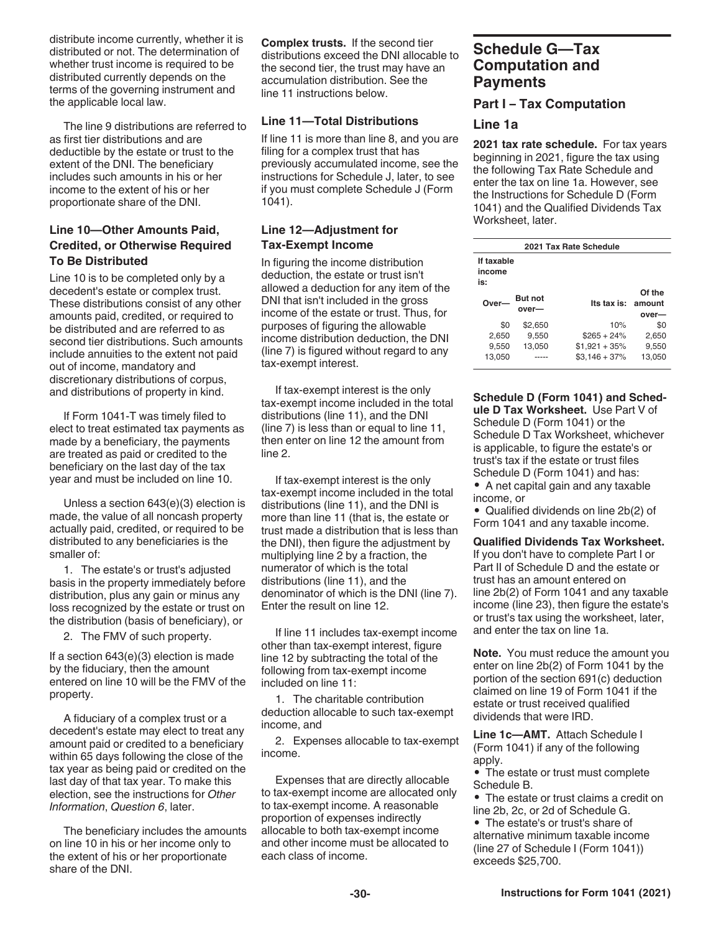distribute income currently, whether it is distributed or not. The determination of whether trust income is required to be distributed currently depends on the terms of the governing instrument and the applicable local law.

The line 9 distributions are referred to as first tier distributions and are deductible by the estate or trust to the extent of the DNI. The beneficiary includes such amounts in his or her income to the extent of his or her proportionate share of the DNI.

#### **Line 10—Other Amounts Paid, Credited, or Otherwise Required To Be Distributed**

Line 10 is to be completed only by a decedent's estate or complex trust. These distributions consist of any other amounts paid, credited, or required to be distributed and are referred to as second tier distributions. Such amounts include annuities to the extent not paid out of income, mandatory and discretionary distributions of corpus, and distributions of property in kind.

If Form 1041-T was timely filed to elect to treat estimated tax payments as made by a beneficiary, the payments are treated as paid or credited to the beneficiary on the last day of the tax year and must be included on line 10.

Unless a section 643(e)(3) election is made, the value of all noncash property actually paid, credited, or required to be distributed to any beneficiaries is the smaller of:

1. The estate's or trust's adjusted basis in the property immediately before distribution, plus any gain or minus any loss recognized by the estate or trust on the distribution (basis of beneficiary), or

2. The FMV of such property.

If a section 643(e)(3) election is made by the fiduciary, then the amount entered on line 10 will be the FMV of the property.

A fiduciary of a complex trust or a decedent's estate may elect to treat any amount paid or credited to a beneficiary within 65 days following the close of the tax year as being paid or credited on the last day of that tax year. To make this election, see the instructions for *Other Information*, *Question 6*, later.

The beneficiary includes the amounts on line 10 in his or her income only to the extent of his or her proportionate share of the DNI.

**Complex trusts.** If the second tier distributions exceed the DNI allocable to the second tier, the trust may have an accumulation distribution. See the line 11 instructions below.

#### **Line 11—Total Distributions**

If line 11 is more than line 8, and you are filing for a complex trust that has previously accumulated income, see the instructions for Schedule J, later, to see if you must complete Schedule J (Form 1041).

#### **Line 12—Adjustment for Tax-Exempt Income**

In figuring the income distribution deduction, the estate or trust isn't allowed a deduction for any item of the DNI that isn't included in the gross income of the estate or trust. Thus, for purposes of figuring the allowable income distribution deduction, the DNI (line 7) is figured without regard to any tax-exempt interest.

If tax-exempt interest is the only tax-exempt income included in the total distributions (line 11), and the DNI (line 7) is less than or equal to line 11, then enter on line 12 the amount from line 2.

If tax-exempt interest is the only tax-exempt income included in the total distributions (line 11), and the DNI is more than line 11 (that is, the estate or trust made a distribution that is less than the DNI), then figure the adjustment by multiplying line 2 by a fraction, the numerator of which is the total distributions (line 11), and the denominator of which is the DNI (line 7). Enter the result on line 12.

If line 11 includes tax-exempt income other than tax-exempt interest, figure line 12 by subtracting the total of the following from tax-exempt income included on line 11:

1. The charitable contribution deduction allocable to such tax-exempt income, and

2. Expenses allocable to tax-exempt income.

Expenses that are directly allocable to tax-exempt income are allocated only to tax-exempt income. A reasonable proportion of expenses indirectly allocable to both tax-exempt income and other income must be allocated to each class of income.

## **Schedule G—Tax Computation and Payments**

## **Part I – Tax Computation**

### **Line 1a**

**2021 tax rate schedule.** For tax years beginning in 2021, figure the tax using the following Tax Rate Schedule and enter the tax on line 1a. However, see the Instructions for Schedule D (Form 1041) and the Qualified Dividends Tax Worksheet, later.

|                             | 2021 Tax Rate Schedule |                    |                 |  |  |  |
|-----------------------------|------------------------|--------------------|-----------------|--|--|--|
| If taxable<br>income<br>is: |                        |                    |                 |  |  |  |
| Over-                       | But not<br>over—       | Its tax is: amount | Of the<br>over— |  |  |  |
| \$0                         | \$2.650                | 10%                | \$0             |  |  |  |
| 2,650                       | 9,550                  | $$265 + 24\%$      | 2,650           |  |  |  |
| 9.550                       | 13.050                 | $$1.921 + 35\%$    | 9,550           |  |  |  |
| 13,050                      |                        | $$3,146 + 37\%$    | 13,050          |  |  |  |

**Schedule D (Form 1041) and Schedule D Tax Worksheet.** Use Part V of Schedule D (Form 1041) or the Schedule D Tax Worksheet, whichever is applicable, to figure the estate's or trust's tax if the estate or trust files Schedule D (Form 1041) and has: • A net capital gain and any taxable

income, or

• Qualified dividends on line 2b(2) of Form 1041 and any taxable income.

**Qualified Dividends Tax Worksheet.**  If you don't have to complete Part I or Part II of Schedule D and the estate or trust has an amount entered on line 2b(2) of Form 1041 and any taxable income (line 23), then figure the estate's or trust's tax using the worksheet, later, and enter the tax on line 1a.

**Note.** You must reduce the amount you enter on line 2b(2) of Form 1041 by the portion of the section 691(c) deduction claimed on line 19 of Form 1041 if the estate or trust received qualified dividends that were IRD.

**Line 1c—AMT.** Attach Schedule I (Form 1041) if any of the following apply.

- The estate or trust must complete Schedule B.
- The estate or trust claims a credit on line 2b, 2c, or 2d of Schedule G.

• The estate's or trust's share of alternative minimum taxable income (line 27 of Schedule I (Form 1041)) exceeds \$25,700.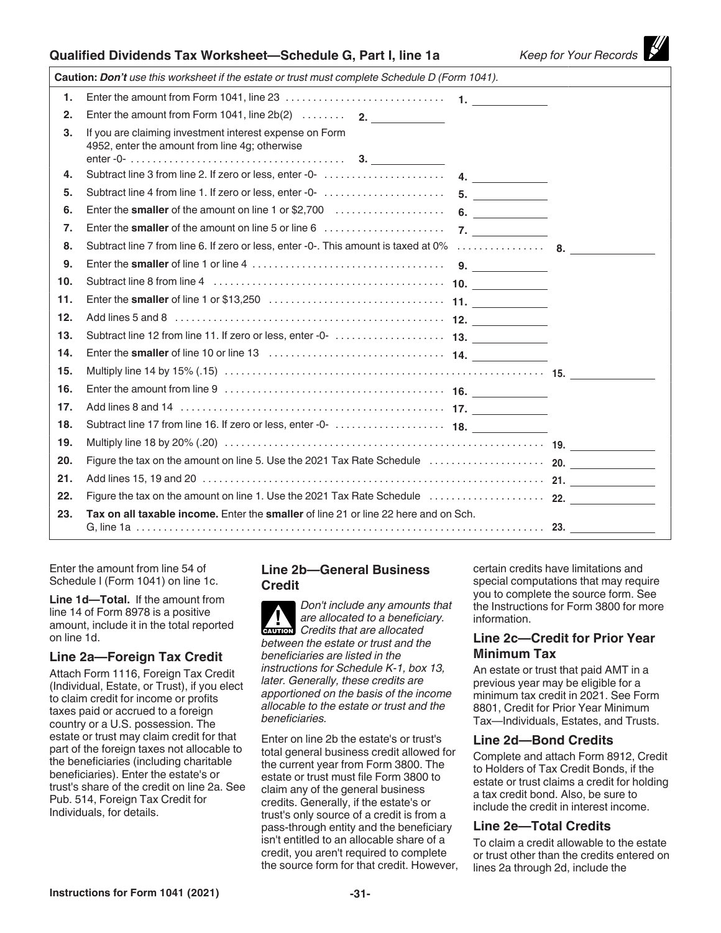|     | Qualified Dividends Tax Worksheet-Schedule G, Part I, line 1a<br>Caution: Don't use this worksheet if the estate or trust must complete Schedule D (Form 1041). |    | <b>Keep for Your Records</b> |  |
|-----|-----------------------------------------------------------------------------------------------------------------------------------------------------------------|----|------------------------------|--|
|     |                                                                                                                                                                 |    |                              |  |
| 1.  |                                                                                                                                                                 |    |                              |  |
| 2.  |                                                                                                                                                                 |    |                              |  |
| 3.  | If you are claiming investment interest expense on Form<br>4952, enter the amount from line 4g; otherwise                                                       |    |                              |  |
|     |                                                                                                                                                                 |    |                              |  |
| 4.  |                                                                                                                                                                 |    |                              |  |
| 5.  | Subtract line 4 from line 1. If zero or less, enter -0-                                                                                                         |    |                              |  |
| 6.  |                                                                                                                                                                 |    |                              |  |
| 7.  | Enter the smaller of the amount on line 5 or line 6                                                                                                             |    |                              |  |
| 8.  |                                                                                                                                                                 |    |                              |  |
| 9.  |                                                                                                                                                                 | 9. |                              |  |
| 10. |                                                                                                                                                                 |    |                              |  |
| 11. |                                                                                                                                                                 |    |                              |  |
| 12. |                                                                                                                                                                 |    |                              |  |
| 13. |                                                                                                                                                                 |    |                              |  |
| 14. |                                                                                                                                                                 |    |                              |  |
| 15. |                                                                                                                                                                 |    |                              |  |
| 16. |                                                                                                                                                                 |    |                              |  |
| 17. |                                                                                                                                                                 |    |                              |  |
| 18. |                                                                                                                                                                 |    |                              |  |
| 19. |                                                                                                                                                                 |    |                              |  |
| 20. |                                                                                                                                                                 |    |                              |  |
| 21. |                                                                                                                                                                 |    |                              |  |
| 22. |                                                                                                                                                                 |    |                              |  |
| 23. | Tax on all taxable income. Enter the smaller of line 21 or line 22 here and on Sch.                                                                             |    |                              |  |
|     |                                                                                                                                                                 |    |                              |  |

Enter the amount from line 54 of Schedule I (Form 1041) on line 1c.

**Line 1d—Total.** If the amount from line 14 of Form 8978 is a positive amount, include it in the total reported on line 1d.

#### **Line 2a—Foreign Tax Credit**

Attach Form 1116, Foreign Tax Credit (Individual, Estate, or Trust), if you elect to claim credit for income or profits taxes paid or accrued to a foreign country or a U.S. possession. The estate or trust may claim credit for that part of the foreign taxes not allocable to the beneficiaries (including charitable beneficiaries). Enter the estate's or trust's share of the credit on line 2a. See Pub. 514, Foreign Tax Credit for Individuals, for details.

#### **Line 2b—General Business Credit**

*Don't include any amounts that are allocated to a beneficiary. Credits that are allocated*  **CAUTION** *between the estate or trust and the beneficiaries are listed in the instructions for Schedule K-1, box 13, later. Generally, these credits are apportioned on the basis of the income allocable to the estate or trust and the beneficiaries.* **!**

Enter on line 2b the estate's or trust's total general business credit allowed for the current year from Form 3800. The estate or trust must file Form 3800 to claim any of the general business credits. Generally, if the estate's or trust's only source of a credit is from a pass-through entity and the beneficiary isn't entitled to an allocable share of a credit, you aren't required to complete the source form for that credit. However, certain credits have limitations and special computations that may require you to complete the source form. See the Instructions for Form 3800 for more information.

### **Line 2c—Credit for Prior Year Minimum Tax**

An estate or trust that paid AMT in a previous year may be eligible for a minimum tax credit in 2021. See Form 8801, Credit for Prior Year Minimum Tax—Individuals, Estates, and Trusts.

#### **Line 2d—Bond Credits**

Complete and attach Form 8912, Credit to Holders of Tax Credit Bonds, if the estate or trust claims a credit for holding a tax credit bond. Also, be sure to include the credit in interest income.

#### **Line 2e—Total Credits**

To claim a credit allowable to the estate or trust other than the credits entered on lines 2a through 2d, include the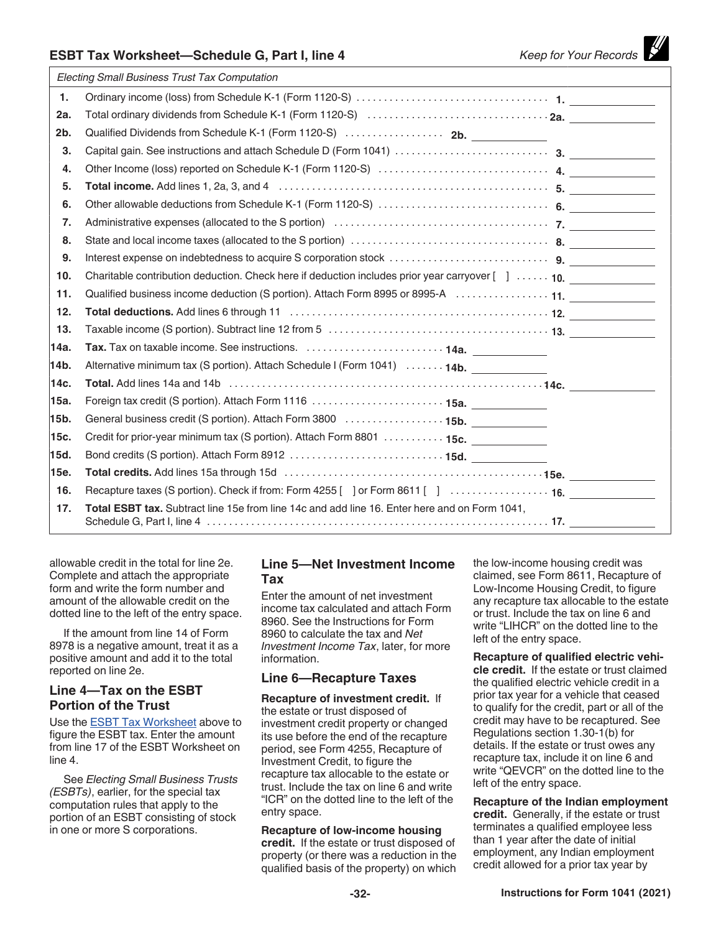|      | <b>Electing Small Business Trust Tax Computation</b>                                                                                                                                                                           |  |
|------|--------------------------------------------------------------------------------------------------------------------------------------------------------------------------------------------------------------------------------|--|
| 1.   |                                                                                                                                                                                                                                |  |
| 2a.  |                                                                                                                                                                                                                                |  |
| 2b.  |                                                                                                                                                                                                                                |  |
| З.   |                                                                                                                                                                                                                                |  |
| 4.   |                                                                                                                                                                                                                                |  |
| 5.   |                                                                                                                                                                                                                                |  |
| 6.   |                                                                                                                                                                                                                                |  |
| 7.   |                                                                                                                                                                                                                                |  |
| 8.   |                                                                                                                                                                                                                                |  |
| 9.   |                                                                                                                                                                                                                                |  |
| 10.  | Charitable contribution deduction. Check here if deduction includes prior year carryover [ ]  10.                                                                                                                              |  |
| 11.  | Qualified business income deduction (S portion). Attach Form 8995 or 8995-A                                                                                                                                                    |  |
| 12.  |                                                                                                                                                                                                                                |  |
| 13.  |                                                                                                                                                                                                                                |  |
| 14a. | Tax. Tax on taxable income. See instructions.  14a. __________________                                                                                                                                                         |  |
| 14b. | Alternative minimum tax (S portion). Attach Schedule I (Form 1041)  14b.                                                                                                                                                       |  |
| 14c. |                                                                                                                                                                                                                                |  |
| 15a. | Foreign tax credit (S portion). Attach Form 1116  15a.                                                                                                                                                                         |  |
| 15b. | General business credit (S portion). Attach Form 3800  15b. [CrossBusiness credit (S portion).                                                                                                                                 |  |
| 15c. | Credit for prior-year minimum tax (S portion). Attach Form 8801  15c.                                                                                                                                                          |  |
| 15d. | Bond credits (S portion). Attach Form 8912  15d.                                                                                                                                                                               |  |
| 15e. | Total credits. Add lines 15a through 15d (and the context of the context of the context of the context of the context of the context of the context of the context of the context of the context of the context of the context |  |
| 16.  | Recapture taxes (S portion). Check if from: Form 4255 [ ] or Form 8611 [ ]  16.                                                                                                                                                |  |
| 17.  | Total ESBT tax. Subtract line 15e from line 14c and add line 16. Enter here and on Form 1041,                                                                                                                                  |  |

allowable credit in the total for line 2e. Complete and attach the appropriate form and write the form number and amount of the allowable credit on the dotted line to the left of the entry space.

If the amount from line 14 of Form 8978 is a negative amount, treat it as a positive amount and add it to the total reported on line 2e.

### **Line 4—Tax on the ESBT Portion of the Trust**

Use the ESBT Tax Worksheet above to figure the ESBT tax. Enter the amount from line 17 of the ESBT Worksheet on line 4.

See *Electing Small Business Trusts (ESBTs)*, earlier, for the special tax computation rules that apply to the portion of an ESBT consisting of stock in one or more S corporations.

### **Line 5—Net Investment Income Tax**

Enter the amount of net investment income tax calculated and attach Form 8960. See the Instructions for Form 8960 to calculate the tax and *Net Investment Income Tax*, later, for more information.

#### **Line 6—Recapture Taxes**

**Recapture of investment credit.** If the estate or trust disposed of investment credit property or changed its use before the end of the recapture period, see Form 4255, Recapture of Investment Credit, to figure the recapture tax allocable to the estate or trust. Include the tax on line 6 and write "ICR" on the dotted line to the left of the entry space.

**Recapture of low-income housing credit.** If the estate or trust disposed of property (or there was a reduction in the qualified basis of the property) on which

the low-income housing credit was claimed, see Form 8611, Recapture of Low-Income Housing Credit, to figure any recapture tax allocable to the estate or trust. Include the tax on line 6 and write "LIHCR" on the dotted line to the left of the entry space.

**Recapture of qualified electric vehicle credit.** If the estate or trust claimed the qualified electric vehicle credit in a prior tax year for a vehicle that ceased to qualify for the credit, part or all of the credit may have to be recaptured. See Regulations section 1.30-1(b) for details. If the estate or trust owes any recapture tax, include it on line 6 and write "QEVCR" on the dotted line to the left of the entry space.

**Recapture of the Indian employment credit.** Generally, if the estate or trust terminates a qualified employee less than 1 year after the date of initial employment, any Indian employment credit allowed for a prior tax year by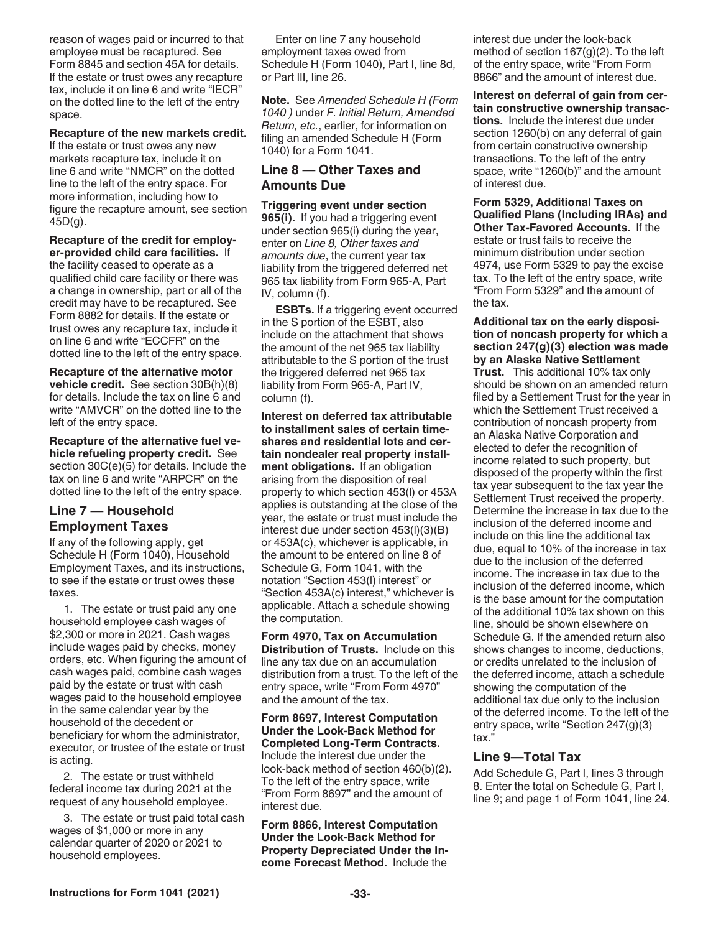reason of wages paid or incurred to that employee must be recaptured. See Form 8845 and section 45A for details. If the estate or trust owes any recapture tax, include it on line 6 and write "IECR" on the dotted line to the left of the entry space.

#### **Recapture of the new markets credit.**

If the estate or trust owes any new markets recapture tax, include it on line 6 and write "NMCR" on the dotted line to the left of the entry space. For more information, including how to figure the recapture amount, see section 45D(g).

#### **Recapture of the credit for employer-provided child care facilities.** If

the facility ceased to operate as a qualified child care facility or there was a change in ownership, part or all of the credit may have to be recaptured. See Form 8882 for details. If the estate or trust owes any recapture tax, include it on line 6 and write "ECCFR" on the dotted line to the left of the entry space.

**Recapture of the alternative motor vehicle credit.** See section 30B(h)(8) for details. Include the tax on line 6 and write "AMVCR" on the dotted line to the left of the entry space.

**Recapture of the alternative fuel vehicle refueling property credit.** See section 30C(e)(5) for details. Include the tax on line 6 and write "ARPCR" on the dotted line to the left of the entry space.

#### **Line 7 — Household Employment Taxes**

If any of the following apply, get Schedule H (Form 1040), Household Employment Taxes, and its instructions, to see if the estate or trust owes these taxes.

1. The estate or trust paid any one household employee cash wages of \$2,300 or more in 2021. Cash wages include wages paid by checks, money orders, etc. When figuring the amount of cash wages paid, combine cash wages paid by the estate or trust with cash wages paid to the household employee in the same calendar year by the household of the decedent or beneficiary for whom the administrator, executor, or trustee of the estate or trust is acting.

2. The estate or trust withheld federal income tax during 2021 at the request of any household employee.

3. The estate or trust paid total cash wages of \$1,000 or more in any calendar quarter of 2020 or 2021 to household employees.

Enter on line 7 any household employment taxes owed from Schedule H (Form 1040), Part I, line 8d, or Part III, line 26.

**Note.** See *Amended Schedule H (Form 1040 )* under *F. Initial Return, Amended Return, etc.*, earlier, for information on filing an amended Schedule H (Form 1040) for a Form 1041.

#### **Line 8 — Other Taxes and Amounts Due**

**Triggering event under section 965(i).** If you had a triggering event under section 965(i) during the year, enter on *Line 8, Other taxes and amounts due*, the current year tax liability from the triggered deferred net 965 tax liability from Form 965-A, Part IV, column (f).

**ESBTs.** If a triggering event occurred in the S portion of the ESBT, also include on the attachment that shows the amount of the net 965 tax liability attributable to the S portion of the trust the triggered deferred net 965 tax liability from Form 965-A, Part IV, column (f).

**Interest on deferred tax attributable to installment sales of certain timeshares and residential lots and certain nondealer real property installment obligations.** If an obligation arising from the disposition of real property to which section 453(l) or 453A applies is outstanding at the close of the year, the estate or trust must include the interest due under section 453(l)(3)(B) or 453A(c), whichever is applicable, in the amount to be entered on line 8 of Schedule G, Form 1041, with the notation "Section 453(l) interest" or "Section 453A(c) interest," whichever is applicable. Attach a schedule showing the computation.

**Form 4970, Tax on Accumulation Distribution of Trusts.** Include on this line any tax due on an accumulation distribution from a trust. To the left of the entry space, write "From Form 4970" and the amount of the tax.

**Form 8697, Interest Computation Under the Look-Back Method for Completed Long-Term Contracts.**  Include the interest due under the look-back method of section 460(b)(2). To the left of the entry space, write "From Form 8697" and the amount of interest due.

**Form 8866, Interest Computation Under the Look-Back Method for Property Depreciated Under the Income Forecast Method.** Include the

interest due under the look-back method of section 167(g)(2). To the left of the entry space, write "From Form 8866" and the amount of interest due.

**Interest on deferral of gain from certain constructive ownership transactions.** Include the interest due under section 1260(b) on any deferral of gain from certain constructive ownership transactions. To the left of the entry space, write "1260(b)" and the amount of interest due.

**Form 5329, Additional Taxes on Qualified Plans (Including IRAs) and Other Tax-Favored Accounts.** If the estate or trust fails to receive the minimum distribution under section 4974, use Form 5329 to pay the excise tax. To the left of the entry space, write "From Form 5329" and the amount of the tax.

#### **Additional tax on the early disposition of noncash property for which a section 247(g)(3) election was made by an Alaska Native Settlement**

**Trust.** This additional 10% tax only should be shown on an amended return filed by a Settlement Trust for the year in which the Settlement Trust received a contribution of noncash property from an Alaska Native Corporation and elected to defer the recognition of income related to such property, but disposed of the property within the first tax year subsequent to the tax year the Settlement Trust received the property. Determine the increase in tax due to the inclusion of the deferred income and include on this line the additional tax due, equal to 10% of the increase in tax due to the inclusion of the deferred income. The increase in tax due to the inclusion of the deferred income, which is the base amount for the computation of the additional 10% tax shown on this line, should be shown elsewhere on Schedule G. If the amended return also shows changes to income, deductions, or credits unrelated to the inclusion of the deferred income, attach a schedule showing the computation of the additional tax due only to the inclusion of the deferred income. To the left of the entry space, write "Section 247(g)(3) tax."

#### **Line 9—Total Tax**

Add Schedule G, Part I, lines 3 through 8. Enter the total on Schedule G, Part I, line 9; and page 1 of Form 1041, line 24.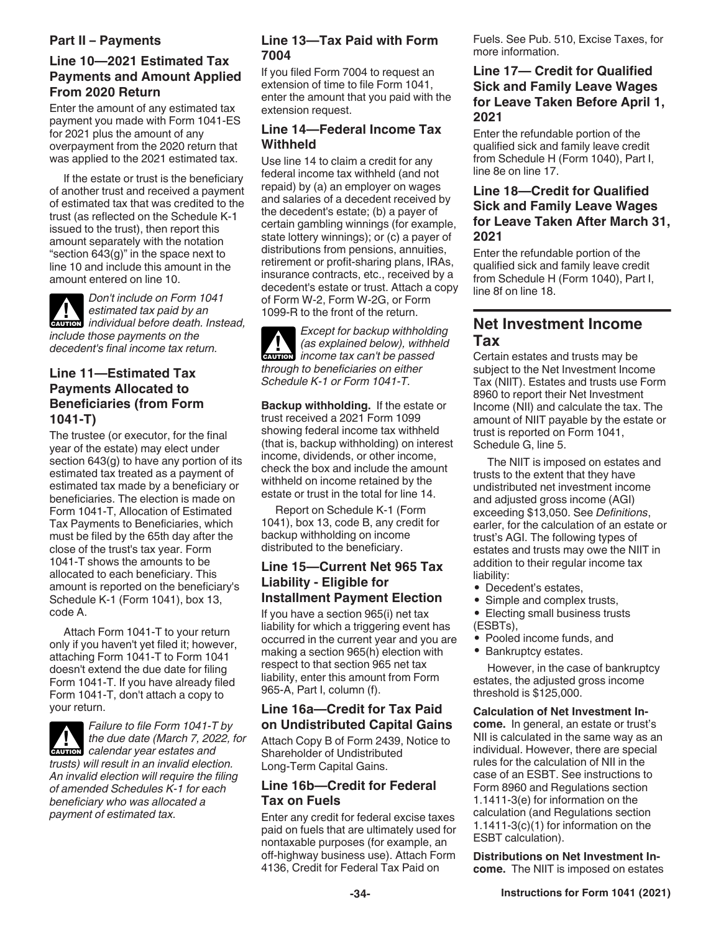### **Part II – Payments**

## **Line 10—2021 Estimated Tax Payments and Amount Applied From 2020 Return**

Enter the amount of any estimated tax payment you made with Form 1041-ES for 2021 plus the amount of any overpayment from the 2020 return that was applied to the 2021 estimated tax.

If the estate or trust is the beneficiary of another trust and received a payment of estimated tax that was credited to the trust (as reflected on the Schedule K-1 issued to the trust), then report this amount separately with the notation "section 643(g)" in the space next to line 10 and include this amount in the amount entered on line 10.

*Don't include on Form 1041 estimated tax paid by an estimated tax paid by an individual before death. Instead, include those payments on the decedent's final income tax return.*

### **Line 11—Estimated Tax Payments Allocated to Beneficiaries (from Form 1041-T)**

The trustee (or executor, for the final year of the estate) may elect under section 643(g) to have any portion of its estimated tax treated as a payment of estimated tax made by a beneficiary or beneficiaries. The election is made on Form 1041-T, Allocation of Estimated Tax Payments to Beneficiaries, which must be filed by the 65th day after the close of the trust's tax year. Form 1041-T shows the amounts to be allocated to each beneficiary. This amount is reported on the beneficiary's Schedule K-1 (Form 1041), box 13, code A.

Attach Form 1041-T to your return only if you haven't yet filed it; however, attaching Form 1041-T to Form 1041 doesn't extend the due date for filing Form 1041-T. If you have already filed Form 1041-T, don't attach a copy to your return.



#### *Failure to file Form 1041-T by the due date (March 7, 2022, for*  **calendar year estates and <b>calendar** year estates and

*trusts) will result in an invalid election. An invalid election will require the filing of amended Schedules K-1 for each beneficiary who was allocated a payment of estimated tax.*

### **Line 13—Tax Paid with Form 7004**

If you filed Form 7004 to request an extension of time to file Form 1041, enter the amount that you paid with the extension request.

## **Line 14—Federal Income Tax Withheld**

Use line 14 to claim a credit for any federal income tax withheld (and not repaid) by (a) an employer on wages and salaries of a decedent received by the decedent's estate; (b) a payer of certain gambling winnings (for example, state lottery winnings); or (c) a payer of distributions from pensions, annuities, retirement or profit-sharing plans, IRAs, insurance contracts, etc., received by a decedent's estate or trust. Attach a copy of Form W-2, Form W-2G, or Form 1099-R to the front of the return.

*Except for backup withholding (as explained below), withheld*   $\int$  (as explained below), withher<br>
income tax can't be passed *through to beneficiaries on either Schedule K-1 or Form 1041-T.*

**Backup withholding.** If the estate or trust received a 2021 Form 1099 showing federal income tax withheld (that is, backup withholding) on interest income, dividends, or other income, check the box and include the amount withheld on income retained by the estate or trust in the total for line 14.

Report on Schedule K-1 (Form 1041), box 13, code B, any credit for backup withholding on income distributed to the beneficiary.

### **Line 15—Current Net 965 Tax Liability - Eligible for Installment Payment Election**

If you have a section 965(i) net tax liability for which a triggering event has occurred in the current year and you are making a section 965(h) election with respect to that section 965 net tax liability, enter this amount from Form 965-A, Part I, column (f).

### **Line 16a—Credit for Tax Paid on Undistributed Capital Gains**

Attach Copy B of Form 2439, Notice to Shareholder of Undistributed Long-Term Capital Gains.

## **Line 16b—Credit for Federal Tax on Fuels**

Enter any credit for federal excise taxes paid on fuels that are ultimately used for nontaxable purposes (for example, an off-highway business use). Attach Form 4136, Credit for Federal Tax Paid on

Fuels. See Pub. 510, Excise Taxes, for more information.

## **Line 17— Credit for Qualified Sick and Family Leave Wages for Leave Taken Before April 1, 2021**

Enter the refundable portion of the qualified sick and family leave credit from Schedule H (Form 1040), Part I, line 8e on line 17.

## **Line 18—Credit for Qualified Sick and Family Leave Wages for Leave Taken After March 31, 2021**

Enter the refundable portion of the qualified sick and family leave credit from Schedule H (Form 1040), Part I, line 8f on line 18.

## **Net Investment Income Tax**

Certain estates and trusts may be subject to the Net Investment Income Tax (NIIT). Estates and trusts use Form 8960 to report their Net Investment Income (NII) and calculate the tax. The amount of NIIT payable by the estate or trust is reported on Form 1041, Schedule G, line 5.

The NIIT is imposed on estates and trusts to the extent that they have undistributed net investment income and adjusted gross income (AGI) exceeding \$13,050. See *Definitions*, earler, for the calculation of an estate or trust's AGI. The following types of estates and trusts may owe the NIIT in addition to their regular income tax liability:

- Decedent's estates,
- Simple and complex trusts,
- Electing small business trusts (ESBTs),
- Pooled income funds, and
- Bankruptcy estates.

However, in the case of bankruptcy estates, the adjusted gross income threshold is \$125,000.

## **Calculation of Net Investment In-**

**come.** In general, an estate or trust's NII is calculated in the same way as an individual. However, there are special rules for the calculation of NII in the case of an ESBT. See instructions to Form 8960 and Regulations section 1.1411-3(e) for information on the calculation (and Regulations section 1.1411-3(c)(1) for information on the ESBT calculation).

**Distributions on Net Investment Income.** The NIIT is imposed on estates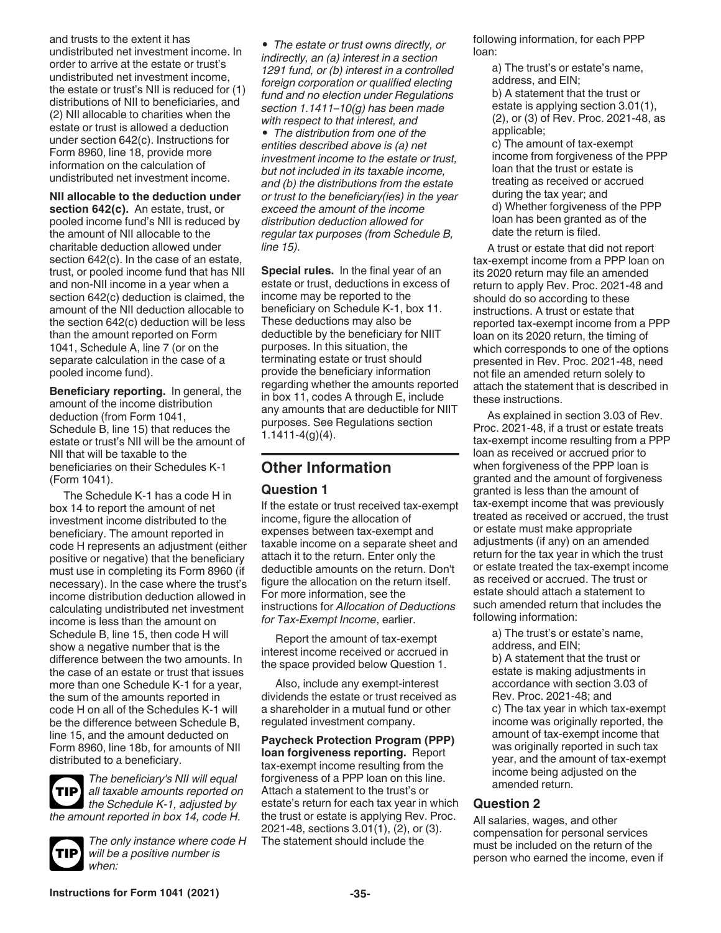and trusts to the extent it has undistributed net investment income. In order to arrive at the estate or trust's undistributed net investment income, the estate or trust's NII is reduced for (1) distributions of NII to beneficiaries, and (2) NII allocable to charities when the estate or trust is allowed a deduction under section 642(c). Instructions for Form 8960, line 18, provide more information on the calculation of undistributed net investment income.

#### **NII allocable to the deduction under**

**section 642(c).** An estate, trust, or pooled income fund's NII is reduced by the amount of NII allocable to the charitable deduction allowed under section 642(c). In the case of an estate, trust, or pooled income fund that has NII and non-NII income in a year when a section 642(c) deduction is claimed, the amount of the NII deduction allocable to the section 642(c) deduction will be less than the amount reported on Form 1041, Schedule A, line 7 (or on the separate calculation in the case of a pooled income fund).

**Beneficiary reporting.** In general, the amount of the income distribution deduction (from Form 1041, Schedule B, line 15) that reduces the estate or trust's NII will be the amount of NII that will be taxable to the beneficiaries on their Schedules K-1 (Form 1041).

The Schedule K-1 has a code H in box 14 to report the amount of net investment income distributed to the beneficiary. The amount reported in code H represents an adjustment (either positive or negative) that the beneficiary must use in completing its Form 8960 (if necessary). In the case where the trust's income distribution deduction allowed in calculating undistributed net investment income is less than the amount on Schedule B, line 15, then code H will show a negative number that is the difference between the two amounts. In the case of an estate or trust that issues more than one Schedule K-1 for a year, the sum of the amounts reported in code H on all of the Schedules K-1 will be the difference between Schedule B, line 15, and the amount deducted on Form 8960, line 18b, for amounts of NII distributed to a beneficiary.



*The beneficiary's NII will equal all taxable amounts reported on the Schedule K-1, adjusted by the amount reported in box 14, code H.*



*The only instance where code H will be a positive number is when:*

*• The estate or trust owns directly, or indirectly, an (a) interest in a section 1291 fund, or (b) interest in a controlled foreign corporation or qualified electing fund and no election under Regulations section 1.1411–10(g) has been made with respect to that interest, and*

*• The distribution from one of the entities described above is (a) net investment income to the estate or trust, but not included in its taxable income, and (b) the distributions from the estate or trust to the beneficiary(ies) in the year exceed the amount of the income distribution deduction allowed for regular tax purposes (from Schedule B, line 15).*

**Special rules.** In the final year of an estate or trust, deductions in excess of income may be reported to the beneficiary on Schedule K-1, box 11. These deductions may also be deductible by the beneficiary for NIIT purposes. In this situation, the terminating estate or trust should provide the beneficiary information regarding whether the amounts reported in box 11, codes A through E, include any amounts that are deductible for NIIT purposes. See Regulations section  $1.1411 - 4(g)(4)$ .

## **Other Information**

#### **Question 1**

If the estate or trust received tax-exempt income, figure the allocation of expenses between tax-exempt and taxable income on a separate sheet and attach it to the return. Enter only the deductible amounts on the return. Don't figure the allocation on the return itself. For more information, see the instructions for *Allocation of Deductions for Tax-Exempt Income*, earlier.

Report the amount of tax-exempt interest income received or accrued in the space provided below Question 1.

Also, include any exempt-interest dividends the estate or trust received as a shareholder in a mutual fund or other regulated investment company.

**Paycheck Protection Program (PPP) loan forgiveness reporting.** Report tax-exempt income resulting from the forgiveness of a PPP loan on this line. Attach a statement to the trust's or estate's return for each tax year in which the trust or estate is applying Rev. Proc. 2021-48, sections 3.01(1), (2), or (3). The statement should include the

following information, for each PPP loan:

a) The trust's or estate's name, address, and EIN; b) A statement that the trust or estate is applying section 3.01(1), (2), or (3) of Rev. Proc. 2021-48, as applicable;

c) The amount of tax-exempt income from forgiveness of the PPP loan that the trust or estate is treating as received or accrued during the tax year; and d) Whether forgiveness of the PPP loan has been granted as of the date the return is filed.

A trust or estate that did not report tax-exempt income from a PPP loan on its 2020 return may file an amended return to apply Rev. Proc. 2021-48 and should do so according to these instructions. A trust or estate that reported tax-exempt income from a PPP loan on its 2020 return, the timing of which corresponds to one of the options presented in Rev. Proc. 2021-48, need not file an amended return solely to attach the statement that is described in these instructions.

As explained in section 3.03 of Rev. Proc. 2021-48, if a trust or estate treats tax-exempt income resulting from a PPP loan as received or accrued prior to when forgiveness of the PPP loan is granted and the amount of forgiveness granted is less than the amount of tax-exempt income that was previously treated as received or accrued, the trust or estate must make appropriate adjustments (if any) on an amended return for the tax year in which the trust or estate treated the tax-exempt income as received or accrued. The trust or estate should attach a statement to such amended return that includes the following information:

a) The trust's or estate's name, address, and EIN; b) A statement that the trust or estate is making adjustments in accordance with section 3.03 of Rev. Proc. 2021-48; and c) The tax year in which tax-exempt income was originally reported, the amount of tax-exempt income that was originally reported in such tax year, and the amount of tax-exempt income being adjusted on the amended return.

#### **Question 2**

All salaries, wages, and other compensation for personal services must be included on the return of the person who earned the income, even if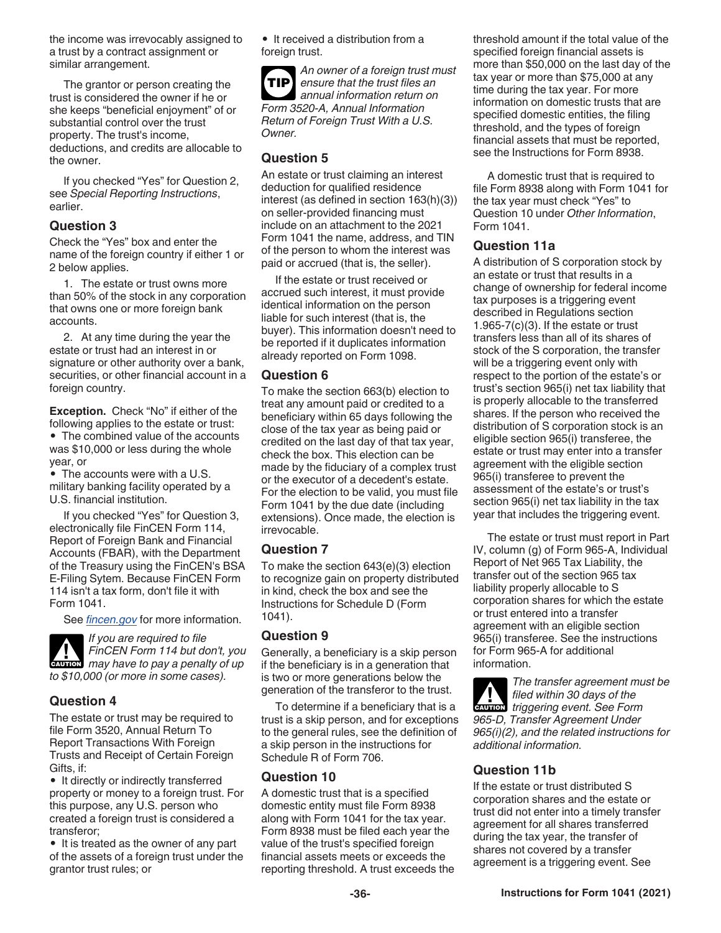the income was irrevocably assigned to a trust by a contract assignment or similar arrangement.

The grantor or person creating the trust is considered the owner if he or she keeps "beneficial enjoyment" of or substantial control over the trust property. The trust's income, deductions, and credits are allocable to the owner.

If you checked "Yes" for Question 2, see *Special Reporting Instructions*, earlier.

#### **Question 3**

Check the "Yes" box and enter the name of the foreign country if either 1 or 2 below applies.

1. The estate or trust owns more than 50% of the stock in any corporation that owns one or more foreign bank accounts.

2. At any time during the year the estate or trust had an interest in or signature or other authority over a bank, securities, or other financial account in a foreign country.

**Exception.** Check "No" if either of the following applies to the estate or trust:

• The combined value of the accounts was \$10,000 or less during the whole year, or

• The accounts were with a U.S. military banking facility operated by a U.S. financial institution.

If you checked "Yes" for Question 3, electronically file FinCEN Form 114, Report of Foreign Bank and Financial Accounts (FBAR), with the Department of the Treasury using the FinCEN's BSA E-Filing Sytem. Because FinCEN Form 114 isn't a tax form, don't file it with Form 1041.

See *[fincen.gov](https://www.fincen.gov)* for more information.



*If you are required to file FinCEN Form 114 but don't, you FinCEN Form 114 but don't, you***<br>** *may have to pay a penalty of up to \$10,000 (or more in some cases).*

#### **Question 4**

The estate or trust may be required to file Form 3520, Annual Return To Report Transactions With Foreign Trusts and Receipt of Certain Foreign Gifts, if:

• It directly or indirectly transferred property or money to a foreign trust. For this purpose, any U.S. person who created a foreign trust is considered a transferor;

• It is treated as the owner of any part of the assets of a foreign trust under the grantor trust rules; or

• It received a distribution from a foreign trust.

*An owner of a foreign trust must ensure that the trust files an annual information return on Form 3520-A, Annual Information Return of Foreign Trust With a U.S. Owner.* **TIP**

### **Question 5**

An estate or trust claiming an interest deduction for qualified residence interest (as defined in section 163(h)(3)) on seller-provided financing must include on an attachment to the 2021 Form 1041 the name, address, and TIN of the person to whom the interest was paid or accrued (that is, the seller).

If the estate or trust received or accrued such interest, it must provide identical information on the person liable for such interest (that is, the buyer). This information doesn't need to be reported if it duplicates information already reported on Form 1098.

#### **Question 6**

To make the section 663(b) election to treat any amount paid or credited to a beneficiary within 65 days following the close of the tax year as being paid or credited on the last day of that tax year, check the box. This election can be made by the fiduciary of a complex trust or the executor of a decedent's estate. For the election to be valid, you must file Form 1041 by the due date (including extensions). Once made, the election is irrevocable.

#### **Question 7**

To make the section 643(e)(3) election to recognize gain on property distributed in kind, check the box and see the Instructions for Schedule D (Form 1041).

#### **Question 9**

Generally, a beneficiary is a skip person if the beneficiary is in a generation that is two or more generations below the generation of the transferor to the trust.

To determine if a beneficiary that is a trust is a skip person, and for exceptions to the general rules, see the definition of a skip person in the instructions for Schedule R of Form 706.

#### **Question 10**

A domestic trust that is a specified domestic entity must file Form 8938 along with Form 1041 for the tax year. Form 8938 must be filed each year the value of the trust's specified foreign financial assets meets or exceeds the reporting threshold. A trust exceeds the threshold amount if the total value of the specified foreign financial assets is more than \$50,000 on the last day of the tax year or more than \$75,000 at any time during the tax year. For more information on domestic trusts that are specified domestic entities, the filing threshold, and the types of foreign financial assets that must be reported, see the Instructions for Form 8938.

A domestic trust that is required to file Form 8938 along with Form 1041 for the tax year must check "Yes" to Question 10 under *Other Information*, Form 1041.

### **Question 11a**

A distribution of S corporation stock by an estate or trust that results in a change of ownership for federal income tax purposes is a triggering event described in Regulations section 1.965-7 $(c)(3)$ . If the estate or trust transfers less than all of its shares of stock of the S corporation, the transfer will be a triggering event only with respect to the portion of the estate's or trust's section 965(i) net tax liability that is properly allocable to the transferred shares. If the person who received the distribution of S corporation stock is an eligible section 965(i) transferee, the estate or trust may enter into a transfer agreement with the eligible section 965(i) transferee to prevent the assessment of the estate's or trust's section 965(i) net tax liability in the tax year that includes the triggering event.

The estate or trust must report in Part IV, column (g) of Form 965-A, Individual Report of Net 965 Tax Liability, the transfer out of the section 965 tax liability properly allocable to S corporation shares for which the estate or trust entered into a transfer agreement with an eligible section 965(i) transferee. See the instructions for Form 965-A for additional information.

*The transfer agreement must be filed within 30 days of the*  **h**<br>**CAUTION** *triggering event. See Form 965-D, Transfer Agreement Under 965(i)(2), and the related instructions for additional information.*

## **Question 11b**

If the estate or trust distributed S corporation shares and the estate or trust did not enter into a timely transfer agreement for all shares transferred during the tax year, the transfer of shares not covered by a transfer agreement is a triggering event. See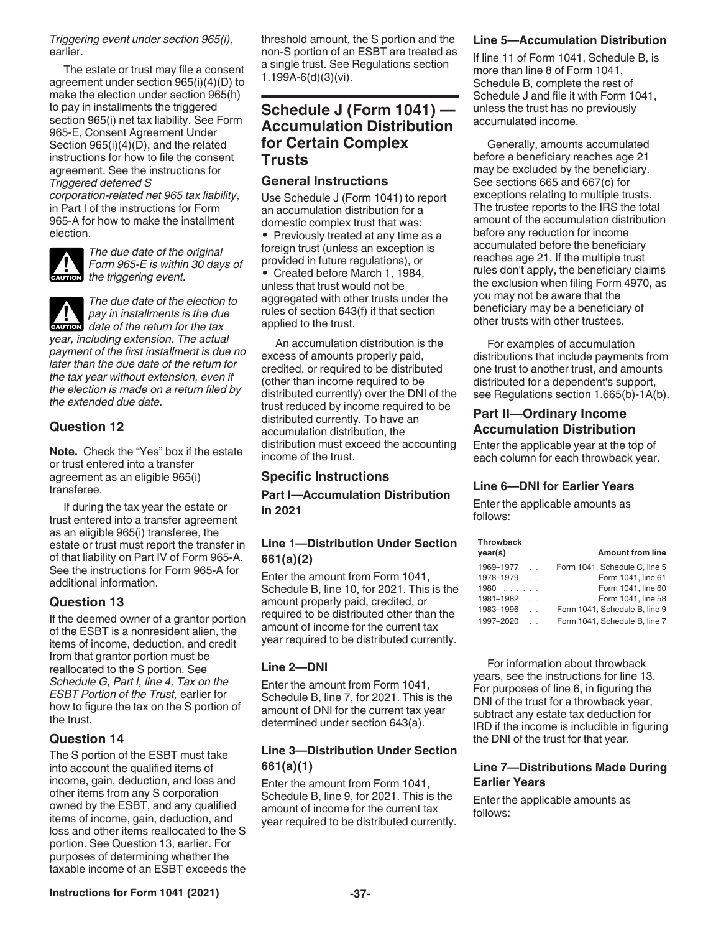*Triggering event under section 965(i)*, earlier.

The estate or trust may file a consent agreement under section 965(i)(4)(D) to make the election under section 965(h) to pay in installments the triggered section 965(i) net tax liability. See Form 965-E, Consent Agreement Under Section 965(i)(4)(D), and the related instructions for how to file the consent agreement. See the instructions for *Triggered deferred S* 

*corporation-related net 965 tax liability*, in Part I of the instructions for Form 965-A for how to make the installment election.



*The due date of the original Form 965-E is within 30 days of the triggering event.* 

*The due date of the election to pay in installments is the due*  **d** *date of the return for the tax date of the return for the tax year, including extension. The actual payment of the first installment is due no later than the due date of the return for the tax year without extension, even if the election is made on a return filed by the extended due date.*

### **Question 12**

**Note.** Check the "Yes" box if the estate or trust entered into a transfer agreement as an eligible 965(i) transferee.

If during the tax year the estate or trust entered into a transfer agreement as an eligible 965(i) transferee, the estate or trust must report the transfer in of that liability on Part IV of Form 965-A. See the instructions for Form 965-A for additional information.

#### **Question 13**

If the deemed owner of a grantor portion of the ESBT is a nonresident alien, the items of income, deduction, and credit from that grantor portion must be reallocated to the S portion. See *Schedule G, Part I, line 4, Tax on the ESBT Portion of the Trust,* earlier for how to figure the tax on the S portion of the trust.

#### **Question 14**

The S portion of the ESBT must take into account the qualified items of income, gain, deduction, and loss and other items from any S corporation owned by the ESBT, and any qualified items of income, gain, deduction, and loss and other items reallocated to the S portion. See Question 13, earlier. For purposes of determining whether the taxable income of an ESBT exceeds the threshold amount, the S portion and the non-S portion of an ESBT are treated as a single trust. See Regulations section 1.199A-6(d)(3)(vi).

## **Schedule J (Form 1041) — Accumulation Distribution for Certain Complex Trusts**

#### **General Instructions**

Use Schedule J (Form 1041) to report an accumulation distribution for a domestic complex trust that was: • Previously treated at any time as a foreign trust (unless an exception is provided in future regulations), or • Created before March 1, 1984, unless that trust would not be aggregated with other trusts under the rules of section 643(f) if that section applied to the trust.

An accumulation distribution is the excess of amounts properly paid, credited, or required to be distributed (other than income required to be distributed currently) over the DNI of the trust reduced by income required to be distributed currently. To have an accumulation distribution, the distribution must exceed the accounting income of the trust.

#### **Specific Instructions**

**Part I—Accumulation Distribution in 2021**

#### **Line 1—Distribution Under Section 661(a)(2)**

Enter the amount from Form 1041, Schedule B, line 10, for 2021. This is the amount properly paid, credited, or required to be distributed other than the amount of income for the current tax year required to be distributed currently.

#### **Line 2—DNI**

Enter the amount from Form 1041, Schedule B, line 7, for 2021. This is the amount of DNI for the current tax year determined under section 643(a).

### **Line 3—Distribution Under Section 661(a)(1)**

Enter the amount from Form 1041, Schedule B, line 9, for 2021. This is the amount of income for the current tax year required to be distributed currently.

#### **Line 5—Accumulation Distribution**

If line 11 of Form 1041, Schedule B, is more than line 8 of Form 1041, Schedule B, complete the rest of Schedule J and file it with Form 1041, unless the trust has no previously accumulated income.

Generally, amounts accumulated before a beneficiary reaches age 21 may be excluded by the beneficiary. See sections 665 and 667(c) for exceptions relating to multiple trusts. The trustee reports to the IRS the total amount of the accumulation distribution before any reduction for income accumulated before the beneficiary reaches age 21. If the multiple trust rules don't apply, the beneficiary claims the exclusion when filing Form 4970, as you may not be aware that the beneficiary may be a beneficiary of other trusts with other trustees.

For examples of accumulation distributions that include payments from one trust to another trust, and amounts distributed for a dependent's support, see Regulations section 1.665(b)-1A(b).

#### **Part II—Ordinary Income Accumulation Distribution**

Enter the applicable year at the top of each column for each throwback year.

#### **Line 6—DNI for Earlier Years**

Enter the applicable amounts as follows:

| <b>Throwback</b><br>$\text{year}(s)$ |              | <b>Amount from line</b>       |
|--------------------------------------|--------------|-------------------------------|
| 1969-1977                            | $\mathbf{r}$ | Form 1041, Schedule C, line 5 |
| 1978-1979                            |              | Form 1041, line 61            |
| $1980 \ldots$                        |              | Form 1041, line 60            |
| 1981-1982                            |              | Form 1041, line 58            |
| 1983-1996                            | $\sim$       | Form 1041. Schedule B. line 9 |
| 1997-2020                            |              | Form 1041, Schedule B, line 7 |

For information about throwback years, see the instructions for line 13. For purposes of line 6, in figuring the DNI of the trust for a throwback year, subtract any estate tax deduction for IRD if the income is includible in figuring the DNI of the trust for that year.

#### **Line 7—Distributions Made During Earlier Years**

Enter the applicable amounts as follows: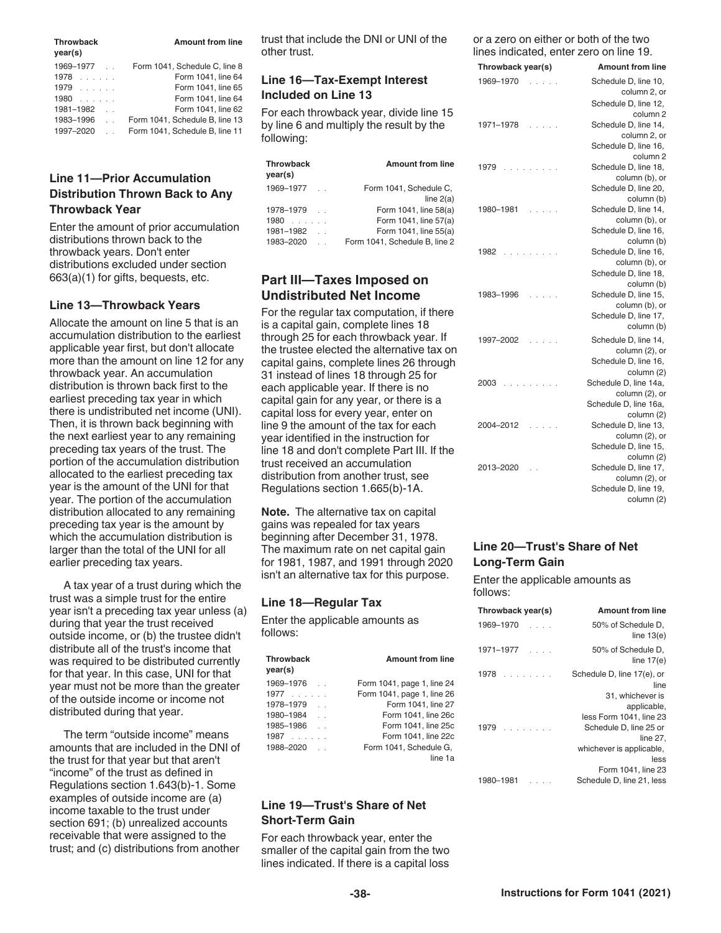| <b>Throwback</b><br>$\mathsf{year}(s)$ | <b>Amount from line</b>        |
|----------------------------------------|--------------------------------|
| 1969-1977                              | Form 1041, Schedule C, line 8  |
| 1978<br>and a state                    | Form 1041, line 64             |
| $1979$                                 | Form 1041, line 65             |
| $1980$                                 | Form 1041, line 64             |
| 1981-1982                              | Form 1041, line 62             |
| 1983-1996<br>$\sim$                    | Form 1041, Schedule B, line 13 |
| 1997-2020                              | Form 1041, Schedule B, line 11 |

#### **Line 11—Prior Accumulation Distribution Thrown Back to Any Throwback Year**

Enter the amount of prior accumulation distributions thrown back to the throwback years. Don't enter distributions excluded under section 663(a)(1) for gifts, bequests, etc.

#### **Line 13—Throwback Years**

Allocate the amount on line 5 that is an accumulation distribution to the earliest applicable year first, but don't allocate more than the amount on line 12 for any throwback year. An accumulation distribution is thrown back first to the earliest preceding tax year in which there is undistributed net income (UNI). Then, it is thrown back beginning with the next earliest year to any remaining preceding tax years of the trust. The portion of the accumulation distribution allocated to the earliest preceding tax year is the amount of the UNI for that year. The portion of the accumulation distribution allocated to any remaining preceding tax year is the amount by which the accumulation distribution is larger than the total of the UNI for all earlier preceding tax years.

A tax year of a trust during which the trust was a simple trust for the entire year isn't a preceding tax year unless (a) during that year the trust received outside income, or (b) the trustee didn't distribute all of the trust's income that was required to be distributed currently for that year. In this case, UNI for that year must not be more than the greater of the outside income or income not distributed during that year.

The term "outside income" means amounts that are included in the DNI of the trust for that year but that aren't "income" of the trust as defined in Regulations section 1.643(b)-1. Some examples of outside income are (a) income taxable to the trust under section 691; (b) unrealized accounts receivable that were assigned to the trust; and (c) distributions from another

trust that include the DNI or UNI of the other trust.

#### **Line 16—Tax-Exempt Interest Included on Line 13**

For each throwback year, divide line 15 by line 6 and multiply the result by the following:

| <b>Throwback</b><br>year(s) | <b>Amount from line</b>       |
|-----------------------------|-------------------------------|
| 1969-1977                   | Form 1041, Schedule C,        |
|                             | line $2(a)$                   |
| 1978-1979                   | Form 1041, line 58(a)         |
| 1980<br>and a state of      | Form 1041, line 57(a)         |
| 1981-1982                   | Form 1041, line 55(a)         |
| 1983-2020                   | Form 1041. Schedule B. line 2 |

## **Part III—Taxes Imposed on Undistributed Net Income**

For the regular tax computation, if there is a capital gain, complete lines 18 through 25 for each throwback year. If the trustee elected the alternative tax on capital gains, complete lines 26 through 31 instead of lines 18 through 25 for each applicable year. If there is no capital gain for any year, or there is a capital loss for every year, enter on line 9 the amount of the tax for each year identified in the instruction for line 18 and don't complete Part III. If the trust received an accumulation distribution from another trust, see Regulations section 1.665(b)-1A.

**Note.** The alternative tax on capital gains was repealed for tax years beginning after December 31, 1978. The maximum rate on net capital gain for 1981, 1987, and 1991 through 2020 isn't an alternative tax for this purpose.

#### **Line 18—Regular Tax**

Enter the applicable amounts as follows:

| <b>Throwback</b><br>year(s) | <b>Amount from line</b>    |
|-----------------------------|----------------------------|
| 1969-1976                   | Form 1041, page 1, line 24 |
| 1977                        | Form 1041, page 1, line 26 |
| 1978-1979                   | Form 1041, line 27         |
| 1980-1984                   | Form 1041, line 26c        |
| 1985-1986                   | Form 1041, line 25c        |
| 1987<br>in a cardiach       | Form 1041, line 22c        |
| 1988-2020                   | Form 1041, Schedule G,     |
|                             | line 1a                    |

#### **Line 19—Trust's Share of Net Short-Term Gain**

For each throwback year, enter the smaller of the capital gain from the two lines indicated. If there is a capital loss

or a zero on either or both of the two lines indicated, enter zero on line 19.

| Throwback year(s) | <b>Amount from line</b>                     |
|-------------------|---------------------------------------------|
| 1969-1970         | Schedule D, line 10,<br>column 2, or        |
|                   | Schedule D, line 12,<br>column 2            |
| 1971–1978         | Schedule D, line 14,<br>column 2, or        |
|                   | Schedule D, line 16,<br>column <sub>2</sub> |
| 1979.             | Schedule D, line 18,<br>column (b), or      |
|                   | Schedule D, line 20,<br>column (b)          |
| 1980–1981         | Schedule D, line 14,<br>column (b), or      |
|                   | Schedule D, line 16,<br>column (b)          |
| 1982              | Schedule D, line 16,<br>column (b), or      |
|                   | Schedule D, line 18,<br>column (b)          |
| 1983-1996         | Schedule D, line 15,<br>column (b), or      |
|                   | Schedule D, line 17,<br>column (b)          |
| 1997-2002         | Schedule D, line 14,<br>column (2), or      |
|                   | Schedule D, line 16,<br>column (2)          |
| 2003              | Schedule D, line 14a,<br>column (2), or     |
|                   | Schedule D, line 16a,<br>column (2)         |
| 2004–2012         | Schedule D, line 13,<br>column (2), or      |
|                   | Schedule D, line 15,<br>column (2)          |
| 2013–2020         | Schedule D, line 17,<br>column (2), or      |
|                   | Schedule D, line 19,<br>column (2)          |
|                   |                                             |

## **Line 20—Trust's Share of Net Long-Term Gain**

Enter the applicable amounts as follows:

| <b>Amount from line</b>            | Throwback year(s) |
|------------------------------------|-------------------|
| 50% of Schedule D.<br>line $13(e)$ | 1969-1970         |
| 50% of Schedule D.<br>line $17(e)$ | 1971-1977         |
| Schedule D, line 17(e), or<br>line | 1978<br>.         |
| 31, whichever is                   |                   |
| applicable,                        |                   |
| less Form 1041, line 23            |                   |
| Schedule D, line 25 or             | 1979              |
| line 27.                           |                   |
| whichever is applicable,           |                   |
| less                               |                   |
| Form 1041, line 23                 |                   |
| Schedule D, line 21, less          | 1980-1981         |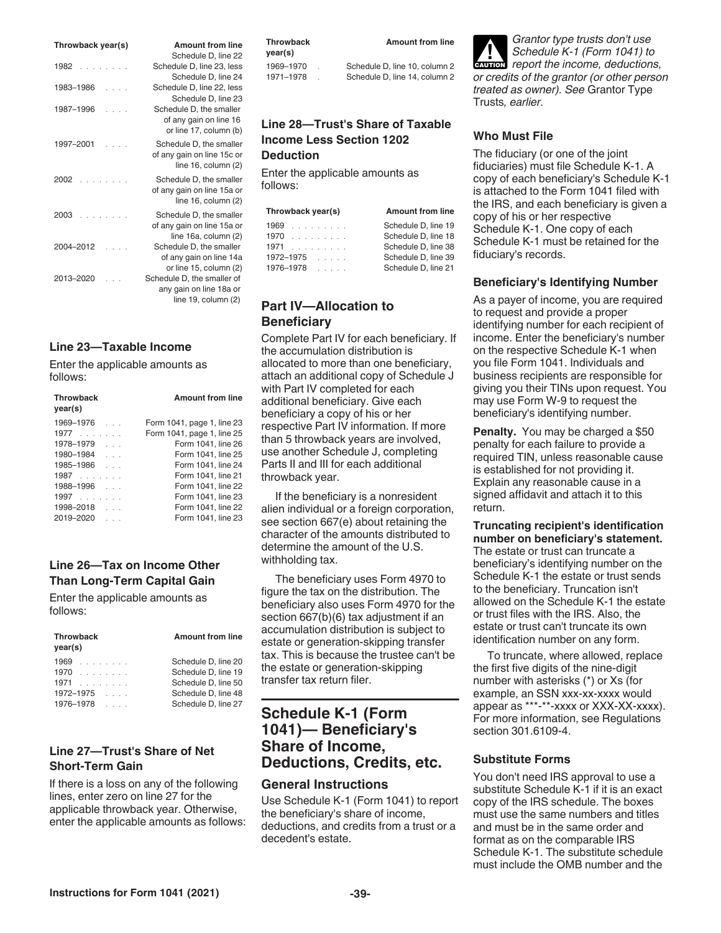| Throwback year(s)            | <b>Amount from line</b>                                                                                |
|------------------------------|--------------------------------------------------------------------------------------------------------|
| $1982$                       | Schedule D, line 22<br>Schedule D, line 23, less<br>Schedule D, line 24                                |
| 1983–1986<br>$1 - 1 - 1 = 1$ | Schedule D, line 22, less<br>Schedule D, line 23                                                       |
| 1987–1996                    | Schedule D, the smaller<br>of any gain on line 16<br>or line 17, column (b)                            |
| 1997-2001                    | Schedule D, the smaller<br>of any gain on line 15c or<br>line 16, column (2)                           |
| $2002$                       | Schedule D, the smaller<br>of any gain on line 15a or<br>line 16, column (2)                           |
| $2003$                       | Schedule D, the smaller<br>of any gain on line 15a or<br>line 16a, column (2)                          |
| 2004-2012                    | Schedule D, the smaller<br>of any gain on line 14a                                                     |
| 2013-2020                    | or line 15, column (2)<br>Schedule D, the smaller of<br>any gain on line 18a or<br>line 19, column (2) |

#### **Line 23—Taxable Income**

Enter the applicable amounts as follows:

| <b>Throwback</b><br>year(s)                                                                                                 | <b>Amount from line</b>                                                                                                                                                |
|-----------------------------------------------------------------------------------------------------------------------------|------------------------------------------------------------------------------------------------------------------------------------------------------------------------|
| 1969–1976<br>$1977$<br>1978–1979<br>$\sim$ $\sim$ $\sim$<br>$1980 - 1984$<br>1985–1986<br>$1987 \ldots \ldots$<br>1988–1996 | Form 1041, page 1, line 23<br>Form 1041, page 1, line 25<br>Form 1041, line 26<br>Form 1041, line 25<br>Form 1041, line 24<br>Form 1041, line 21<br>Form 1041, line 22 |
| $1997$<br>$1998 - 2018$<br>$2019 - 2020$                                                                                    | Form 1041, line 23<br>Form 1041, line 22<br>Form 1041, line 23                                                                                                         |

### **Line 26—Tax on Income Other Than Long-Term Capital Gain**

Enter the applicable amounts as follows:

| <b>Throwback</b><br>$\text{year}(s)$  | <b>Amount from line</b> |
|---------------------------------------|-------------------------|
| $1969$                                | Schedule D. line 20     |
| $1970$                                | Schedule D. line 19     |
| 1971<br>in a construction of the con- | Schedule D. line 50     |
| 1972–1975                             | Schedule D. line 48     |
| 1976-1978                             | Schedule D, line 27     |

#### **Line 27—Trust's Share of Net Short-Term Gain**

If there is a loss on any of the following lines, enter zero on line 27 for the applicable throwback year. Otherwise, enter the applicable amounts as follows:

#### **Throwback year(s) Amount from line** 1969–1970 . Schedule D, line 10, column 2 1971–1978 . Schedule D, line 14, column 2

#### **Line 28—Trust's Share of Taxable Income Less Section 1202 Deduction**

Enter the applicable amounts as follows:

#### **Throwback year(s) Amount from line**

| $1969$                   | Schedule D. line 19 |
|--------------------------|---------------------|
| $1970$                   | Schedule D. line 18 |
| 1971                     | Schedule D. line 38 |
| 1972-1975<br>and a state | Schedule D. line 39 |
| 1976-1978<br>and a state | Schedule D. line 21 |
|                          |                     |

## **Part IV—Allocation to Beneficiary**

Complete Part IV for each beneficiary. If the accumulation distribution is allocated to more than one beneficiary, attach an additional copy of Schedule J with Part IV completed for each additional beneficiary. Give each beneficiary a copy of his or her respective Part IV information. If more than 5 throwback years are involved, use another Schedule J, completing Parts II and III for each additional throwback year.

If the beneficiary is a nonresident alien individual or a foreign corporation, see section 667(e) about retaining the character of the amounts distributed to determine the amount of the U.S. withholding tax.

The beneficiary uses Form 4970 to figure the tax on the distribution. The beneficiary also uses Form 4970 for the section 667(b)(6) tax adjustment if an accumulation distribution is subject to estate or generation-skipping transfer tax. This is because the trustee can't be the estate or generation-skipping transfer tax return filer.

## **Schedule K-1 (Form 1041)— Beneficiary's Share of Income, Deductions, Credits, etc.**

#### **General Instructions**

Use Schedule K-1 (Form 1041) to report the beneficiary's share of income, deductions, and credits from a trust or a decedent's estate.

*Grantor type trusts don't use Schedule K-1 (Form 1041) to*  **Schedule K-1 (Form 1041) to**<br> **exurion** report the income, deductions, *or credits of the grantor (or other person treated as owner). See* Grantor Type Trusts*, earlier.*

### **Who Must File**

The fiduciary (or one of the joint fiduciaries) must file Schedule K-1. A copy of each beneficiary's Schedule K-1 is attached to the Form 1041 filed with the IRS, and each beneficiary is given a copy of his or her respective Schedule K-1. One copy of each Schedule K-1 must be retained for the fiduciary's records.

#### **Beneficiary's Identifying Number**

As a payer of income, you are required to request and provide a proper identifying number for each recipient of income. Enter the beneficiary's number on the respective Schedule K-1 when you file Form 1041. Individuals and business recipients are responsible for giving you their TINs upon request. You may use Form W-9 to request the beneficiary's identifying number.

**Penalty.** You may be charged a \$50 penalty for each failure to provide a required TIN, unless reasonable cause is established for not providing it. Explain any reasonable cause in a signed affidavit and attach it to this return.

#### **Truncating recipient's identification number on beneficiary's statement.**

The estate or trust can truncate a beneficiary's identifying number on the Schedule K-1 the estate or trust sends to the beneficiary. Truncation isn't allowed on the Schedule K-1 the estate or trust files with the IRS. Also, the estate or trust can't truncate its own identification number on any form.

To truncate, where allowed, replace the first five digits of the nine-digit number with asterisks (\*) or Xs (for example, an SSN xxx-xx-xxxx would appear as \*\*\*-\*\*-xxxx or XXX-XX-xxxx). For more information, see Regulations section 301.6109-4.

#### **Substitute Forms**

You don't need IRS approval to use a substitute Schedule K-1 if it is an exact copy of the IRS schedule. The boxes must use the same numbers and titles and must be in the same order and format as on the comparable IRS Schedule K-1. The substitute schedule must include the OMB number and the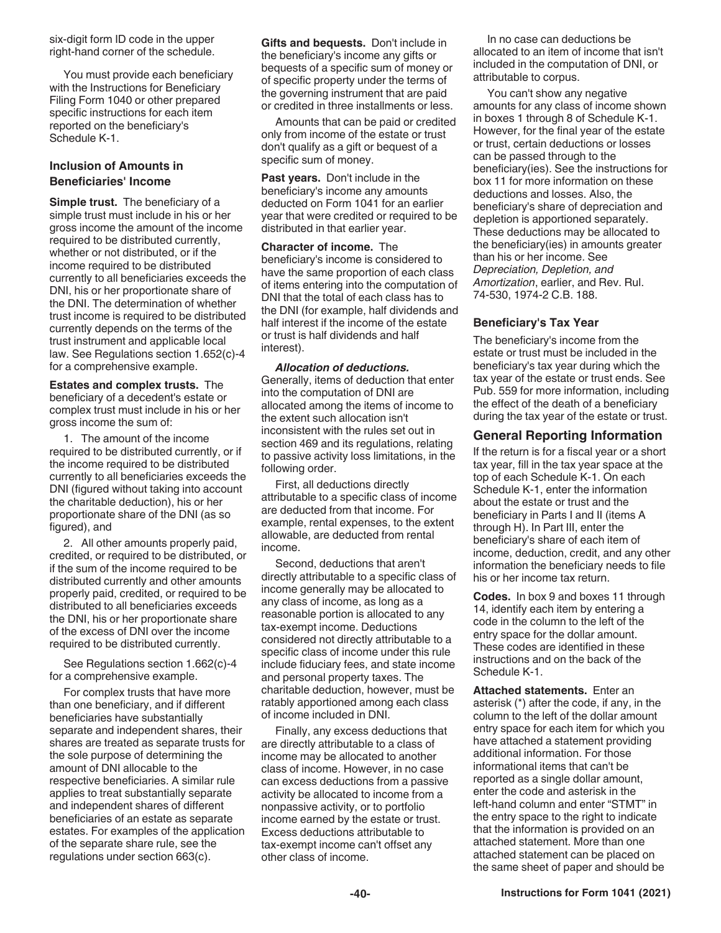six-digit form ID code in the upper right-hand corner of the schedule.

You must provide each beneficiary with the Instructions for Beneficiary Filing Form 1040 or other prepared specific instructions for each item reported on the beneficiary's Schedule K-1.

#### **Inclusion of Amounts in Beneficiaries' Income**

**Simple trust.** The beneficiary of a simple trust must include in his or her gross income the amount of the income required to be distributed currently, whether or not distributed, or if the income required to be distributed currently to all beneficiaries exceeds the DNI, his or her proportionate share of the DNI. The determination of whether trust income is required to be distributed currently depends on the terms of the trust instrument and applicable local law. See Regulations section 1.652(c)-4 for a comprehensive example.

**Estates and complex trusts.** The beneficiary of a decedent's estate or complex trust must include in his or her gross income the sum of:

1. The amount of the income required to be distributed currently, or if the income required to be distributed currently to all beneficiaries exceeds the DNI (figured without taking into account the charitable deduction), his or her proportionate share of the DNI (as so figured), and

2. All other amounts properly paid, credited, or required to be distributed, or if the sum of the income required to be distributed currently and other amounts properly paid, credited, or required to be distributed to all beneficiaries exceeds the DNI, his or her proportionate share of the excess of DNI over the income required to be distributed currently.

See Regulations section 1.662(c)-4 for a comprehensive example.

For complex trusts that have more than one beneficiary, and if different beneficiaries have substantially separate and independent shares, their shares are treated as separate trusts for the sole purpose of determining the amount of DNI allocable to the respective beneficiaries. A similar rule applies to treat substantially separate and independent shares of different beneficiaries of an estate as separate estates. For examples of the application of the separate share rule, see the regulations under section 663(c).

**Gifts and bequests.** Don't include in the beneficiary's income any gifts or bequests of a specific sum of money or of specific property under the terms of the governing instrument that are paid or credited in three installments or less.

Amounts that can be paid or credited only from income of the estate or trust don't qualify as a gift or bequest of a specific sum of money.

**Past years.** Don't include in the beneficiary's income any amounts deducted on Form 1041 for an earlier year that were credited or required to be distributed in that earlier year.

**Character of income.** The beneficiary's income is considered to have the same proportion of each class of items entering into the computation of DNI that the total of each class has to the DNI (for example, half dividends and half interest if the income of the estate or trust is half dividends and half interest).

*Allocation of deductions.*  Generally, items of deduction that enter into the computation of DNI are allocated among the items of income to the extent such allocation isn't inconsistent with the rules set out in section 469 and its regulations, relating to passive activity loss limitations, in the following order.

First, all deductions directly attributable to a specific class of income are deducted from that income. For example, rental expenses, to the extent allowable, are deducted from rental income.

Second, deductions that aren't directly attributable to a specific class of income generally may be allocated to any class of income, as long as a reasonable portion is allocated to any tax-exempt income. Deductions considered not directly attributable to a specific class of income under this rule include fiduciary fees, and state income and personal property taxes. The charitable deduction, however, must be ratably apportioned among each class of income included in DNI.

Finally, any excess deductions that are directly attributable to a class of income may be allocated to another class of income. However, in no case can excess deductions from a passive activity be allocated to income from a nonpassive activity, or to portfolio income earned by the estate or trust. Excess deductions attributable to tax-exempt income can't offset any other class of income.

In no case can deductions be allocated to an item of income that isn't included in the computation of DNI, or attributable to corpus.

You can't show any negative amounts for any class of income shown in boxes 1 through 8 of Schedule K-1. However, for the final year of the estate or trust, certain deductions or losses can be passed through to the beneficiary(ies). See the instructions for box 11 for more information on these deductions and losses. Also, the beneficiary's share of depreciation and depletion is apportioned separately. These deductions may be allocated to the beneficiary(ies) in amounts greater than his or her income. See *Depreciation, Depletion, and Amortization*, earlier, and Rev. Rul. 74-530, 1974-2 C.B. 188.

#### **Beneficiary's Tax Year**

The beneficiary's income from the estate or trust must be included in the beneficiary's tax year during which the tax year of the estate or trust ends. See Pub. 559 for more information, including the effect of the death of a beneficiary during the tax year of the estate or trust.

#### **General Reporting Information**

If the return is for a fiscal year or a short tax year, fill in the tax year space at the top of each Schedule K-1. On each Schedule K-1, enter the information about the estate or trust and the beneficiary in Parts I and II (items A through H). In Part III, enter the beneficiary's share of each item of income, deduction, credit, and any other information the beneficiary needs to file his or her income tax return.

**Codes.** In box 9 and boxes 11 through 14, identify each item by entering a code in the column to the left of the entry space for the dollar amount. These codes are identified in these instructions and on the back of the Schedule K-1.

**Attached statements.** Enter an asterisk (\*) after the code, if any, in the column to the left of the dollar amount entry space for each item for which you have attached a statement providing additional information. For those informational items that can't be reported as a single dollar amount, enter the code and asterisk in the left-hand column and enter "STMT" in the entry space to the right to indicate that the information is provided on an attached statement. More than one attached statement can be placed on the same sheet of paper and should be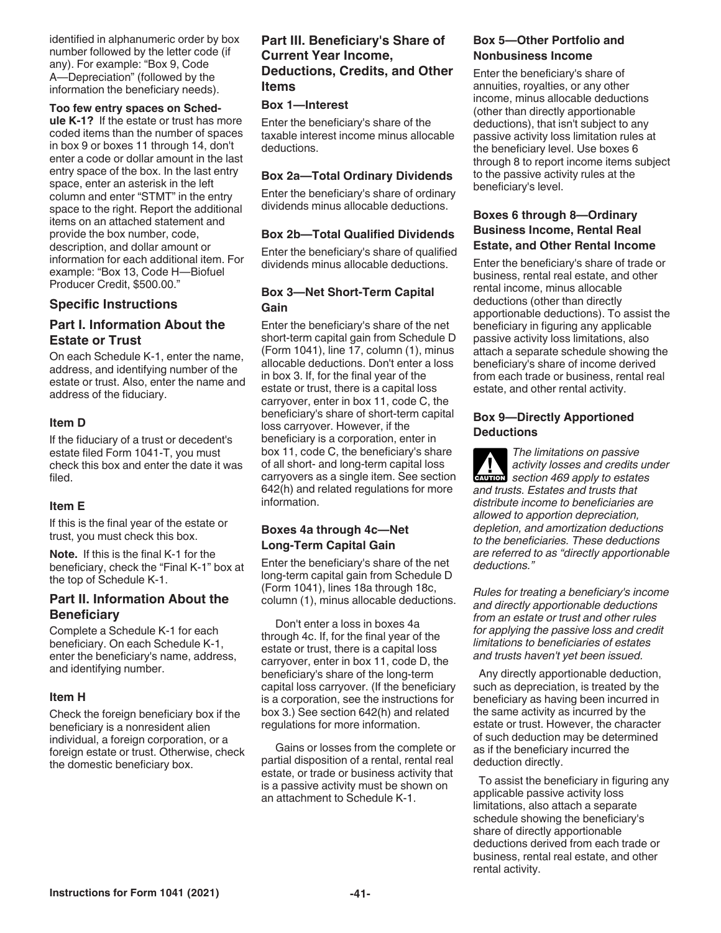identified in alphanumeric order by box number followed by the letter code (if any). For example: "Box 9, Code A—Depreciation" (followed by the information the beneficiary needs).

#### **Too few entry spaces on Sched-**

**ule K-1?** If the estate or trust has more coded items than the number of spaces in box 9 or boxes 11 through 14, don't enter a code or dollar amount in the last entry space of the box. In the last entry space, enter an asterisk in the left column and enter "STMT" in the entry space to the right. Report the additional items on an attached statement and provide the box number, code, description, and dollar amount or information for each additional item. For example: "Box 13, Code H—Biofuel Producer Credit, \$500.00."

### **Specific Instructions**

## **Part I. Information About the Estate or Trust**

On each Schedule K-1, enter the name, address, and identifying number of the estate or trust. Also, enter the name and address of the fiduciary.

#### **Item D**

If the fiduciary of a trust or decedent's estate filed Form 1041-T, you must check this box and enter the date it was filed.

#### **Item E**

If this is the final year of the estate or trust, you must check this box.

**Note.** If this is the final K-1 for the beneficiary, check the "Final K-1" box at the top of Schedule K-1.

### **Part II. Information About the Beneficiary**

Complete a Schedule K-1 for each beneficiary. On each Schedule K-1, enter the beneficiary's name, address, and identifying number.

#### **Item H**

Check the foreign beneficiary box if the beneficiary is a nonresident alien individual, a foreign corporation, or a foreign estate or trust. Otherwise, check the domestic beneficiary box.

#### **Part III. Beneficiary's Share of Current Year Income, Deductions, Credits, and Other Items**

#### **Box 1—Interest**

Enter the beneficiary's share of the taxable interest income minus allocable deductions.

#### **Box 2a—Total Ordinary Dividends**

Enter the beneficiary's share of ordinary dividends minus allocable deductions.

#### **Box 2b—Total Qualified Dividends**

Enter the beneficiary's share of qualified dividends minus allocable deductions.

#### **Box 3—Net Short-Term Capital Gain**

Enter the beneficiary's share of the net short-term capital gain from Schedule D (Form 1041), line 17, column (1), minus allocable deductions. Don't enter a loss in box 3. If, for the final year of the estate or trust, there is a capital loss carryover, enter in box 11, code C, the beneficiary's share of short-term capital loss carryover. However, if the beneficiary is a corporation, enter in box 11, code C, the beneficiary's share of all short- and long-term capital loss carryovers as a single item. See section 642(h) and related regulations for more information.

#### **Boxes 4a through 4c—Net Long-Term Capital Gain**

Enter the beneficiary's share of the net long-term capital gain from Schedule D (Form 1041), lines 18a through 18c, column (1), minus allocable deductions.

Don't enter a loss in boxes 4a through 4c. If, for the final year of the estate or trust, there is a capital loss carryover, enter in box 11, code D, the beneficiary's share of the long-term capital loss carryover. (If the beneficiary is a corporation, see the instructions for box 3.) See section 642(h) and related regulations for more information.

Gains or losses from the complete or partial disposition of a rental, rental real estate, or trade or business activity that is a passive activity must be shown on an attachment to Schedule K-1.

#### **Box 5—Other Portfolio and Nonbusiness Income**

Enter the beneficiary's share of annuities, royalties, or any other income, minus allocable deductions (other than directly apportionable deductions), that isn't subject to any passive activity loss limitation rules at the beneficiary level. Use boxes 6 through 8 to report income items subject to the passive activity rules at the beneficiary's level.

#### **Boxes 6 through 8—Ordinary Business Income, Rental Real Estate, and Other Rental Income**

Enter the beneficiary's share of trade or business, rental real estate, and other rental income, minus allocable deductions (other than directly apportionable deductions). To assist the beneficiary in figuring any applicable passive activity loss limitations, also attach a separate schedule showing the beneficiary's share of income derived from each trade or business, rental real estate, and other rental activity.

#### **Box 9—Directly Apportioned Deductions**

*The limitations on passive activity losses and credits under*  **z** activity losses and credits un<br>section 469 apply to estates *and trusts. Estates and trusts that distribute income to beneficiaries are allowed to apportion depreciation, depletion, and amortization deductions to the beneficiaries. These deductions are referred to as "directly apportionable deductions."*

*Rules for treating a beneficiary's income and directly apportionable deductions from an estate or trust and other rules for applying the passive loss and credit limitations to beneficiaries of estates and trusts haven't yet been issued.*

Any directly apportionable deduction, such as depreciation, is treated by the beneficiary as having been incurred in the same activity as incurred by the estate or trust. However, the character of such deduction may be determined as if the beneficiary incurred the deduction directly.

To assist the beneficiary in figuring any applicable passive activity loss limitations, also attach a separate schedule showing the beneficiary's share of directly apportionable deductions derived from each trade or business, rental real estate, and other rental activity.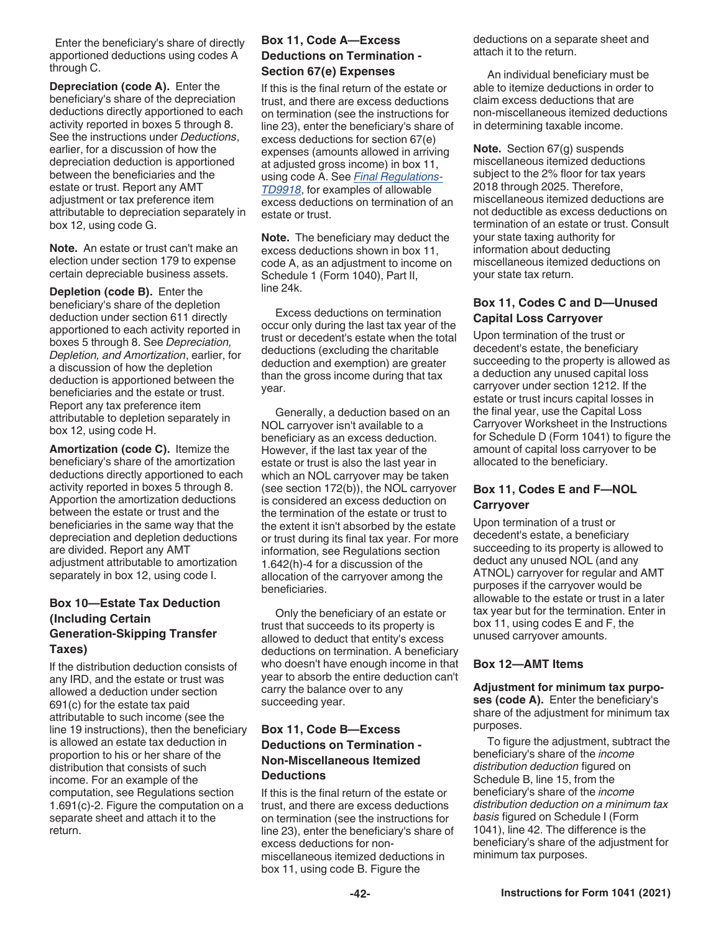Enter the beneficiary's share of directly apportioned deductions using codes A through C.

**Depreciation (code A).** Enter the beneficiary's share of the depreciation deductions directly apportioned to each activity reported in boxes 5 through 8. See the instructions under *Deductions*, earlier, for a discussion of how the depreciation deduction is apportioned between the beneficiaries and the estate or trust. Report any AMT adjustment or tax preference item attributable to depreciation separately in box 12, using code G.

**Note.** An estate or trust can't make an election under section 179 to expense certain depreciable business assets.

**Depletion (code B).** Enter the beneficiary's share of the depletion deduction under section 611 directly apportioned to each activity reported in boxes 5 through 8. See *Depreciation, Depletion, and Amortization*, earlier, for a discussion of how the depletion deduction is apportioned between the beneficiaries and the estate or trust. Report any tax preference item attributable to depletion separately in box 12, using code H.

**Amortization (code C).** Itemize the beneficiary's share of the amortization deductions directly apportioned to each activity reported in boxes 5 through 8. Apportion the amortization deductions between the estate or trust and the beneficiaries in the same way that the depreciation and depletion deductions are divided. Report any AMT adjustment attributable to amortization separately in box 12, using code I.

### **Box 10—Estate Tax Deduction (Including Certain Generation-Skipping Transfer Taxes)**

If the distribution deduction consists of any IRD, and the estate or trust was allowed a deduction under section 691(c) for the estate tax paid attributable to such income (see the line 19 instructions), then the beneficiary is allowed an estate tax deduction in proportion to his or her share of the distribution that consists of such income. For an example of the computation, see Regulations section 1.691(c)-2. Figure the computation on a separate sheet and attach it to the return.

### **Box 11, Code A—Excess Deductions on Termination - Section 67(e) Expenses**

If this is the final return of the estate or trust, and there are excess deductions on termination (see the instructions for line 23), enter the beneficiary's share of excess deductions for section 67(e) expenses (amounts allowed in arriving at adjusted gross income) in box 11, using code A. See *[Final Regulations-](https://www.govinfo.gov/content/pkg/FR-2020-10-19/pdf/2020-21162.pdf)[TD9918](https://www.govinfo.gov/content/pkg/FR-2020-10-19/pdf/2020-21162.pdf)*, for examples of allowable excess deductions on termination of an estate or trust.

**Note.** The beneficiary may deduct the excess deductions shown in box 11, code A, as an adjustment to income on Schedule 1 (Form 1040), Part II, line 24k.

Excess deductions on termination occur only during the last tax year of the trust or decedent's estate when the total deductions (excluding the charitable deduction and exemption) are greater than the gross income during that tax year.

Generally, a deduction based on an NOL carryover isn't available to a beneficiary as an excess deduction. However, if the last tax year of the estate or trust is also the last year in which an NOL carryover may be taken (see section 172(b)), the NOL carryover is considered an excess deduction on the termination of the estate or trust to the extent it isn't absorbed by the estate or trust during its final tax year. For more information, see Regulations section 1.642(h)-4 for a discussion of the allocation of the carryover among the beneficiaries.

Only the beneficiary of an estate or trust that succeeds to its property is allowed to deduct that entity's excess deductions on termination. A beneficiary who doesn't have enough income in that year to absorb the entire deduction can't carry the balance over to any succeeding year.

#### **Box 11, Code B—Excess Deductions on Termination - Non-Miscellaneous Itemized Deductions**

If this is the final return of the estate or trust, and there are excess deductions on termination (see the instructions for line 23), enter the beneficiary's share of excess deductions for nonmiscellaneous itemized deductions in box 11, using code B. Figure the

deductions on a separate sheet and attach it to the return.

An individual beneficiary must be able to itemize deductions in order to claim excess deductions that are non-miscellaneous itemized deductions in determining taxable income.

**Note.** Section 67(g) suspends miscellaneous itemized deductions subject to the 2% floor for tax years 2018 through 2025. Therefore, miscellaneous itemized deductions are not deductible as excess deductions on termination of an estate or trust. Consult your state taxing authority for information about deducting miscellaneous itemized deductions on your state tax return.

#### **Box 11, Codes C and D—Unused Capital Loss Carryover**

Upon termination of the trust or decedent's estate, the beneficiary succeeding to the property is allowed as a deduction any unused capital loss carryover under section 1212. If the estate or trust incurs capital losses in the final year, use the Capital Loss Carryover Worksheet in the Instructions for Schedule D (Form 1041) to figure the amount of capital loss carryover to be allocated to the beneficiary.

#### **Box 11, Codes E and F—NOL Carryover**

Upon termination of a trust or decedent's estate, a beneficiary succeeding to its property is allowed to deduct any unused NOL (and any ATNOL) carryover for regular and AMT purposes if the carryover would be allowable to the estate or trust in a later tax year but for the termination. Enter in box 11, using codes E and F, the unused carryover amounts.

#### **Box 12—AMT Items**

**Adjustment for minimum tax purposes (code A).** Enter the beneficiary's share of the adjustment for minimum tax purposes.

To figure the adjustment, subtract the beneficiary's share of the *income distribution deduction* figured on Schedule B, line 15, from the beneficiary's share of the *income distribution deduction on a minimum tax basis* figured on Schedule I (Form 1041), line 42. The difference is the beneficiary's share of the adjustment for minimum tax purposes.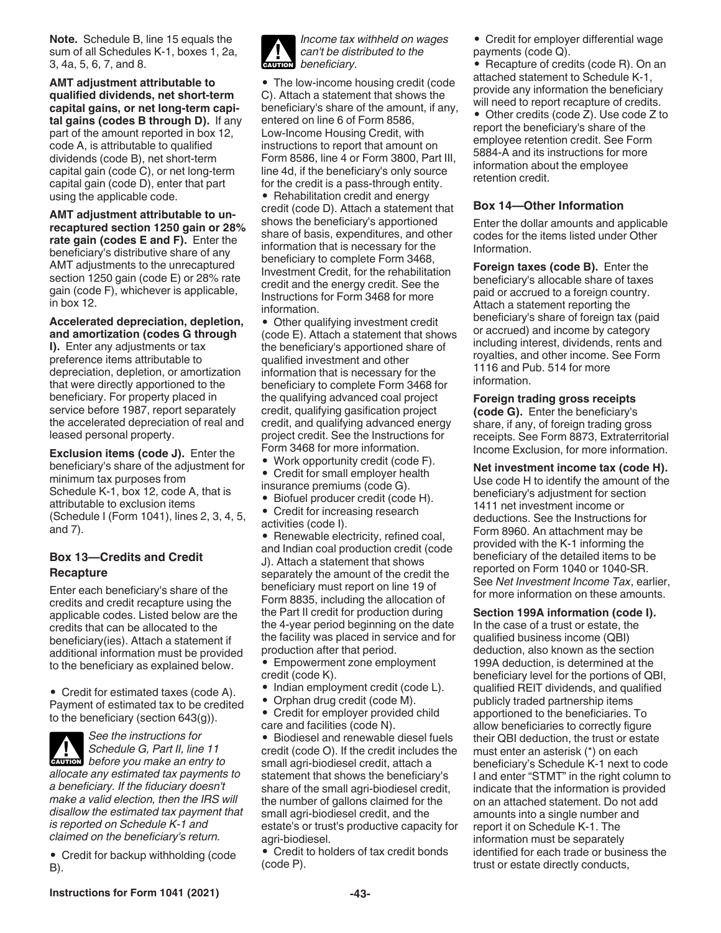**Note.** Schedule B, line 15 equals the sum of all Schedules K-1, boxes 1, 2a, 3, 4a, 5, 6, 7, and 8.

**AMT adjustment attributable to qualified dividends, net short-term capital gains, or net long-term capital gains (codes B through D).** If any part of the amount reported in box 12, code A, is attributable to qualified dividends (code B), net short-term capital gain (code C), or net long-term capital gain (code D), enter that part using the applicable code.

**AMT adjustment attributable to unrecaptured section 1250 gain or 28% rate gain (codes E and F).** Enter the beneficiary's distributive share of any AMT adjustments to the unrecaptured section 1250 gain (code E) or 28% rate gain (code F), whichever is applicable, in box 12.

#### **Accelerated depreciation, depletion, and amortization (codes G through**

**I).** Enter any adjustments or tax preference items attributable to depreciation, depletion, or amortization that were directly apportioned to the beneficiary. For property placed in service before 1987, report separately the accelerated depreciation of real and leased personal property.

**Exclusion items (code J).** Enter the beneficiary's share of the adjustment for minimum tax purposes from Schedule K-1, box 12, code A, that is attributable to exclusion items (Schedule I (Form 1041), lines 2, 3, 4, 5, and 7).

## **Box 13—Credits and Credit Recapture**

Enter each beneficiary's share of the credits and credit recapture using the applicable codes. Listed below are the credits that can be allocated to the beneficiary(ies). Attach a statement if additional information must be provided to the beneficiary as explained below.

• Credit for estimated taxes (code A). Payment of estimated tax to be credited to the beneficiary (section 643(g)).

*See the instructions for Schedule G, Part II, line 11*  **b**efore you make an entry to **caution** *allocate any estimated tax payments to a beneficiary. If the fiduciary doesn't make a valid election, then the IRS will disallow the estimated tax payment that is reported on Schedule K-1 and claimed on the beneficiary's return.*

• Credit for backup withholding (code B).



*Income tax withheld on wages can't be distributed to the beneficiary.*

• The low-income housing credit (code C). Attach a statement that shows the beneficiary's share of the amount, if any, entered on line 6 of Form 8586, Low-Income Housing Credit, with instructions to report that amount on Form 8586, line 4 or Form 3800, Part III, line 4d, if the beneficiary's only source for the credit is a pass-through entity. • Rehabilitation credit and energy

credit (code D). Attach a statement that shows the beneficiary's apportioned share of basis, expenditures, and other information that is necessary for the beneficiary to complete Form 3468, Investment Credit, for the rehabilitation credit and the energy credit. See the Instructions for Form 3468 for more information.

• Other qualifying investment credit (code E). Attach a statement that shows the beneficiary's apportioned share of qualified investment and other information that is necessary for the beneficiary to complete Form 3468 for the qualifying advanced coal project credit, qualifying gasification project credit, and qualifying advanced energy project credit. See the Instructions for Form 3468 for more information.

- Work opportunity credit (code F).
- Credit for small employer health
- insurance premiums (code G). • Biofuel producer credit (code H).
- Credit for increasing research activities (code I).

• Renewable electricity, refined coal, and Indian coal production credit (code J). Attach a statement that shows separately the amount of the credit the beneficiary must report on line 19 of Form 8835, including the allocation of the Part II credit for production during the 4-year period beginning on the date the facility was placed in service and for production after that period.

- Empowerment zone employment credit (code K).
- Indian employment credit (code L).
- Orphan drug credit (code M).
- Credit for employer provided child care and facilities (code N).

• Biodiesel and renewable diesel fuels credit (code O). If the credit includes the small agri-biodiesel credit, attach a statement that shows the beneficiary's share of the small agri-biodiesel credit, the number of gallons claimed for the small agri-biodiesel credit, and the estate's or trust's productive capacity for agri-biodiesel.

• Credit to holders of tax credit bonds (code P).

**!** • Credit for employer differential wage payments (code Q).

• Recapture of credits (code R). On an attached statement to Schedule K-1, provide any information the beneficiary will need to report recapture of credits.

• Other credits (code Z). Use code Z to report the beneficiary's share of the employee retention credit. See Form 5884-A and its instructions for more information about the employee retention credit.

#### **Box 14—Other Information**

Enter the dollar amounts and applicable codes for the items listed under Other Information.

**Foreign taxes (code B).** Enter the beneficiary's allocable share of taxes paid or accrued to a foreign country. Attach a statement reporting the beneficiary's share of foreign tax (paid or accrued) and income by category including interest, dividends, rents and royalties, and other income. See Form 1116 and Pub. 514 for more information.

### **Foreign trading gross receipts**

**(code G).** Enter the beneficiary's share, if any, of foreign trading gross receipts. See Form 8873, Extraterritorial Income Exclusion, for more information.

**Net investment income tax (code H).** 

Use code H to identify the amount of the beneficiary's adjustment for section 1411 net investment income or deductions. See the Instructions for Form 8960. An attachment may be provided with the K-1 informing the beneficiary of the detailed items to be reported on Form 1040 or 1040-SR. See *Net Investment Income Tax*, earlier, for more information on these amounts.

**Section 199A information (code I).**  In the case of a trust or estate, the qualified business income (QBI) deduction, also known as the section 199A deduction, is determined at the beneficiary level for the portions of QBI, qualified REIT dividends, and qualified publicly traded partnership items apportioned to the beneficiaries. To allow beneficiaries to correctly figure their QBI deduction, the trust or estate must enter an asterisk (\*) on each beneficiary's Schedule K-1 next to code I and enter "STMT" in the right column to indicate that the information is provided on an attached statement. Do not add amounts into a single number and report it on Schedule K-1. The information must be separately identified for each trade or business the trust or estate directly conducts,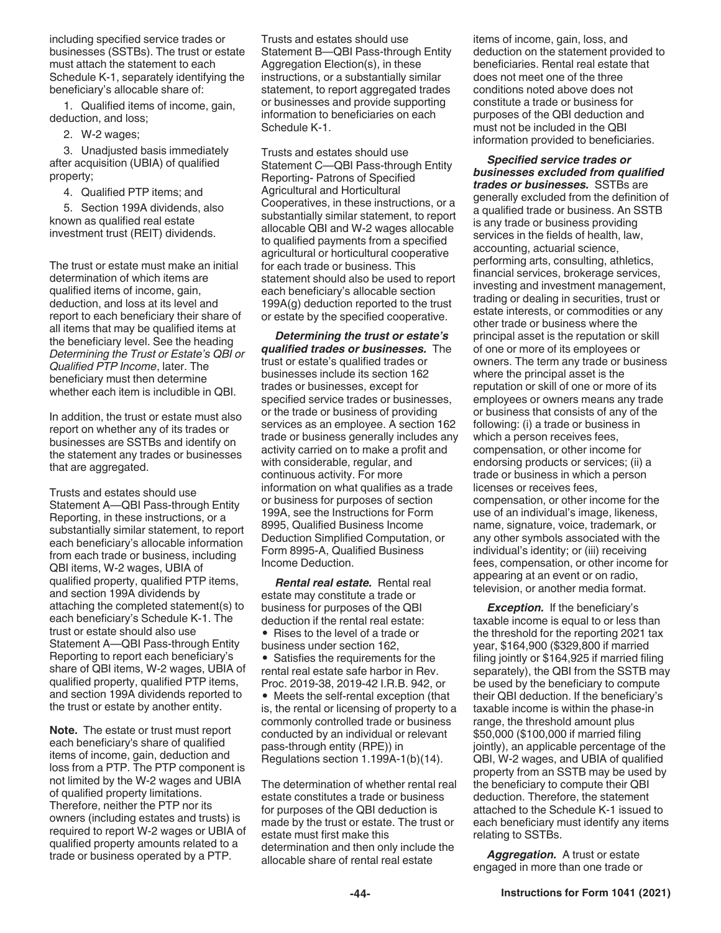including specified service trades or businesses (SSTBs). The trust or estate must attach the statement to each Schedule K-1, separately identifying the beneficiary's allocable share of:

1. Qualified items of income, gain, deduction, and loss;

2. W-2 wages;

3. Unadjusted basis immediately after acquisition (UBIA) of qualified property;

4. Qualified PTP items; and

5. Section 199A dividends, also known as qualified real estate investment trust (REIT) dividends.

The trust or estate must make an initial determination of which items are qualified items of income, gain, deduction, and loss at its level and report to each beneficiary their share of all items that may be qualified items at the beneficiary level. See the heading *Determining the Trust or Estate's QBI or Qualified PTP Income*, later. The beneficiary must then determine whether each item is includible in QBI.

In addition, the trust or estate must also report on whether any of its trades or businesses are SSTBs and identify on the statement any trades or businesses that are aggregated.

Trusts and estates should use Statement A—QBI Pass-through Entity Reporting, in these instructions, or a substantially similar statement, to report each beneficiary's allocable information from each trade or business, including QBI items, W-2 wages, UBIA of qualified property, qualified PTP items, and section 199A dividends by attaching the completed statement(s) to each beneficiary's Schedule K-1. The trust or estate should also use Statement A—QBI Pass-through Entity Reporting to report each beneficiary's share of QBI items, W-2 wages, UBIA of qualified property, qualified PTP items, and section 199A dividends reported to the trust or estate by another entity.

**Note.** The estate or trust must report each beneficiary's share of qualified items of income, gain, deduction and loss from a PTP. The PTP component is not limited by the W-2 wages and UBIA of qualified property limitations. Therefore, neither the PTP nor its owners (including estates and trusts) is required to report W-2 wages or UBIA of qualified property amounts related to a trade or business operated by a PTP.

Trusts and estates should use Statement B—QBI Pass-through Entity Aggregation Election(s), in these instructions, or a substantially similar statement, to report aggregated trades or businesses and provide supporting information to beneficiaries on each Schedule K-1.

Trusts and estates should use Statement C—QBI Pass-through Entity Reporting- Patrons of Specified Agricultural and Horticultural Cooperatives, in these instructions, or a substantially similar statement, to report allocable QBI and W-2 wages allocable to qualified payments from a specified agricultural or horticultural cooperative for each trade or business. This statement should also be used to report each beneficiary's allocable section 199A(g) deduction reported to the trust or estate by the specified cooperative.

*Determining the trust or estate's qualified trades or businesses.* The trust or estate's qualified trades or businesses include its section 162 trades or businesses, except for specified service trades or businesses, or the trade or business of providing services as an employee. A section 162 trade or business generally includes any activity carried on to make a profit and with considerable, regular, and continuous activity. For more information on what qualifies as a trade or business for purposes of section 199A, see the Instructions for Form 8995, Qualified Business Income Deduction Simplified Computation, or Form 8995-A, Qualified Business Income Deduction.

*Rental real estate.* Rental real estate may constitute a trade or business for purposes of the QBI deduction if the rental real estate: • Rises to the level of a trade or business under section 162, • Satisfies the requirements for the rental real estate safe harbor in Rev. Proc. 2019-38, 2019-42 I.R.B. 942, or • Meets the self-rental exception (that is, the rental or licensing of property to a commonly controlled trade or business conducted by an individual or relevant pass-through entity (RPE)) in Regulations section 1.199A-1(b)(14).

The determination of whether rental real estate constitutes a trade or business for purposes of the QBI deduction is made by the trust or estate. The trust or estate must first make this determination and then only include the allocable share of rental real estate

items of income, gain, loss, and deduction on the statement provided to beneficiaries. Rental real estate that does not meet one of the three conditions noted above does not constitute a trade or business for purposes of the QBI deduction and must not be included in the QBI information provided to beneficiaries.

*Specified service trades or businesses excluded from qualified trades or businesses.* SSTBs are generally excluded from the definition of a qualified trade or business. An SSTB is any trade or business providing services in the fields of health, law, accounting, actuarial science, performing arts, consulting, athletics, financial services, brokerage services, investing and investment management, trading or dealing in securities, trust or estate interests, or commodities or any other trade or business where the principal asset is the reputation or skill of one or more of its employees or owners. The term any trade or business where the principal asset is the reputation or skill of one or more of its employees or owners means any trade or business that consists of any of the following: (i) a trade or business in which a person receives fees, compensation, or other income for endorsing products or services; (ii) a trade or business in which a person licenses or receives fees, compensation, or other income for the use of an individual's image, likeness, name, signature, voice, trademark, or any other symbols associated with the individual's identity; or (iii) receiving fees, compensation, or other income for appearing at an event or on radio, television, or another media format.

*Exception.* If the beneficiary's taxable income is equal to or less than the threshold for the reporting 2021 tax year, \$164,900 (\$329,800 if married filing jointly or \$164,925 if married filing separately), the QBI from the SSTB may be used by the beneficiary to compute their QBI deduction. If the beneficiary's taxable income is within the phase-in range, the threshold amount plus \$50,000 (\$100,000 if married filing jointly), an applicable percentage of the QBI, W-2 wages, and UBIA of qualified property from an SSTB may be used by the beneficiary to compute their QBI deduction. Therefore, the statement attached to the Schedule K-1 issued to each beneficiary must identify any items relating to SSTBs.

*Aggregation.* A trust or estate engaged in more than one trade or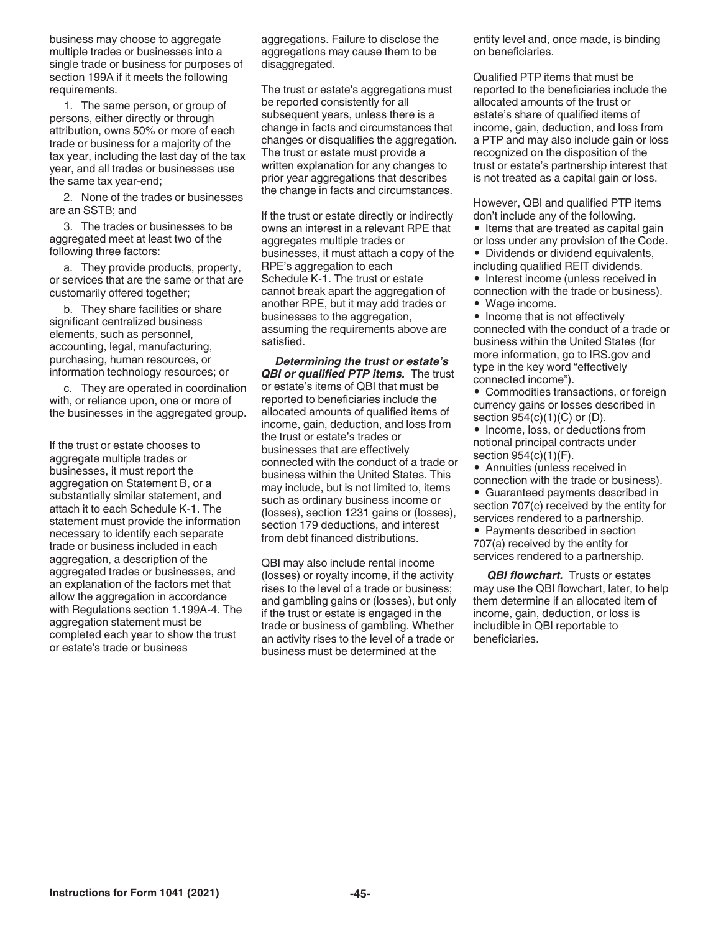business may choose to aggregate multiple trades or businesses into a single trade or business for purposes of section 199A if it meets the following requirements.

1. The same person, or group of persons, either directly or through attribution, owns 50% or more of each trade or business for a majority of the tax year, including the last day of the tax year, and all trades or businesses use the same tax year-end;

2. None of the trades or businesses are an SSTB; and

3. The trades or businesses to be aggregated meet at least two of the following three factors:

a. They provide products, property, or services that are the same or that are customarily offered together;

b. They share facilities or share significant centralized business elements, such as personnel, accounting, legal, manufacturing, purchasing, human resources, or information technology resources; or

c. They are operated in coordination with, or reliance upon, one or more of the businesses in the aggregated group.

If the trust or estate chooses to aggregate multiple trades or businesses, it must report the aggregation on Statement B, or a substantially similar statement, and attach it to each Schedule K-1. The statement must provide the information necessary to identify each separate trade or business included in each aggregation, a description of the aggregated trades or businesses, and an explanation of the factors met that allow the aggregation in accordance with Regulations section 1.199A-4. The aggregation statement must be completed each year to show the trust or estate's trade or business

aggregations. Failure to disclose the aggregations may cause them to be disaggregated.

The trust or estate's aggregations must be reported consistently for all subsequent years, unless there is a change in facts and circumstances that changes or disqualifies the aggregation. The trust or estate must provide a written explanation for any changes to prior year aggregations that describes the change in facts and circumstances.

If the trust or estate directly or indirectly owns an interest in a relevant RPE that aggregates multiple trades or businesses, it must attach a copy of the RPE's aggregation to each Schedule K-1. The trust or estate cannot break apart the aggregation of another RPE, but it may add trades or businesses to the aggregation, assuming the requirements above are satisfied.

*Determining the trust or estate's*  **QBI or qualified PTP items.** The trust or estate's items of QBI that must be reported to beneficiaries include the allocated amounts of qualified items of income, gain, deduction, and loss from the trust or estate's trades or businesses that are effectively connected with the conduct of a trade or business within the United States. This may include, but is not limited to, items such as ordinary business income or (losses), section 1231 gains or (losses), section 179 deductions, and interest from debt financed distributions.

QBI may also include rental income (losses) or royalty income, if the activity rises to the level of a trade or business; and gambling gains or (losses), but only if the trust or estate is engaged in the trade or business of gambling. Whether an activity rises to the level of a trade or business must be determined at the

entity level and, once made, is binding on beneficiaries.

Qualified PTP items that must be reported to the beneficiaries include the allocated amounts of the trust or estate's share of qualified items of income, gain, deduction, and loss from a PTP and may also include gain or loss recognized on the disposition of the trust or estate's partnership interest that is not treated as a capital gain or loss.

However, QBI and qualified PTP items don't include any of the following.

- Items that are treated as capital gain
- or loss under any provision of the Code.
- Dividends or dividend equivalents, including qualified REIT dividends.
- Interest income (unless received in
- connection with the trade or business).
- Wage income.

• Income that is not effectively connected with the conduct of a trade or business within the United States (for more information, go to IRS.gov and type in the key word "effectively connected income").

• Commodities transactions, or foreign currency gains or losses described in section 954(c)(1)(C) or (D).

• Income, loss, or deductions from notional principal contracts under section 954(c)(1)(F).

• Annuities (unless received in

connection with the trade or business).

• Guaranteed payments described in section 707(c) received by the entity for services rendered to a partnership.

• Payments described in section 707(a) received by the entity for services rendered to a partnership.

*QBI flowchart.* Trusts or estates may use the QBI flowchart, later, to help them determine if an allocated item of income, gain, deduction, or loss is includible in QBI reportable to beneficiaries.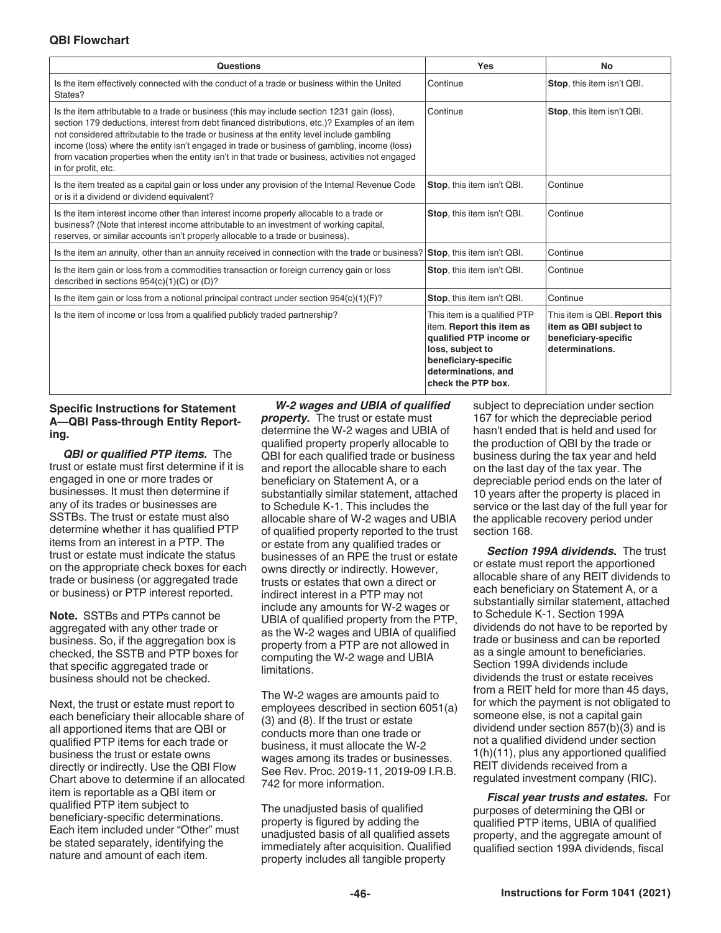#### **QBI Flowchart**

| <b>Questions</b>                                                                                                                                                                                                                                                                                                                                                                                                                                                                                                     | <b>Yes</b>                                                                                                                                                                    | <b>No</b>                                                                                          |  |
|----------------------------------------------------------------------------------------------------------------------------------------------------------------------------------------------------------------------------------------------------------------------------------------------------------------------------------------------------------------------------------------------------------------------------------------------------------------------------------------------------------------------|-------------------------------------------------------------------------------------------------------------------------------------------------------------------------------|----------------------------------------------------------------------------------------------------|--|
| Is the item effectively connected with the conduct of a trade or business within the United<br>States?                                                                                                                                                                                                                                                                                                                                                                                                               | Continue                                                                                                                                                                      | Stop, this item isn't QBI.                                                                         |  |
| Is the item attributable to a trade or business (this may include section 1231 gain (loss),<br>section 179 deductions, interest from debt financed distributions, etc.)? Examples of an item<br>not considered attributable to the trade or business at the entity level include gambling<br>income (loss) where the entity isn't engaged in trade or business of gambling, income (loss)<br>from vacation properties when the entity isn't in that trade or business, activities not engaged<br>in for profit, etc. | Continue                                                                                                                                                                      | <b>Stop</b> , this item isn't QBI.                                                                 |  |
| Is the item treated as a capital gain or loss under any provision of the Internal Revenue Code<br>or is it a dividend or dividend equivalent?                                                                                                                                                                                                                                                                                                                                                                        | Stop, this item isn't QBI.                                                                                                                                                    | Continue                                                                                           |  |
| Is the item interest income other than interest income properly allocable to a trade or<br>business? (Note that interest income attributable to an investment of working capital,<br>reserves, or similar accounts isn't properly allocable to a trade or business).                                                                                                                                                                                                                                                 | Stop, this item isn't QBI.                                                                                                                                                    | Continue                                                                                           |  |
| Is the item an annuity, other than an annuity received in connection with the trade or business? Stop, this item isn't QBI.                                                                                                                                                                                                                                                                                                                                                                                          |                                                                                                                                                                               | Continue                                                                                           |  |
| Is the item gain or loss from a commodities transaction or foreign currency gain or loss<br>described in sections $954(c)(1)(C)$ or $(D)?$                                                                                                                                                                                                                                                                                                                                                                           | Stop, this item isn't QBI.                                                                                                                                                    | Continue                                                                                           |  |
| Is the item gain or loss from a notional principal contract under section $954(c)(1)(F)$ ?                                                                                                                                                                                                                                                                                                                                                                                                                           | Stop, this item isn't QBI.                                                                                                                                                    | Continue                                                                                           |  |
| Is the item of income or loss from a qualified publicly traded partnership?                                                                                                                                                                                                                                                                                                                                                                                                                                          | This item is a qualified PTP<br>item. Report this item as<br>qualified PTP income or<br>loss, subject to<br>beneficiary-specific<br>determinations, and<br>check the PTP box. | This item is QBI. Report this<br>item as QBI subject to<br>beneficiary-specific<br>determinations. |  |

#### **Specific Instructions for Statement A—QBI Pass-through Entity Reporting.**

*QBI or qualified PTP items.* The trust or estate must first determine if it is engaged in one or more trades or businesses. It must then determine if any of its trades or businesses are SSTBs. The trust or estate must also determine whether it has qualified PTP items from an interest in a PTP. The trust or estate must indicate the status on the appropriate check boxes for each trade or business (or aggregated trade or business) or PTP interest reported.

**Note.** SSTBs and PTPs cannot be aggregated with any other trade or business. So, if the aggregation box is checked, the SSTB and PTP boxes for that specific aggregated trade or business should not be checked.

Next, the trust or estate must report to each beneficiary their allocable share of all apportioned items that are QBI or qualified PTP items for each trade or business the trust or estate owns directly or indirectly. Use the QBI Flow Chart above to determine if an allocated item is reportable as a QBI item or qualified PTP item subject to beneficiary-specific determinations. Each item included under "Other" must be stated separately, identifying the nature and amount of each item.

*W-2 wages and UBIA of qualified property.* The trust or estate must determine the W-2 wages and UBIA of qualified property properly allocable to QBI for each qualified trade or business and report the allocable share to each beneficiary on Statement A, or a substantially similar statement, attached to Schedule K-1. This includes the allocable share of W-2 wages and UBIA of qualified property reported to the trust or estate from any qualified trades or businesses of an RPE the trust or estate owns directly or indirectly. However, trusts or estates that own a direct or indirect interest in a PTP may not include any amounts for W-2 wages or UBIA of qualified property from the PTP, as the W-2 wages and UBIA of qualified property from a PTP are not allowed in computing the W-2 wage and UBIA limitations.

The W-2 wages are amounts paid to employees described in section 6051(a) (3) and (8). If the trust or estate conducts more than one trade or business, it must allocate the W-2 wages among its trades or businesses. See Rev. Proc. 2019-11, 2019-09 I.R.B. 742 for more information.

The unadjusted basis of qualified property is figured by adding the unadjusted basis of all qualified assets immediately after acquisition. Qualified property includes all tangible property

subject to depreciation under section 167 for which the depreciable period hasn't ended that is held and used for the production of QBI by the trade or business during the tax year and held on the last day of the tax year. The depreciable period ends on the later of 10 years after the property is placed in service or the last day of the full year for the applicable recovery period under section 168.

*Section 199A dividends.* The trust or estate must report the apportioned allocable share of any REIT dividends to each beneficiary on Statement A, or a substantially similar statement, attached to Schedule K-1. Section 199A dividends do not have to be reported by trade or business and can be reported as a single amount to beneficiaries. Section 199A dividends include dividends the trust or estate receives from a REIT held for more than 45 days, for which the payment is not obligated to someone else, is not a capital gain dividend under section 857(b)(3) and is not a qualified dividend under section 1(h)(11), plus any apportioned qualified REIT dividends received from a regulated investment company (RIC).

*Fiscal year trusts and estates.* For purposes of determining the QBI or qualified PTP items, UBIA of qualified property, and the aggregate amount of qualified section 199A dividends, fiscal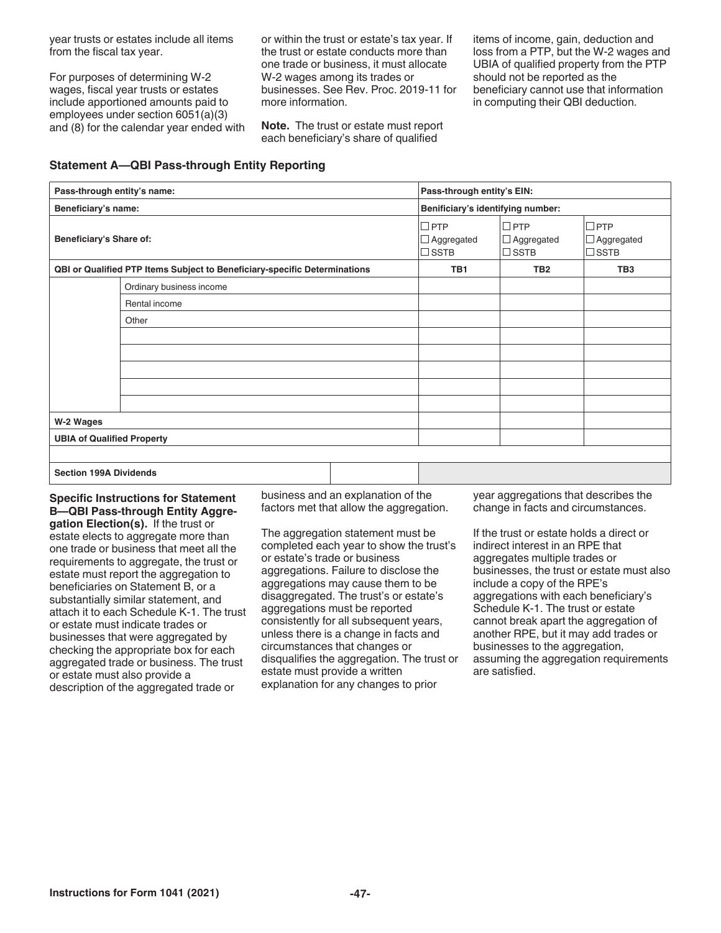year trusts or estates include all items from the fiscal tax year.

For purposes of determining W-2 wages, fiscal year trusts or estates include apportioned amounts paid to employees under section 6051(a)(3) and (8) for the calendar year ended with or within the trust or estate's tax year. If the trust or estate conducts more than one trade or business, it must allocate W-2 wages among its trades or businesses. See Rev. Proc. 2019-11 for more information.

**Note.** The trust or estate must report each beneficiary's share of qualified

items of income, gain, deduction and loss from a PTP, but the W-2 wages and UBIA of qualified property from the PTP should not be reported as the beneficiary cannot use that information in computing their QBI deduction.

|  |  | <b>Statement A-QBI Pass-through Entity Reporting</b> |  |  |
|--|--|------------------------------------------------------|--|--|
|--|--|------------------------------------------------------|--|--|

| Pass-through entity's name:                                               |                          |                   | Pass-through entity's EIN:        |                   |  |  |
|---------------------------------------------------------------------------|--------------------------|-------------------|-----------------------------------|-------------------|--|--|
| Beneficiary's name:                                                       |                          |                   | Benificiary's identifying number: |                   |  |  |
|                                                                           |                          | $\square$ PTP     | $\square$ PTP                     | $\square$ PTP     |  |  |
| Beneficiary's Share of:                                                   |                          | $\Box$ Aggregated | $\Box$ Aggregated                 | $\Box$ Aggregated |  |  |
|                                                                           |                          | $\square$ SSTB    | $\square$ SSTB                    | $\square$ SSTB    |  |  |
| QBI or Qualified PTP Items Subject to Beneficiary-specific Determinations |                          | TB <sub>1</sub>   | TB <sub>2</sub>                   | TB <sub>3</sub>   |  |  |
|                                                                           | Ordinary business income |                   |                                   |                   |  |  |
|                                                                           | Rental income            |                   |                                   |                   |  |  |
|                                                                           | Other                    |                   |                                   |                   |  |  |
|                                                                           |                          |                   |                                   |                   |  |  |
|                                                                           |                          |                   |                                   |                   |  |  |
|                                                                           |                          |                   |                                   |                   |  |  |
|                                                                           |                          |                   |                                   |                   |  |  |
|                                                                           |                          |                   |                                   |                   |  |  |
| W-2 Wages                                                                 |                          |                   |                                   |                   |  |  |
| <b>UBIA of Qualified Property</b>                                         |                          |                   |                                   |                   |  |  |
|                                                                           |                          |                   |                                   |                   |  |  |
| <b>Section 199A Dividends</b>                                             |                          |                   |                                   |                   |  |  |

**Specific Instructions for Statement B—QBI Pass-through Entity Aggregation Election(s).** If the trust or estate elects to aggregate more than one trade or business that meet all the requirements to aggregate, the trust or estate must report the aggregation to beneficiaries on Statement B, or a substantially similar statement, and attach it to each Schedule K-1. The trust or estate must indicate trades or businesses that were aggregated by checking the appropriate box for each aggregated trade or business. The trust or estate must also provide a description of the aggregated trade or

business and an explanation of the factors met that allow the aggregation.

The aggregation statement must be completed each year to show the trust's or estate's trade or business aggregations. Failure to disclose the aggregations may cause them to be disaggregated. The trust's or estate's aggregations must be reported consistently for all subsequent years, unless there is a change in facts and circumstances that changes or disqualifies the aggregation. The trust or estate must provide a written explanation for any changes to prior

year aggregations that describes the change in facts and circumstances.

If the trust or estate holds a direct or indirect interest in an RPE that aggregates multiple trades or businesses, the trust or estate must also include a copy of the RPE's aggregations with each beneficiary's Schedule K-1. The trust or estate cannot break apart the aggregation of another RPE, but it may add trades or businesses to the aggregation, assuming the aggregation requirements are satisfied.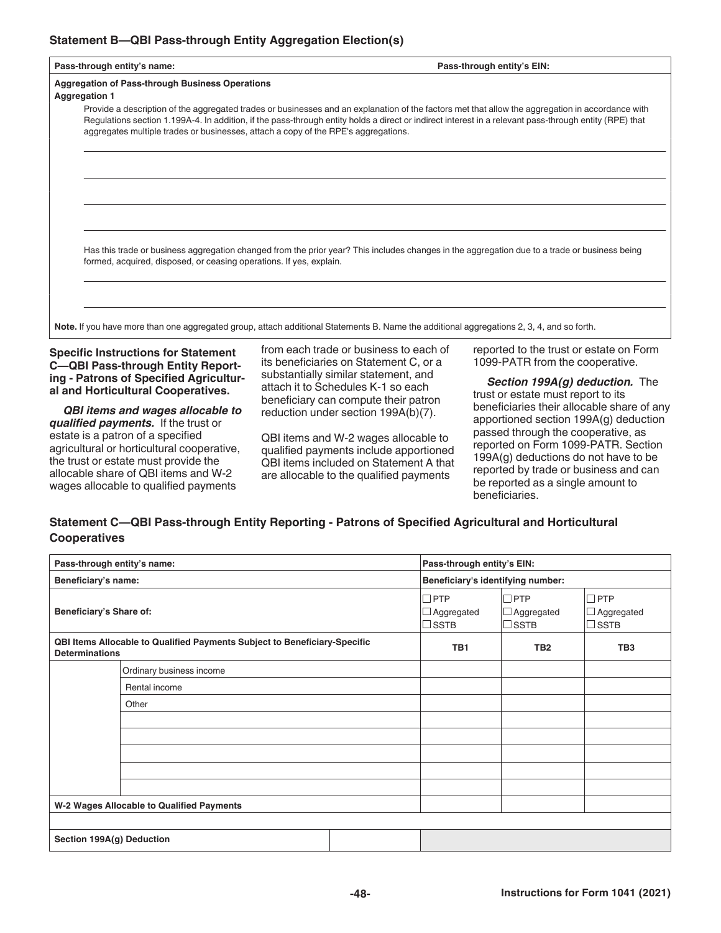| Pass-through entity's name:                                                                                                                                                                                          | Pass-through entity's EIN:                                                                                                                                                                                                                                                                                                                                                                       |  |  |  |  |
|----------------------------------------------------------------------------------------------------------------------------------------------------------------------------------------------------------------------|--------------------------------------------------------------------------------------------------------------------------------------------------------------------------------------------------------------------------------------------------------------------------------------------------------------------------------------------------------------------------------------------------|--|--|--|--|
| <b>Aggregation of Pass-through Business Operations</b>                                                                                                                                                               |                                                                                                                                                                                                                                                                                                                                                                                                  |  |  |  |  |
| <b>Aggregation 1</b>                                                                                                                                                                                                 |                                                                                                                                                                                                                                                                                                                                                                                                  |  |  |  |  |
|                                                                                                                                                                                                                      | Provide a description of the aggregated trades or businesses and an explanation of the factors met that allow the aggregation in accordance with<br>Regulations section 1.199A-4. In addition, if the pass-through entity holds a direct or indirect interest in a relevant pass-through entity (RPE) that<br>aggregates multiple trades or businesses, attach a copy of the RPE's aggregations. |  |  |  |  |
|                                                                                                                                                                                                                      |                                                                                                                                                                                                                                                                                                                                                                                                  |  |  |  |  |
|                                                                                                                                                                                                                      |                                                                                                                                                                                                                                                                                                                                                                                                  |  |  |  |  |
|                                                                                                                                                                                                                      |                                                                                                                                                                                                                                                                                                                                                                                                  |  |  |  |  |
| Has this trade or business aggregation changed from the prior year? This includes changes in the aggregation due to a trade or business being<br>formed, acquired, disposed, or ceasing operations. If yes, explain. |                                                                                                                                                                                                                                                                                                                                                                                                  |  |  |  |  |
|                                                                                                                                                                                                                      |                                                                                                                                                                                                                                                                                                                                                                                                  |  |  |  |  |
| Note. If you have more than one aggregated group, attach additional Statements B. Name the additional aggregations 2, 3, 4, and so forth.                                                                            |                                                                                                                                                                                                                                                                                                                                                                                                  |  |  |  |  |

**Specific Instructions for Statement C—QBI Pass-through Entity Reporting - Patrons of Specified Agricultural and Horticultural Cooperatives.** 

*QBI items and wages allocable to qualified payments.* If the trust or estate is a patron of a specified agricultural or horticultural cooperative, the trust or estate must provide the allocable share of QBI items and W-2 wages allocable to qualified payments

from each trade or business to each of its beneficiaries on Statement C, or a substantially similar statement, and attach it to Schedules K-1 so each beneficiary can compute their patron reduction under section 199A(b)(7).

QBI items and W-2 wages allocable to qualified payments include apportioned QBI items included on Statement A that are allocable to the qualified payments

reported to the trust or estate on Form 1099-PATR from the cooperative.

*Section 199A(g) deduction.* The trust or estate must report to its beneficiaries their allocable share of any apportioned section 199A(g) deduction passed through the cooperative, as reported on Form 1099-PATR. Section 199A(g) deductions do not have to be reported by trade or business and can be reported as a single amount to beneficiaries.

## **Statement C—QBI Pass-through Entity Reporting - Patrons of Specified Agricultural and Horticultural Cooperatives**

| Pass-through entity's name:                                                                               |                          | Pass-through entity's EIN:                        |                                                      |                                                   |  |  |  |
|-----------------------------------------------------------------------------------------------------------|--------------------------|---------------------------------------------------|------------------------------------------------------|---------------------------------------------------|--|--|--|
| Beneficiary's name:                                                                                       |                          | Beneficiary's identifying number:                 |                                                      |                                                   |  |  |  |
| Beneficiary's Share of:                                                                                   |                          | $\square$ PTP<br>$\Box$ Aggregated<br>$\Box$ SSTB | $\exists$ PTP<br>$\Box$ Aggregated<br>$\square$ SSTB | $\square$ PTP<br>$\Box$ Aggregated<br>$\Box$ SSTB |  |  |  |
| <b>QBI Items Allocable to Qualified Payments Subject to Beneficiary-Specific</b><br><b>Determinations</b> |                          | TB <sub>1</sub>                                   | TB <sub>2</sub>                                      | TB <sub>3</sub>                                   |  |  |  |
|                                                                                                           | Ordinary business income |                                                   |                                                      |                                                   |  |  |  |
|                                                                                                           | Rental income            |                                                   |                                                      |                                                   |  |  |  |
|                                                                                                           | Other                    |                                                   |                                                      |                                                   |  |  |  |
|                                                                                                           |                          |                                                   |                                                      |                                                   |  |  |  |
|                                                                                                           |                          |                                                   |                                                      |                                                   |  |  |  |
|                                                                                                           |                          |                                                   |                                                      |                                                   |  |  |  |
|                                                                                                           |                          |                                                   |                                                      |                                                   |  |  |  |
|                                                                                                           |                          |                                                   |                                                      |                                                   |  |  |  |
| W-2 Wages Allocable to Qualified Payments                                                                 |                          |                                                   |                                                      |                                                   |  |  |  |
|                                                                                                           |                          |                                                   |                                                      |                                                   |  |  |  |
| Section 199A(g) Deduction                                                                                 |                          |                                                   |                                                      |                                                   |  |  |  |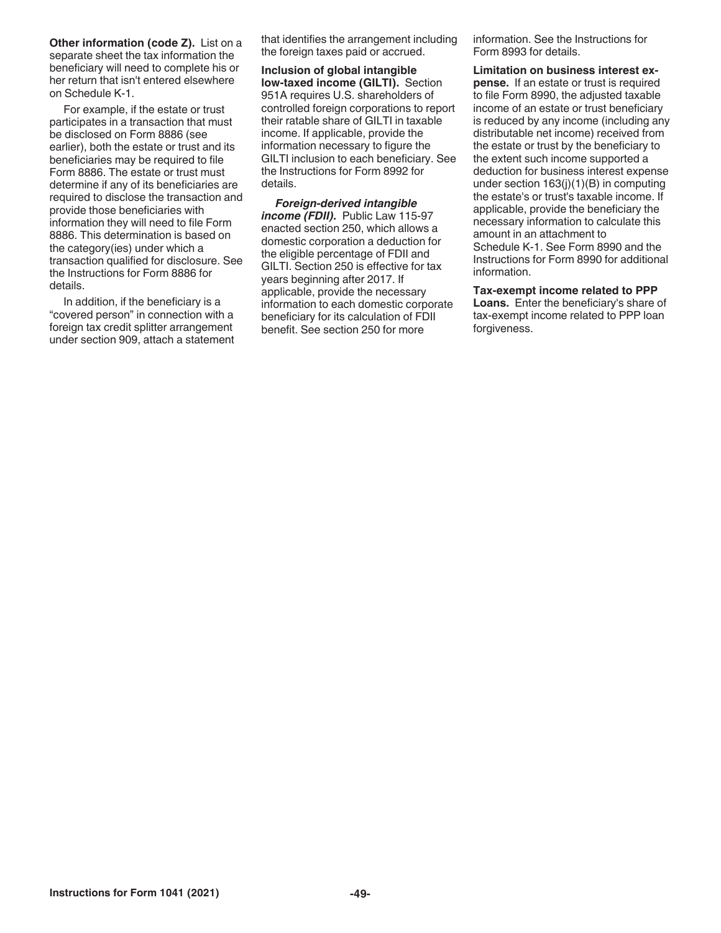**Other information (code Z).** List on a separate sheet the tax information the beneficiary will need to complete his or her return that isn't entered elsewhere on Schedule K-1.

For example, if the estate or trust participates in a transaction that must be disclosed on Form 8886 (see earlier), both the estate or trust and its beneficiaries may be required to file Form 8886. The estate or trust must determine if any of its beneficiaries are required to disclose the transaction and provide those beneficiaries with information they will need to file Form 8886. This determination is based on the category(ies) under which a transaction qualified for disclosure. See the Instructions for Form 8886 for details.

In addition, if the beneficiary is a "covered person" in connection with a foreign tax credit splitter arrangement under section 909, attach a statement

that identifies the arrangement including the foreign taxes paid or accrued.

**Inclusion of global intangible low-taxed income (GILTI).** Section 951A requires U.S. shareholders of controlled foreign corporations to report their ratable share of GILTI in taxable income. If applicable, provide the information necessary to figure the GILTI inclusion to each beneficiary. See the Instructions for Form 8992 for details.

*Foreign-derived intangible income (FDII).* Public Law 115-97 enacted section 250, which allows a domestic corporation a deduction for the eligible percentage of FDII and GILTI. Section 250 is effective for tax years beginning after 2017. If applicable, provide the necessary information to each domestic corporate beneficiary for its calculation of FDII benefit. See section 250 for more

information. See the Instructions for Form 8993 for details.

**Limitation on business interest expense.** If an estate or trust is required to file Form 8990, the adjusted taxable income of an estate or trust beneficiary is reduced by any income (including any distributable net income) received from the estate or trust by the beneficiary to the extent such income supported a deduction for business interest expense under section 163(j)(1)(B) in computing the estate's or trust's taxable income. If applicable, provide the beneficiary the necessary information to calculate this amount in an attachment to Schedule K-1. See Form 8990 and the Instructions for Form 8990 for additional information.

**Tax-exempt income related to PPP Loans.** Enter the beneficiary's share of tax-exempt income related to PPP loan forgiveness.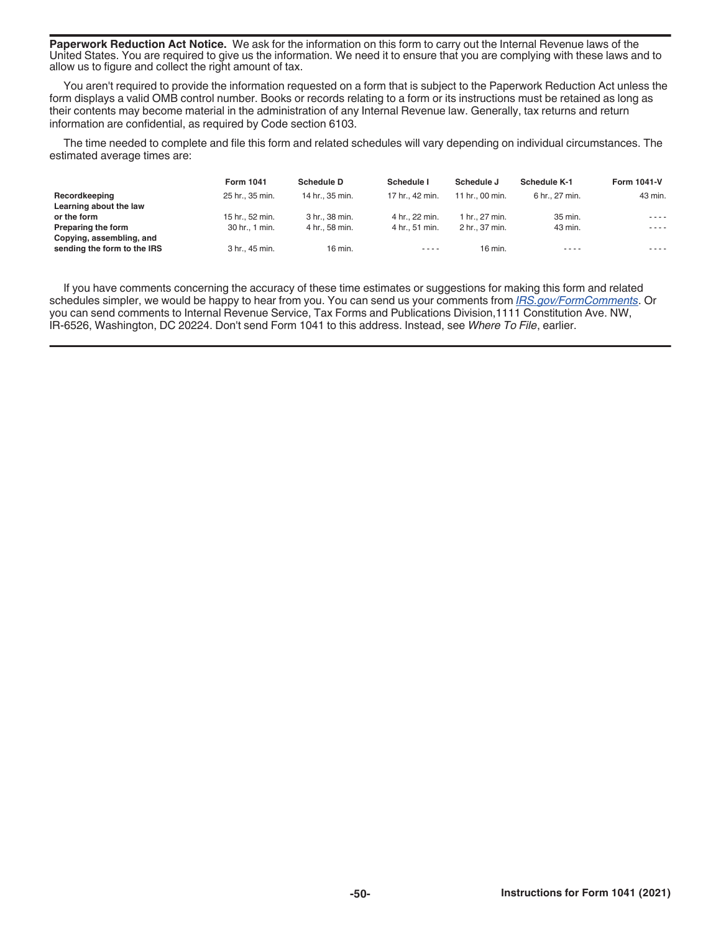**Paperwork Reduction Act Notice.** We ask for the information on this form to carry out the Internal Revenue laws of the United States. You are required to give us the information. We need it to ensure that you are complying with these laws and to allow us to figure and collect the right amount of tax.

You aren't required to provide the information requested on a form that is subject to the Paperwork Reduction Act unless the form displays a valid OMB control number. Books or records relating to a form or its instructions must be retained as long as their contents may become material in the administration of any Internal Revenue law. Generally, tax returns and return information are confidential, as required by Code section 6103.

The time needed to complete and file this form and related schedules will vary depending on individual circumstances. The estimated average times are:

|                             | <b>Form 1041</b> | <b>Schedule D</b> | Schedule I      | Schedule J      | Schedule K-1   | Form 1041-V   |
|-----------------------------|------------------|-------------------|-----------------|-----------------|----------------|---------------|
| Recordkeeping               | 25 hr., 35 min.  | 14 hr., 35 min.   | 17 hr., 42 min. | 11 hr., 00 min. | 6 hr., 27 min. | 43 min.       |
| Learning about the law      |                  |                   |                 |                 |                |               |
| or the form                 | 15 hr., 52 min.  | 3 hr., 38 min.    | 4 hr., 22 min.  | 1 hr 27 min.    | 35 min.        | $- - - -$     |
| Preparing the form          | 30 hr., 1 min.   | 4 hr., 58 min.    | 4 hr., 51 min.  | 2 hr., 37 min.  | 43 min.        | $\frac{1}{2}$ |
| Copying, assembling, and    |                  |                   |                 |                 |                |               |
| sending the form to the IRS | 3 hr., 45 min.   | 16 min.           | $\frac{1}{2}$   | 16 min.         | $- - - -$      | $\frac{1}{2}$ |

If you have comments concerning the accuracy of these time estimates or suggestions for making this form and related schedules simpler, we would be happy to hear from you. You can send us your comments from *[IRS.gov/FormComments](https://www.irs.gov/uac/comment-on-tax-forms-and-publications)*. Or you can send comments to Internal Revenue Service, Tax Forms and Publications Division,1111 Constitution Ave. NW, IR-6526, Washington, DC 20224. Don't send Form 1041 to this address. Instead, see *Where To File*, earlier.